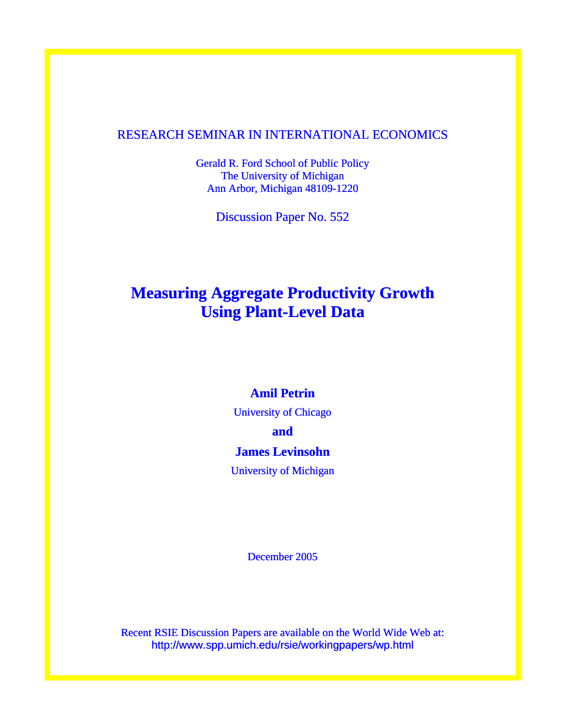# RESEARCH SEMINAR IN INTERNATIONAL ECONOMICS

Gerald R. Ford School of Public Policy The University of Michigan Ann Arbor, Michigan 48109-1220

Discussion Paper No. 552

# **Measuring Aggregate Productivity Growth Using Plant-Level Data**

# **Amil Petrin**

University of Chicago

**and** 

# **James Levinsohn**

University of Michigan

December 2005

Recent RSIE Discussion Papers are available on the World Wide Web at: http://www.spp.umich.edu/rsie/workingpapers/wp.html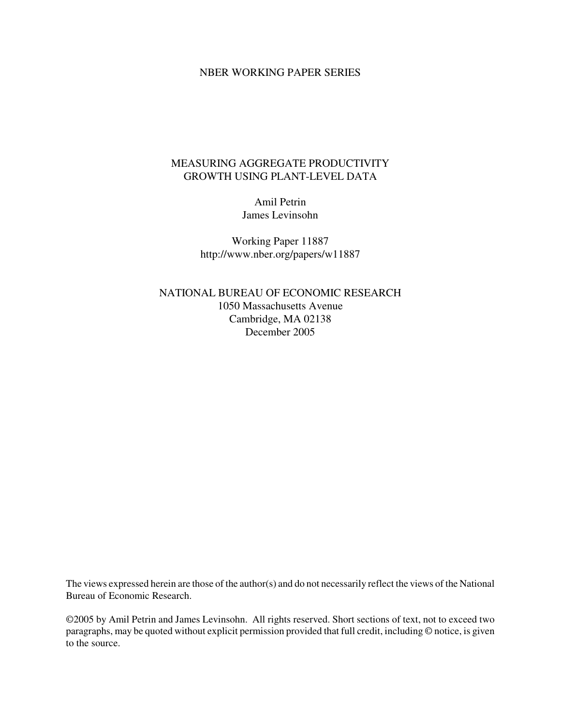## NBER WORKING PAPER SERIES

# MEASURING AGGREGATE PRODUCTIVITY GROWTH USING PLANT-LEVEL DATA

Amil Petrin James Levinsohn

Working Paper 11887 http://www.nber.org/papers/w11887

NATIONAL BUREAU OF ECONOMIC RESEARCH 1050 Massachusetts Avenue Cambridge, MA 02138 December 2005

The views expressed herein are those of the author(s) and do not necessarily reflect the views of the National Bureau of Economic Research.

©2005 by Amil Petrin and James Levinsohn. All rights reserved. Short sections of text, not to exceed two paragraphs, may be quoted without explicit permission provided that full credit, including © notice, is given to the source.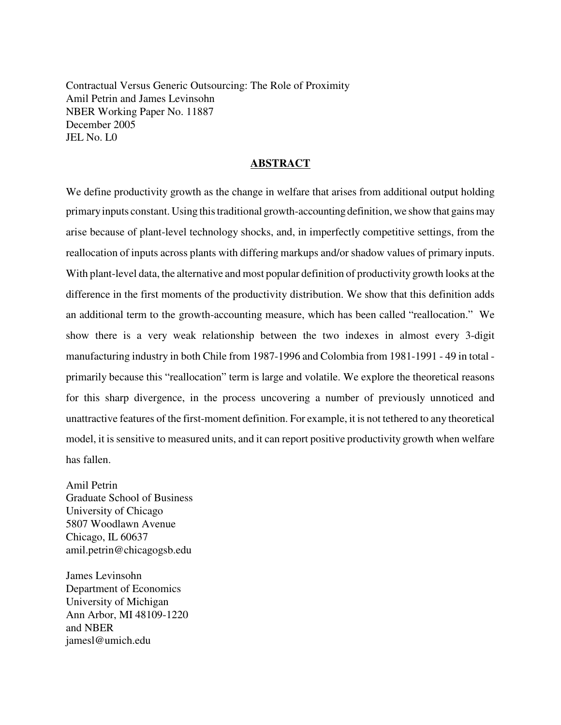Contractual Versus Generic Outsourcing: The Role of Proximity Amil Petrin and James Levinsohn NBER Working Paper No. 11887 December 2005 JEL No. L0

### **ABSTRACT**

We define productivity growth as the change in welfare that arises from additional output holding primary inputs constant. Using this traditional growth-accounting definition, we show that gains may arise because of plant-level technology shocks, and, in imperfectly competitive settings, from the reallocation of inputs across plants with differing markups and/or shadow values of primary inputs. With plant-level data, the alternative and most popular definition of productivity growth looks at the difference in the first moments of the productivity distribution. We show that this definition adds an additional term to the growth-accounting measure, which has been called "reallocation." We show there is a very weak relationship between the two indexes in almost every 3-digit manufacturing industry in both Chile from 1987-1996 and Colombia from 1981-1991 - 49 in total primarily because this "reallocation" term is large and volatile. We explore the theoretical reasons for this sharp divergence, in the process uncovering a number of previously unnoticed and unattractive features of the first-moment definition. For example, it is not tethered to any theoretical model, it is sensitive to measured units, and it can report positive productivity growth when welfare has fallen.

Amil Petrin Graduate School of Business University of Chicago 5807 Woodlawn Avenue Chicago, IL 60637 amil.petrin@chicagogsb.edu

James Levinsohn Department of Economics University of Michigan Ann Arbor, MI 48109-1220 and NBER jamesl@umich.edu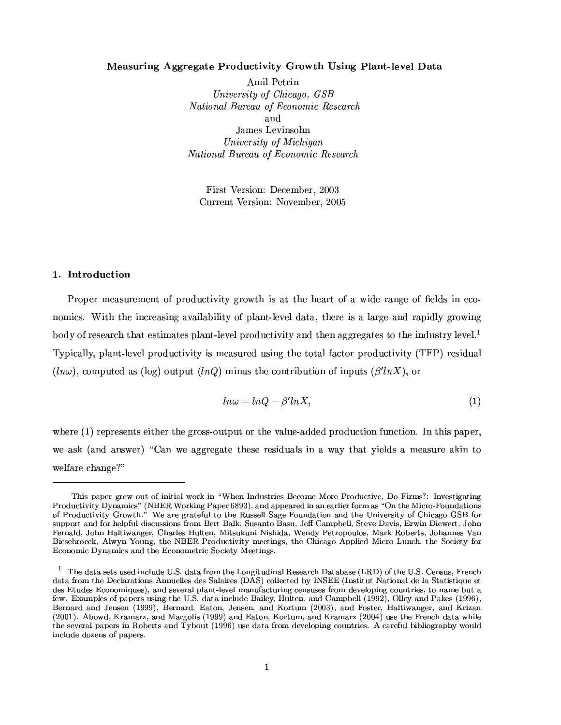#### -M\ ·  l {4 F@=- ! ##" \$% '&4

Amil Petrin University of Chicago,  $GSB$ i8\_FSTLTVFKl\_km.hon~PGOG\_knVYXÅq ^VkKlVkstLj^ u OQRwOG\_FPY^w[ and James Levinsohn University of Michigan  $\blacksquare$ 

á¯5ª¶x®.-¤wªr¶G¯5«3¨0/21ŤaQ¤aº89.¤wªa¿436575 <sup>Ó</sup> Current Version: November, 2005

#### $\blacksquare$  ;  $\blacksquare$  ;  $\blacksquare$  ;  $\blacksquare$  ;  $\blacksquare$  ;  $\blacksquare$  ;  $\blacksquare$  ;  $\blacksquare$  ;  $\blacksquare$  ;  $\blacksquare$  ;  $\blacksquare$  ;  $\blacksquare$  ;  $\blacksquare$  ;  $\blacksquare$  ;  $\blacksquare$  ;  $\blacksquare$  ;  $\blacksquare$  ;  $\blacksquare$  ;  $\blacksquare$  ;  $\blacksquare$  ;  $\blacksquare$  ;  $\blacksquare$  ;  $\blacksquare$  ;  $\blacksquare$  ;  $\blacksquare$

)˪G«F©.¤wªºÁ¤a´F¶G¬4ªG¤aº¤a¨b®t«F¹©MªG«~¥M¬MQ®G¯5°~¯5®:±Fªr«² ®G³µ¯I¶Ã´k®Á®G³M¤¦³4¤a´kªG®t«F¹´p²o¯I¥4¤ªr´F¨4±F¤«F¹Å§{¤a¸1¥M¶Ã¯1¨¤aQ«k¾ nomics. With the increasing availability of plant-level data, there is a large and rapidly growing body of research that estimates plant-level productivity and then aggregates to the industry level.<sup>1</sup> Typically, plant-level productivity is measured using the total factor productivity (TFP) residual  $\ell$  is the set of  $\ell$  and  $\ell$  and  $\ell$  and  $\ell$  and  $\ell$  and  $\ell$ 

$$
ln\omega = lnQ - \beta' lnX,\tag{1}
$$

 $\blacksquare$ zina and and an matrix and an matrix and an mode of the second second and a second of the second second second second and a second second second second second second second second second second second second second we ask (and answer) "Can we aggregate these residuals in a way that yields a measure akin to welfare change?"

This paper grew out of initial work in "When Industries Become More Productive, Do Firms?: Investigating rdj.ah.ah.uahamatusumaan aaan aaan araa maan magaalaan araa d ranjuka jumi alih nopusu? njuri kama  $\cdots$  afmlfhiguabannan roman in fhan funnit martin an Fernald, John Haltiwanger, Charles Hulten, Mitsukuni Nishida, Wendy Petropoulos, Mark Roberts, Johannes Van oriptory`4) before the state right of the state of the state of the state of the state of the state of the state of the state of the state of the state of the state of the state of the state of the state of the state of t Economic Dynamics and the Econometric Society Meetings.

<sup>@</sup> ]0^f}deptd>`kfmpw`o`kfh}\_sruso}f0©¹¤ ¨:¤}dptd qgkn#¦pt^f¸¥n#ri#\_pto}\_srdju=0fh`kfdgk^dptd¯6d`kf>O¸cnjqpt^f©¹¤ ¨7¤#ªfr`wo`h=gkfhr^  $\cdots$  and  $\cdots$  is different profusuation  $\cdots$  . The profusion of profusion  $\cdots$  $p$ in to a fhanjrn  $p$  afhanjogwasdirigkari  $\alpha$  of puntogwasdirightation or puntogwasdirightation or puntogwasdirigkari matematika matematika matematika matematika matematika matematika matematika matematika matematika m om i oupwfradjinjalinjurini in ilijenskoj obi je de sruso Bernard and Jensen (1999), Bernard, Eaton, Jensen, and Kortum (2003), and Foster, Haltiwanger, and Krizan  $\{A\cap A\}$  is the state of  $\{A\cap A\}$  in the state of  $\{A\cap A\}$  is the state of  $A$ pt^fc`kfmjfhgwdju¥b6db7fhgk` \_srº0nj¯7fhgpw`djr}±]?¯7n#op2k¾j#4o`kfI}deptd'qgknjÈ}fhjfhusnb6\_sri.hnjorjpwgw\_afh`h¤³¦dgkfhqAouJ¯\_s¯us\_snijgwdb6^jµln#ous} include dozens of papers.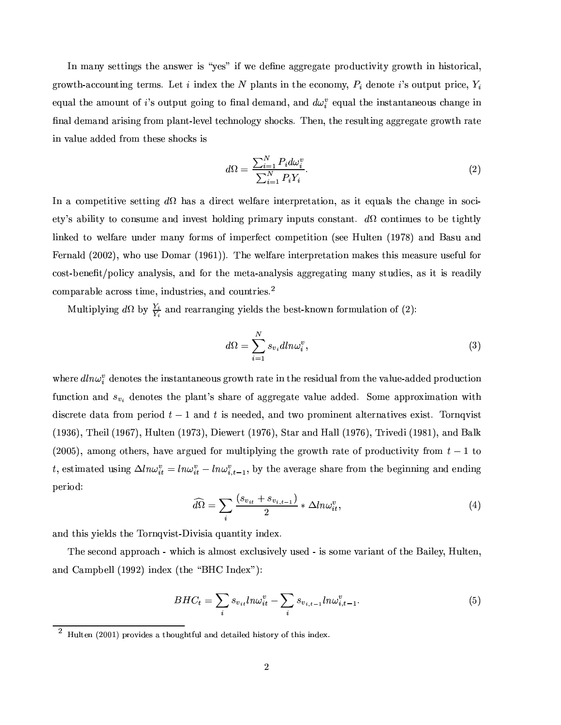In many settings the answer is "yes" if we define aggregate productivity growth in historical. ±FªG«² ®G³~¾´FwQ«3¬M¨]®G¯1¨4±=®x¤wªrº¶w¼.+¤w®¯1¨M¥4¤QÒ®G³4¤- ©{¸I´F¨b®G¶Å¯1¨-®G³4¤8¤aQ«3¨4«3º :F¿B¥4¤a¨M«F®x¤ Ѷū3¬4®x©{¬4®o©Mªr¯1Q¤F¿ ¤¬M´F¸®G³4¤Ã´FºÁ«3¬M¨]®o«F¹ Ѷū3¬4®x©{¬M® ±F«3¯1¨4±®x«=§{¨M´F¸¥4¤aº´F¨M¥"¿l´F¨M¥¥H ¤]¬M´F¸®G³4¤8¯I¨M¶x®G´F¨]®G´F¨4¤w«3¬M¶r³M´F¨4±F¤Ã¯1¨ §{¨M´F¸l¥4¤aº´F¨M¥W´kªr¯1¶G¯I¨4±f¹@ªr«3º£©{¸1´F¨]®Y¾¸5¤w°F¤a¸l®x¤ar³M¨M«3¸5«F±F:ƶG³4«~GÂ~¶w¼ B³M¤a¨"¿b®G³4¤ÅªG¤a¶G¬M¸1®G¯1¨4±´k±F±FªG¤w±3´k®x¤f±FªG«² ®G³Wªr´k®x¤ in value added from these shocks is

$$
d\Omega = \frac{\sum_{i=1}^{N} P_i d\omega_i^v}{\sum_{i=1}^{N} P_i Y_i}.
$$
\n
$$
(2)
$$

In a competitive setting  $d\Omega$  has a direct welfare interpretation, as it equals the change in society's ability to consume and invest holding primary inputs constant.  $d\Omega$  continues to be tightly linked to welfare under many forms of imperfect competition (see Hulten (1978) and Basu and á4¤wªr¨{´F¸1¥SCk36575:3:E¿.²o³4«Æ¬{¶x¤1«3º´kªCYÕa×FÚ~ÕEE¼ B³4¤²6¤a¸5¹´kªr¤ ¯1¨]®x¤wªG©MªG¤w®G´k®G¯5«3¨Îº´kÂF¤a¶o®G³{¯1¶ ºÁ¤a´F¶G¬MªG¤ ¬M¶x¤w¹T¬M¸.¹«Fª cost-benefit/policy analysis, and for the meta-analysis aggregating many studies, as it is readily comparable across time, industries, and countries.<sup>2</sup>

Multiplying  $d\Omega$  by  $\frac{\mathcal{Y}}{\mathcal{Y}}$  and rearranging vields the best-known formulation of (2):

$$
d\Omega = \sum_{i=1}^{N} s_{v_i} dln\omega_i^v,
$$
\n(3)

®Ganamagan yang banya dan banya dan banya dan banya dan banya dan banya dan banya dan banya dan banya dan banya dan banya dan banya dan banya dan banya dan banya dan banya dan banya dan banya dan banya dan banya dan banya function and  $s_{\infty}$  denotes the plant's share of aggregate value added. Some approximation with ¥M¯1¶rQªG¤w®x¤Á¥M´k®G´¹@ªr«3º ©#¤wª¯5«¥542UÊÕÁ´F¨M¥64¯1¶f¨4¤w¤a¥4¤a¥"¿´F¨{¥®²6«¦©MªG«3º¯I¨4¤a¨b®´F¸5®x¤wªr¨{´k®G¯5°F¤a¶f¤QÒ4¯1¶x®w¼ B«Fªr¨b°~¯1¶x® CYÕa× <sup>Ó</sup> Ú:E¿ <sup>B</sup>³4¤a¯1¸CYÕa×FÚ3Ù7E¿7#¬M¸5®x¤a¨¦CYÕa×3ÙÓ E¿1¯5¤w²6¤wªG®§CYÕa×3ÙkÚ:E¿2®G´kªB´F¨M¥8#´F¸1¸CYÕa×3ÙkÚ:E¿ <sup>B</sup>ªr¯5°F¤a¥M¯CYÕa×FØ~ÕE¿4´F¨M¥9%´F¸5Â Ck36575:9:E¿´FºÁ«3¨4±¦«F®G³M¤wªr¶w¿\³{´a°F¤W´kªr±3¬4¤a¥¹«Fª º8¬{¸5®G¯5©{¸5:~¯1¨4±W®G³4¤±FªG«² ®G³ ª´k®x¤«F¹B©{ªG«¥{¬MQ®G¯5°~¯5®:Þ¹@ªG«3º:4¹UÊÕÁ®x« t, estimated using  $\Delta ln \omega_i^v = ln \omega_i^v - ln \omega_i^v$ , , by the average share from the beginning and ending period:

$$
\widehat{d\Omega} = \sum_{i} \frac{(s_{v_{it}} + s_{v_{i,t-1}})}{2} * \Delta ln \omega_{it}^{v}, \tag{4}
$$

´F¨M¥-®G³{¯1¶:¯1¤a¸1¥M¶®G³4¤ B«Fªr¨K]°¯I¶x®Y¾t1¯5°¯I¶G¯1´L]¬M´F¨]®G¯5®:¯I¨M¥4¤QÒ.¼

The second approach - which is almost exclusively used - is some variant of the Bailey, Hulten, ´F¨M¥ÞÔ´FºÁ©M9.¤a¸1¸CYÕa×F×73:E ¯1¨{¥4¤QÒQC®G³4¤ÞÏN%0#fÔTZY¨M¥4¤QÒ4Ð¥Ee/

$$
BHC_t = \sum_{i} s_{v_{it}} ln\omega_{it}^v - \sum_{i} s_{v_{i,t-1}} ln\omega_{i,t-1}^v.
$$
 (5)

 $^2$   $^{\text{tr}}$   $^{\text{tr}}$  (0001)  $^{\text{tr}}$   $^{\text{tr}}$  and  $^{\text{tr}}$   $^{\text{tr}}$  and  $^{\text{tr}}$   $^{\text{tr}}$   $^{\text{tr}}$   $^{\text{tr}}$   $^{\text{tr}}$   $^{\text{tr}}$   $^{\text{tr}}$   $^{\text{tr}}$   $^{\text{tr}}$   $^{\text{tr}}$   $^{\text{tr}}$   $^{\text{tr}}$   $^{\text{tr}}$   $^{\text{tr}}$   $^{\text{tr}}$   $^{\text{tr}}$   $^{\$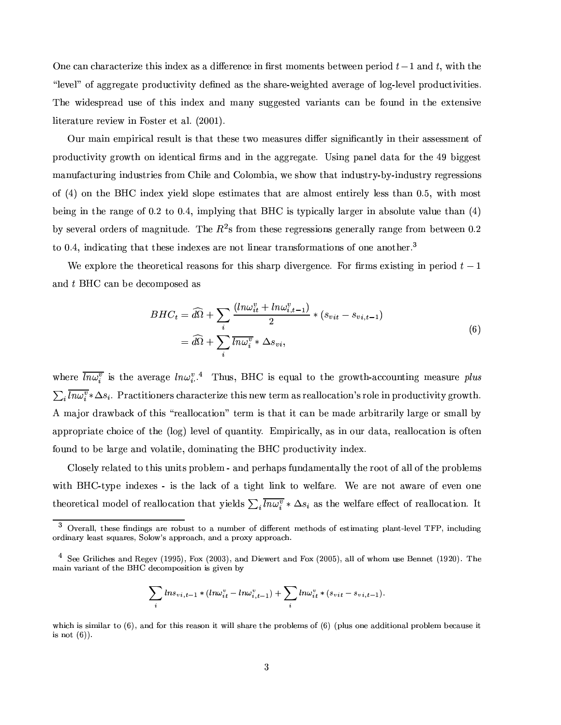¨4¤ w´F¨Ær³M´kªr´FQ®x¤wª¯-w¤o®G³M¯I¶¯1¨M¥4¤QÒ8´F¶Ë´¥M¯%Ç.¤wªG¤a¨MQ¤¯1¨t§Mª¶x®ºÁ«3ºÁ¤a¨]®G¶À9.¤w®²6¤w¤a¨©.¤wªr¯5«~¥4U¦Õ´F¨M¥94¿3²Å¯5®G³t®G³4¤ "Some Some Sangles is the share-weighted average of log-level productivities." The widespread use of this index and many suggested variants can be found in the extensive literature review in Foster et al.  $(2001)$ .

Our main empirical result is that these two measures differ significantly in their assessment of ©MªG«~¥M¬MQ®G¯1°¯5®:¦±FªG«² ®G³«3¨ ¯1¥4¤a¨]®G¯1w´F¸§MªrºÆ¶´F¨{¥¯1¨p®G³4¤´k±F±FªG¤w±3´k®x¤F¼½¶G¯1¨4±©{´F¨4¤a¸¥{´k®G´¹@«Fªf®G³4¤tÜb×9l¯5±F±F¤a¶x® manufacturing industries from Chile and Colombia, we show that industry-by-industry regressions of (4) on the BHC index yield slope estimates that are almost entirely less than 0.5, with most being in the range of 0.2 to 0.4, implying that BHC is typically larger in absolute value than  $(4)$  $\frac{1}{2}$   $\frac{1}{2}$   $\frac{1}{2}$   $\frac{1}{2}$   $\frac{1}{2}$   $\frac{1}{2}$   $\frac{1}{2}$   $\frac{1}{2}$   $\frac{1}{2}$   $\frac{1}{2}$   $\frac{1}{2}$   $\frac{1}{2}$   $\frac{1}{2}$   $\frac{1}{2}$   $\frac{1}{2}$   $\frac{1}{2}$   $\frac{1}{2}$   $\frac{1}{2}$   $\frac{1}{2}$   $\frac{1}{2}$   $\frac{1}{2}$   $\frac{1}{2}$  ®x«Å5~¼ Ü4¿#¯1¨M¥M¯1w´k®G¯I¨4±8®G³{´k® ®G³4¤a¶x¤ ¯I¨M¥4¤QÒ~¤a¶´kªG¤ ¨4«F® ¸1¯I¨4¤a´kª®xªr´F¨M¶x¹«Fªrº´k®G¯1«3¨M¶«F¹«3¨4¤ ´F¨4«F®G³4¤wª¼

¢¤Ã¤QÒ©l¸5«FªG¤®G³4¤ ®G³4¤w«FªG¤w®G¯1w´F¸\ªG¤a´F¶x«3¨M¶o¹@«FªÅ®G³M¯1¶ ¶r³M´kªG©Î¥M¯1°F¤wªG±F¤a¨MQ¤F¼á4«Fª§Mªrº¶¤QÒ4¯1¶x®G¯1¨M±Æ¯1¨-©.¤wªr¯5«~¥ 4cU <sup>Õ</sup> and t BHC can be decomposed as

$$
BHC_t = \widehat{d\Omega} + \sum_i \frac{(ln\omega_{it}^v + ln\omega_{i,t-1}^v)}{2} * (s_{vit} - s_{vi,t-1})
$$
  
=  $\widehat{d\Omega} + \sum_i \overline{ln\omega_i^v} * \Delta s_{vi},$  (6)

 $\blacksquare$  табона и войтом и военности и тота в тота в тота в тота в тота в тота в тота в тота в тота в тота в тота в т  $\sum ln \omega^v * \Delta s_i$ . Practitioners characterize this new term as reallocation's role in productivity growth. / ( º´
x«Fª¥Mªr´a² 9l´FG¦«F¹®G³M¯I¶ÆÏYªG¤a´F¸1¸1«w´k®G¯5«3¨{ÐÆ®x¤wªrºÛ¯1¶o®G³M´k®¯1®ow´F¨p9#¤8º´F¥4¤t´kªG9{¯5®xªr´kª¯1¸5:W¸I´kªG±F¤ «Fª¶Gº´F¸1¸9]: appropriate choice of the  $log$  level of quantity. Empirically, as in our data, reallocation is often found to be large and volatile, dominating the BHC productivity index.

Closely related to this units problem - and perhaps fundamentally the root of all of the problems with BHC-type indexes - is the lack of a tight link to welfare. We are not aware of even one theoretical model of reallocation that vields  $\sum ln\omega_i^x * \Delta s_i$  as the welfare effect of reallocation. It

$$
\sum_i l n s_{vi,t-1} * (l n \omega_{it}^v - l n \omega_{i,t-1}^v) + \sum_i l n \omega_{it}^v * (s_{vit} - s_{vi,t-1}).
$$

nation in the fabrical construction of the state for the state of the state of the state of the state of the s is not  $(6)$ ).

 $j\sim n$  and  $q$  is the power of the point point point point  $n$ njgw}\_rdg,uafd`p `w¼odgkfh`h7¨n#uanl `dbbgkn#d^¥djr}ºd'bgkn½=,dbbgkn#d^¥¤

 $\frac{4}{7}$  of  $\frac{1}{7}$  draws the  $\frac{1}{7}$  draws of  $\frac{1}{7}$  or  $\frac{1}{7}$  or  $\frac{1}{7}$  or  $\frac{1}{7}$  or  $\frac{1}{7}$  or  $\frac{1}{7}$ main variant of the BHC decomposition is given by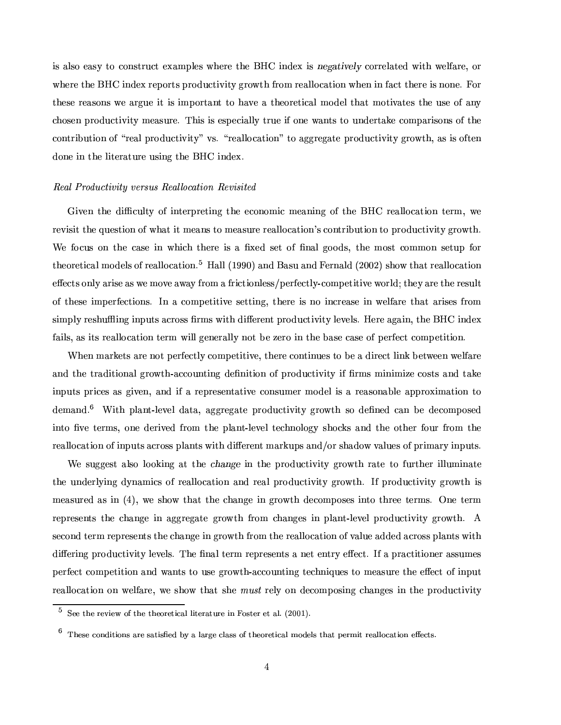$\blacksquare$ °oadament de la coñeca de la coñeca de la coñeca de la coñeca de la coñeca de la coñeca de la coñeca de la coñeca de la coñeca de la coñeca de la coñeca de la coñeca de la coñeca de la coñeca de la coñeca de la coñeca de these reasons we argue it is important to have a theoretical model that motivates the use of any r³M«3¶x¤a¨¦©Mªr«¥M¬{Q®G¯5°¯1®:Wº¤a´F¶G¬4ªG¤F¼ B³M¯1¶¯I¶¤a¶x©.¤aw¯1´F¸1¸5:W®xªr¬4¤¯5¹«3¨4¤²´F¨]®G¶o®x«=¬M¨M¥4¤wªG®G´kÂF¤8Q«3ºÁ©{´kªr¯1¶G«3¨M¶«F¹®G³4¤ ®Garachosesiensten in die Soosten van die Desembarge offens die Desembarge offens die Desembarge offens die So done in the literature using the BHC index.

#### University of the Company of the Company of the Company of the Company of the Company of the Company of the Co

oni so in an isame de la serve de la serve de la serve de la serve de la serve de la serve de la serve de la s ªG¤w°~¯1¶G¯5®®G³4¤ ]¬4¤a¶G®G¯5«3¨Á«F¹#²o³M´k®Ë¯5®Àº¤a´F¨M¶®x« ºÁ¤a´F¶r¬4ªG¤ ªG¤a´F¸I¸5«w´k®G¯1«3¨ ѶQ«3¨b®xª¯59{¬4®G¯5«3¨t®x«8©MªG«~¥M¬MQ®G¯5°~¯5®:±FªG«²o®G³"¼ ¢¤p¹@«~w¬M¶W«3¨ ®G³4¤pw´F¶x¤¯1¨µ²o³{¯1r³ß®G³M¤wªG¤p¯I¶Æ´ §MÒ¤a¥ ¶x¤w®W«F¹f§l¨M´F¸ ±F««¥{¶w¿®G³4¤Þº«3¶x®WQ«3ºº«3¨É¶G¤w®G¬4© ¹«Fª theoretical models of reallocation.<sup>5</sup> Hall (1990) and Basu and Fernald (2002) show that reallocation effects only arise as we move away from a frictionless/perfectly-competitive world; they are the result «F¹ ®G³4¤a¶G¤=¯1º©#¤wªr¹@¤aQ®G¯5«3¨{¶w¼yZ¨·´ÞQ«3º©#¤w®G¯1®G¯5°F¤=¶G¤w®x®G¯1¨4±4¿®G³4¤wªG¤¯1¶ ¨M«p¯1¨{QªG¤a´F¶x¤W¯I¨ ²6¤a¸5¹´kªr¤W®G³M´k®t´kªr¯1¶G¤a¶¹ªG«3º simply reshuffling inputs across firms with different productivity levels. Here again, the BHC index  $\blacksquare$  and the contract was a contract was a contract with a contract with a contract with a contract with a contract with a contract with a contract with a contract with a contract with a contract with a contract with a

¢Ê³4¤a¨ÆºÆ´kªGÂF¤w®G¶B´kªr¤o¨4«F®À©.¤wªG¹¤aQ®G¸5:tQ«3ºÁ©.¤w®G¯5®G¯5°F¤F¿b®G³M¤wªG¤oQ«3¨]®G¯1¨]¬M¤a¶À®x« 9.¤ ´¥{¯5ªG¤aQ®Ë¸1¯I¨4Â9.¤w®²6¤w¤a¨Æ²6¤a¸5¹T´kªG¤  $\blacksquare$  . The set of the set of the set of the set of the set of the set of the set of the set of the set of the set of the set of the set of the set of the set of the set of the set of the set of the set of the set of the inputs prices as given, and if a representative consumer model is a reasonable approximation to  $\bullet$  . The set of the set of the set of the set of the set of the set of the set of the set of the set of the set of the set of the set of the set of the set of the set of the set of the set of the set of the set of the s into five terms, one derived from the plant-level technology shocks and the other four from the reallocation of inputs across plants with different markups and/or shadow values of primary inputs.

¢¤Î¶r¬4±F±F¤a¶x®´F¸1¶x« ¸1«]«FÂ~¯1¨4±´k®Á®G³4¤"!\$#% &-=¯1¨®G³4¤-©MªG«~¥M¬MQ®G¯1°¯5®: ±FªG«² ®G³àªr´k®x¤¦®x«¹T¬4ªG®G³4¤wªÁ¯1¸I¸1¬Mº¯1¨{´k®x¤ ®G³4¤¬M¨M¥4¤wª¸5:¯I¨4±-¥4:¨{´Fº¯1w¶«F¹oªG¤a´F¸1¸5«~w´k®G¯5«3¨´F¨M¥ ªG¤a´F¸B©MªG«~¥M¬MQ®G¯1°¯5®:±FªG«² ®G³¼¦Z¹©MªG«~¥M¬MQ®G¯5°~¯5®:±FªG«² ®G³à¯1¶ ºÁ¤a´F¶G¬MªG¤a¥ ´F¶Ã¯1¨ CÜJE¿²B¤=¶G³4«²Ä®G³M´k® ®G³4¤Wr³M´F¨4±F¤=¯1¨±FªG«² ®G³¥4¤aQ«3ºÁ©.«3¶x¤a¶ ¯I¨b®x«¦®G³MªG¤w¤®x¤wªrº¶a¼ ¨4¤Æ®x¤wªrº ªG¤w©Mªr¤a¶x¤a¨b®G¶W®G³4¤pr³M´F¨4±F¤¯1¨ ´k±F±FªG¤w±3´k®x¤±FªG«²o®G³ ¹ªG«3º r³M´F¨M±F¤a¶=¯I¨µ©{¸1´F¨]®Y¾¸5¤w°F¤a¸o©MªG«~¥M¬MQ®G¯5°~¯5®:±FªG«² ®G³"¼ ( second term represents the change in growth from the reallocation of value added across plants with  $\bullet$  and an anti-democration of the constant of the constant of the constant of the constant of the constant of the constant of the constant of the constant of the constant of the constant of the constant of the constant ©.¤wªG¹¤aQ®oQ«3ºÁ©.¤w®G¯5®G¯5«3¨¦´F¨{¥-²6´F¨]®G¶ ®x«=¬M¶x¤±Fªr«² ®G³~¾´FwQ«3¬{¨b®G¯1¨M±Æ®x¤ar³{¨M¯=¬4¤a¶®x«Wº¤a´F¶G¬4ªG¤®G³M¤¤QÇ#¤aQ®Å«F¹¯1¨4©{¬4® reallocation on welfare, we show that she *must* rely on decomposing changes in the productivity

 $\ddot{r}$  is the ptop  $\ddot{r}$  of  $\ddot{r}$  and  $\ddot{r}$  is the pure  $r$ 

 <sup>]0^</sup>fh`kf2hn#r}\_pt\_an#r` dgkfc`wdept\_a`-f}º¯#±d'udegkijfcusd`k`njqpt^fmnjgkfmpt\_adju%n}fua`0pt^dep0b7fhgw.\_pgkfdjusuan=dept\_an#rºfm®:fhpw`h¤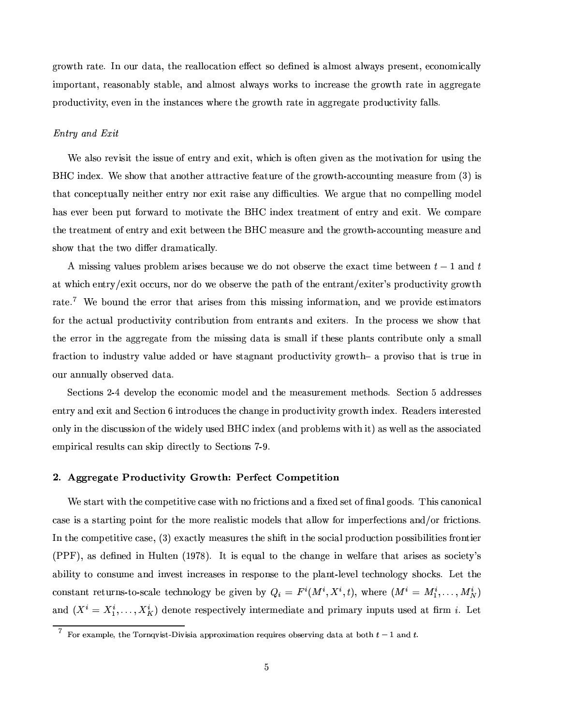±FªG«² ®G³Îª´k®x¤F¼µZ¨Î«3¬4ª¥M´k®G´~¿l®G³M¤ ªG¤a´F¸1¸1«w´k®G¯5«3¨Î¤QÇ#¤aQ®f¶x«=¥4¤w§{¨4¤a¥Þ¯1¶ ´F¸1º«3¶x®Å´F¸5²´a:~¶©MªG¤a¶x¤a¨]®w¿{¤aQ«3¨M«3º¯1w´F¸1¸5: ¯1ºÁ©.«FªG®G´F¨]®w¿ªG¤a´F¶x«3¨M´k9l¸5:¶x®G´k9{¸5¤F¿À´F¨M¥·´F¸1ºÁ«3¶x®t´F¸5²´a:~¶Ã²B«FªGÂ~¶8®x«p¯1¨{QªG¤a´F¶x¤Æ®G³M¤W±FªG«² ®G³ªr´k®x¤¯1¨(´k±F±FªG¤w±3´k®x¤ ©MªG«~¥M¬MQ®G¯1°¯5®:F¿~¤w°F¤a¨Î¯1¨®G³4¤8¯1¨M¶x®G´F¨MQ¤a¶ ²o³4¤wªG¤f®G³4¤f±Fªr«² ®G³Îªr´k®x¤ ¯1¨-´k±F±FªG¤w±3´k®x¤t©Mªr«¥M¬{Q®G¯5°¯1®:¹T´F¸1¸1¶w¼

#### $Entry$  and  $Exit$

¢¤Ã´F¸1¶x«ªG¤w°~¯1¶G¯1®6®G³M¤ ¯1¶G¶G¬M¤«F¹¤a¨]®xªG:-´F¨M¥-¤QÒ4¯5®w¿M²o³{¯1r³-¯1¶ «F¹@®x¤a¨Î±3¯5°F¤a¨¦´F¶ ®G³M¤ ºÁ«F®G¯5°k´k®G¯5«3¨-¹«FªÅ¬M¶r¯1¨4±t®G³4¤ %#Ô ¯1¨M¥M¤QÒ#¼¢¤¶G³4«²É®G³M´k®´F¨4«F®G³4¤wª´k®x®xªr´FQ®G¯5°F¤¹¤a´k®G¬4ªG¤«F¹"®G³4¤±FªG«² ®G³4¾´FwQ«3¬M¨b®G¯I¨4±Ãº¤a´F¶G¬4ªG¤¹@ªr«3º <sup>C</sup> <sup>Ó</sup> E˯1¶ ®G³M´k®Q«3¨MQ¤w©M®G¬M´F¸1¸1:=¨4¤a¯1®G³4¤wª ¤a¨]®xªG:-¨4«Fª ¤QÒ4¯5® ªr´F¯1¶G¤ ´F¨b:-¥M¯Æw¬M¸5®G¯5¤a¶a¼¢¤8´kªG±3¬4¤ ®G³M´k®Å¨4«Q«3º©#¤a¸I¸1¯1¨4±ÁºÁ«~¥4¤a¸ has ever been put forward to motivate the BHC index treatment of entry and exit. We compare ®G³4¤ ®xªr¤a´k®GºÁ¤a¨b®6«F¹.¤a¨b®xªr:t´F¨{¥Á¤QÒ~¯1®À9.¤w®²6¤w¤a¨®G³4¤%#fÔߺÁ¤a´F¶r¬4ªG¤o´F¨M¥®G³4¤ ±FªG«² ®G³~¾´FwQ«3¬M¨]®G¯1¨4±tºÁ¤a´F¶G¬4ªr¤o´F¨M¥  $\bullet$  ≈  $\bullet$  ×  $\bullet$  ×  $\bullet$  ×  $\bullet$  ×  $\bullet$  ×  $\bullet$  ×  $\bullet$  ×  $\bullet$  ×  $\bullet$  ×  $\bullet$  ×  $\bullet$  ×  $\bullet$  ×  $\bullet$  ×  $\bullet$  ×  $\bullet$  ×  $\bullet$  ×  $\bullet$  ×  $\bullet$  ×  $\bullet$  ×  $\bullet$  ×  $\bullet$  ×  $\bullet$  ×  $\bullet$  ×  $\bullet$  ×  $\bullet$  ×  $\bullet$  ×  $\bullet$  ×  $\bullet$  ×  $\bullet$  ×  $\bullet$  ×  $\bullet$ 

to a amazama amazama amazama amazama amazama amazama amazama amazama amazama amazama amazama amazama amazama a at which entry/exit occurs, nor do we observe the path of the entrant/exiter's productivity growth ªr´k®x¤F¼- ¢¤W9#«3¬{¨M¥®G³4¤¤wªrªG«Fª ®G³M´k®Ã´kªr¯1¶x¤a¶¹@ªG«3º/®G³M¯1¶ºÆ¯1¶G¶G¯1¨M±¦¯1¨4¹«Fªrº´k®G¯5«3¨"¿\´F¨M¥ ²6¤©MªG«°¯I¥4¤¤a¶x®G¯1ºÆ´k®x«Fªr¶ for the actual productivity contribution from entrants and exiters. In the process we show that the error in the aggregate from the missing data is small if these plants contribute only a small ¹ªr´FQ®G¯5«3¨®x«p¯1¨M¥M¬M¶G®xªG:¦°k´F¸1¬4¤´F¥M¥4¤a¥ «Fª ³M´a°F¤=¶x®G´k±3¨M´F¨]® ©Mªr«¥M¬{Q®G¯5°¯1®:αFªr«² ®G³´-©MªG«°¯1¶G«-®G³M´k® ¯1¶f®xª¬4¤¯1¨ our annually observed data.

Sections 2-4 develop the economic model and the measurement methods. Section 5 addresses ¤a¨]®xªG: ´F¨M¥ ¤QÒ~¯5®´F¨M¥Q2¤aQ®G¯5«3¨ÁÚ ¯1¨]®xªG«~¥M¬MQ¤a¶®G³4¤6³M´F¨4±F¤¯1¨ ©MªG«~¥M¬MQ®G¯5°~¯5®:±FªG«² ®G³t¯1¨M¥4¤QÒ.¼ ¤a´F¥M¤wªr¶¯1¨b®x¤wªr¤a¶x®x¤a¥ only in the discussion of the widely used BHC index (and problems with it) as well as the associated empirical results can skip directly to Sections 7-9.

#### $\blacksquare$  , and the set of the set of the set of the set of the set of the set of the set of the set of the set of the set of the set of the set of the set of the set of the set of the set of the set of the set of the set of

¢¤¶x®G´kªG®\²o¯5®G³ ®G³4¤6Q«3º©#¤w®G¯1®G¯5°F¤Bw´F¶x¤6²o¯5®G³8¨4«o¹ªr¯1Q®G¯1«3¨M¶´F¨M¥8´o§MÒ¤a¥8¶x¤w®\«F¹4§l¨M´F¸3±F««¥{¶w¼ B³M¯1¶w´F¨4«3¨{¯1w´F¸ w´F¶x¤Ã¯1¶o´¶G®G´kªG®G¯1¨4±©.«3¯1¨]®¹«FªÅ®G³4¤8ºÁ«FªG¤ªG¤a´F¸I¯1¶x®G¯1fºÁ«~¥4¤a¸1¶ ®G³M´k®Å´F¸1¸1«² ¹«FªÅ¯IºÁ©.¤wªG¹@¤aQ®G¯1«3¨M¶´F¨M¥lÈ«FªÅ¹@ªr¯IQ®G¯5«3¨M¶w¼  $\blacksquare$  . the state of the constant of the constant of the constant of the constant of the constant of the constant of the constant of the constant of the constant of the constant of the constant of the constant of the cons  $(PPPF)$ , as defined in Hulten (1978). It is equal to the change in welfare that arises as society's ability to consume and invest increases in response to the plant-level technology shocks. Let the constant returns-to-scale technology be given by  $Q_i = F^i(M^i, X^i, t)$ , where  $(M^i = M_1^i, \ldots, M_N^i)$ and  $(X^i = X_1^i, \ldots, X_K^i)$  denote respectively intermediate and primary inputs used at firm *i*. Let

I For example, the Tornavist Divisia approximation requires observing data at both  $t = 1$  and  $t = 1$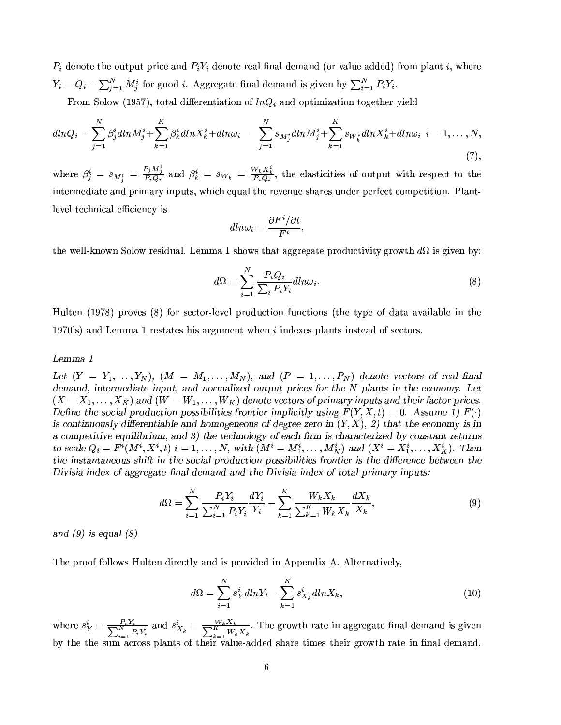$P_i$  denote the output price and  $P_iY_i$  denote real final demand (or value added) from plant i, where  $Y_i = Q_i - \sum_{j=1}^{N} M_j^i$  for good *i*. Aggregate final demand is given by  $\sum_{i=1}^{N} P_i Y_i$ .

From Solow (1957), total differentiation of  $lnQ_i$  and optimization together yield

$$
dlnQ_i = \sum_{j=1}^{N} \beta_j^i dlnM_j^i + \sum_{k=1}^{K} \beta_k^i dlnX_k^i + dln\omega_i = \sum_{j=1}^{N} s_{M_j^i} dlnM_j^i + \sum_{k=1}^{K} s_{W_k^i} dlnX_k^i + dln\omega_i \ \ i = 1, ..., N,
$$
\n(7),

where  $\beta_j^i = s_{M_i^i} = \frac{P_j M_j^i}{P_i Q_i}$  and  $\beta_k^i = s_{W_k} = \frac{W_k X_k^i}{P_i Q_i}$ , the elasticities of output with respect to the intermediate and primary inputs, which equal the revenue shares under perfect competition. Plantlevel technical efficiency is

$$
dln\omega_i = \frac{\partial F^i/\partial t}{F^i},
$$

the well-known Solow residual. Lemma 1 shows that aggregate productivity growth  $d\Omega$  is given by:

$$
d\Omega = \sum_{i=1}^{N} \frac{P_i Q_i}{\sum_i P_i Y_i} dln\omega_i.
$$
\n(8)

Hulten (1978) proves (8) for sector-level production functions (the type of data available in the 1970's) and Lemma 1 restates his argument when  $i$  indexes plants instead of sectors.

#### Lemma 1

Let  $(Y = Y_1, \ldots, Y_N)$ ,  $(M = M_1, \ldots, M_N)$ , and  $(P = 1, \ldots, P_N)$  denote vectors of real final demand, intermediate input, and normalized output prices for the N plants in the economy. Let  $(X = X_1, \ldots, X_K)$  and  $(W = W_1, \ldots, W_K)$  denote vectors of primary inputs and their factor prices. Define the social production possibilities frontier implicitly using  $F(Y, X, t) = 0$ . Assume 1)  $F(\cdot)$ is continuously differentiable and homogeneous of degree zero in  $(Y, X)$ , 2) that the economy is in a competitive equilibrium, and 3) the technology of each firm is characterized by constant returns to scale  $Q_i = F^i(M^i, X^i, t)$   $i = 1, \ldots, N$ , with  $(M^i = M_1^i, \ldots, M_N^i)$  and  $(X^i = X_1^i, \ldots, X_K^i)$ . Then the instantaneous shift in the social production possibilities frontier is the difference between the Divisia index of aggregate final demand and the Divisia index of total primary inputs:

$$
d\Omega = \sum_{i=1}^{N} \frac{P_i Y_i}{\sum_{i=1}^{N} P_i Y_i} \frac{dY_i}{Y_i} - \sum_{k=1}^{K} \frac{W_k X_k}{\sum_{k=1}^{K} W_k X_k} \frac{dX_k}{X_k},
$$
\n(9)

and  $(9)$  is equal  $(8)$ .

The proof follows Hulten directly and is provided in Appendix A. Alternatively,

$$
d\Omega = \sum_{i=1}^{N} s_Y^i dln Y_i - \sum_{k=1}^{K} s_{X_k}^i dln X_k, \qquad (10)
$$

where  $s_Y^i = \frac{P_i Y_i}{\sum_{i=1}^N P_i Y_i}$  and  $s_{X_k}^i = \frac{W_k X_k}{\sum_{k=1}^K W_k X_k}$ . The growth rate in aggregate final demand is given by the the sum across plants of their value-added share times their growth rate in final demand.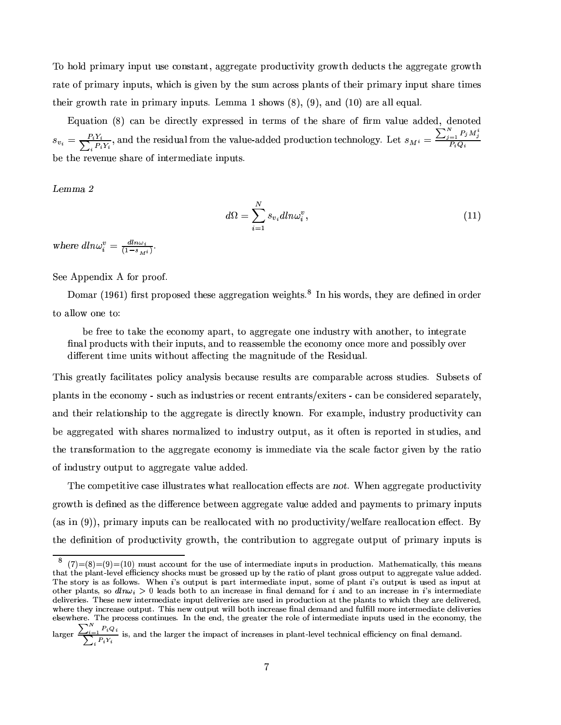omenie do state do state do state do state do state do state do state do state do state do state do state do s rate of primary inputs, which is given by the sum across plants of their primary input share times  $\blacksquare$  . The set of the set of the set of the set of the set of the set of the set of the set of the set of the set of the set of the set of the set of the set of the set of the set of the set of the set of the set of the

Equation (8) can be directly expressed in terms of the share of firm value added, denoted  $v_i = \frac{P_i Y_i}{\sum P_i Y_i}$ , and %, and the residual from the value-added production technology. Let  $s_{M^i} = \frac{\sum_{j=1}^{N} P_j M_j^i}{P_i Q_i}$  $P: U \mapsto V$  , where  $V$ be the revenue share of intermediate inputs.

- <sup>U</sup>

$$
d\Omega = \sum_{i=1}^{N} s_{v_i} dln\omega_i^v, \qquad (11)
$$

where  $dln\omega_i^v = \frac{dln\omega_i}{(1-s_i)}$ .

2¤w¤ (©M©.¤a¨M¥M¯5Ò ( ¹«Fª ©Mªr«]«F¹¼

Domar (1961) first proposed these aggregation weights.<sup>8</sup> In his words, they are defined in order to allow one to:

be free to take the economy apart, to aggregate one industry with another, to integrate §{¨{´F¸~©MªG«~¥M¬MQ®G¶²o¯5®G³t®G³4¤a¯1ªÀ¯1¨4©{¬4®G¶a¿k´F¨{¥t®x«ªG¤a´F¶G¶x¤aº89{¸5¤®G³4¤¤aQ«3¨M«3º :Á«3¨MQ¤ º«FªG¤ ´F¨M¥t©.«3¶G¶G¯59l¸5:f«°F¤wª different time units without affecting the magnitude of the Residual.

This greatly facilitates policy analysis because results are comparable across studies. Subsets of plants in the economy - such as industries or recent entrants/exiters - can be considered separately, ´F¨M¥Î®G³4¤a¯5ªoªr¤a¸1´k®G¯5«3¨M¶G³{¯5©¦®x«Æ®G³M¤Ã´k±F±FªG¤w±3´k®x¤Á¯1¶Å¥M¯5ªG¤aQ®G¸1:=Â~¨4«²o¨"¼ á4«Fª¤QÒ4´FºÁ©{¸5¤F¿#¯1¨M¥M¬M¶G®xªG:W©{ªG«¥{¬MQ®G¯5°~¯5®:w´F¨ 9.¤Æ´k±F±FªG¤w±3´k®x¤a¥ß²Å¯5®G³ ¶G³M´kªr¤a¶8¨4«Fªº´F¸1¯-w¤a¥®x«¯1¨M¥{¬M¶x®xªG:p«3¬4®x©{¬4®w¿´F¶Ã¯5® «F¹®x¤a¨·¯I¶ªG¤w©.«FªG®x¤a¥·¯1¨(¶x®G¬{¥M¯5¤a¶w¿´F¨M¥ the transformation to the aggregate economy is immediate via the scale factor given by the ratio of industry output to aggregate value added.

The competitive case illustrates what reallocation effects are not. When aggregate productivity ±FªG«² ®G³¯1¶B¥M¤w§{¨4¤a¥Æ´F¶6®G³4¤¥M¯%Ç.¤wªG¤a¨MQ¤Å9.¤w®²6¤w¤a¨-´k±F±FªG¤w±3´k®x¤f°d´F¸I¬4¤Å´F¥M¥M¤a¥W´F¨M¥W©{´:ºÁ¤a¨]®G¶®x«Ã©Mªr¯1º´kªr:t¯I¨4©{¬4®G¶ (as in (9)), primary inputs can be reallocated with no productivity/welfare reallocation effect. By ®G³4¤¥4¤w§{¨M¯1®G¯5«3¨ «F¹ ©{ªG«¥{¬MQ®G¯5°~¯5®:±FªG«² ®G³"¿À®G³4¤Q«3¨]®xªr¯59{¬4®G¯1«3¨(®x«´k±F±FªG¤w±3´k®x¤¦«3¬M®x©{¬4®Ã«F¹ ©Mªr¯1ºÆ´kªG:¯1¨4©{¬4®G¶8¯1¶

j'O#'O#'k¾hÄ# Io`pcdehhn#or#pqnjg pt^fo`kfnjq?\_rjpwfhgwfh}\_sdepwf\_srb6opw`2\_srbgkn}ompt\_an#r¥¤ILdept^f.dept\_adjusu#:pt^\_a`cfdr`pt^dp?pt^f budr#pk¡Wuafhjfhu6f.\_afrm§`w^n=mv#`4'o`p4¯7f igknj`k`kf}µobµ¯#'pt^f gwdept\_an¹njq:b6usdjrjpigknj`k`4n#o=pwb6o=p?pwn¹dijigkfhi#depwf0edjusof dj}}f}¥¤The story is as follows. When i's output is part intermediate input, some of plant i's output is used as input at other plants, so  $d_n\omega_i>0$  leads both to an increase in final demand for i and to an increase in i's intermediate  $f$  deputes the distribution of the position  $f$  and  $f$  and  $f$  $\mathcal{A}$ rfml $\mathcal{A}$ n of the public formulation and the public function of the public function of the public function of the public function of the public function of the public function of the public function of the publi  $f=1$  for  $f=0$ igkan $f=0$ igkfarchafdepwferepwftdepwftdepwftdepwftdepwftdepwftdepwftdepwftdepwftdepwftdepwftdepwftdepwftdepwftdepwftdepwftdepwftdepwftdepwftdepwftdepwftdepwftdepwftdepwftdepwftdepwftdepwftdepwftdepwftdepwft

 $\sum_i$ ,  $F_i Q_i$  $, Y_i Y_i$ \_a`h7dr}§pt^f2usdgkijfhgpt^f2\_sbdmpnjq\_srmgkfd`kfh`>\_r,b6usdjrjpk¡Wusfmjfu7pwfhm^r\_adjuJf.\_afrmºn#r 7rdu¥}f.djr}¥¤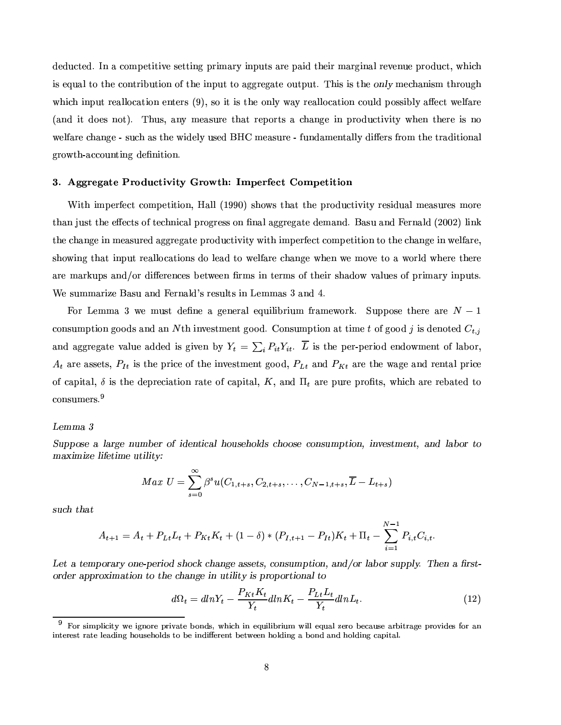¥4¤a¥M¬{Q®x¤a¥"¼cZ¨-´ÁQ«3º©#¤w®G¯1®G¯5°F¤¶x¤w®x®G¯1¨4±Á©{ªr¯1º´kªG:W¯1¨4©{¬4®G¶´kªG¤f©l´F¯1¥=®G³4¤a¯5ª º´kªG±3¯I¨M´F¸.ªG¤w°F¤a¨¬4¤f©MªG«~¥M¬MQ®w¿~²o³M¯Ir³ ¯1¶¤¬M´F¸.®x«®G³4¤Q«3¨]®xªr¯59l¬4®G¯5«3¨=«F¹\®G³M¤¯1¨4©{¬4®6®x«´k±F±FªG¤w±3´k®x¤Ã«3¬4®x©{¬4®w¼ B³M¯1¶¯1¶®G³4¤#ºÁ¤a³M´F¨M¯1¶Gº ®G³MªG«3¬4±3³ ®Ga'F,i°in a ∕i∖air a an an air an an an an a  $\Gamma$  and the second basic basic basic basic basic basic basic basic basic basic basic basic basic basic basic basic basic basic basic basic basic basic basic basic basic basic basic basic basic basic basic basic basic bas  $\bullet$  \* as to the second of the second of the second of the second of the second of the second of the second of the second of the second of the second of the second of the second of the second of the second of the second o ±FªG«² ®G³~¾´FwQ«3¬M¨]®G¯1¨4±=¥4¤w§{¨M¯5®G¯1«3¨"¼

#### ¡  { {4 Á >\ FW@= < F Y @\$?

With imperfect competition, Hall (1990) shows that the productivity residual measures more than just the effects of technical progress on final aggregate demand. Basu and Fernald (2002) link ®G³4¤r³{´F¨4±F¤¯1¨tºÁ¤a´F¶G¬4ªG¤a¥Ã´k±F±FªG¤w±3´k®x¤Å©MªG«~¥M¬MQ®G¯5°~¯5®:f²Å¯5®G³8¯IºÁ©.¤wªG¹@¤aQ®Q«3ºÁ©.¤w®G¯5®G¯5«3¨Ã®x«®G³4¤r³M´F¨M±F¤ ¯1¨ ²6¤a¸5¹T´kªG¤F¿ showing that input reallocations do lead to welfare change when we move to a world where there are markups and/or differences between firms in terms of their shadow values of primary inputs. ¢¤8¶r¬Mºº´kªr¯w¤ %´F¶G¬Î´F¨M¥¦á4¤wªr¨{´F¸1¥ ѶªG¤a¶r¬M¸5®G¶¯1¨y+¤aºº´F¶ <sup>Ó</sup> ´F¨{¥-Ü4¼

á4«FªÁ+¤aººÆ´ <sup>Ó</sup> ²B¤·º8¬M¶G®¦¥4¤w§{¨4¤ ´ß±F¤a¨M¤wªr´F¸f¤¬M¯1¸1¯59{ªr¯1¬Mº»¹ªr´FºÁ¤w²6«FªGÂ#¼ 2~¬4©{©#«3¶G¤Þ®G³4¤wªr¤(´kªG¤ - U£Õ consumption goods and an N<sup>th</sup> investment good. Consumption at time t of good s is denoted  $C$ . and aggregate value added is given by  $Y_t = \sum P_{it} Y_{it}$ . L is the per-period endowment of labor.  $\Lambda$  are aggate  $D$  is the price of the investment good  $D$  and  $D$  are the wage and rental price  $\blacksquare$  $\rm{consumes.}^9$ 

#### -MX

 $\alpha$  , and  $\alpha$  , and  $\alpha$  , and  $\alpha$  , and  $\alpha$  , and  $\alpha$  , and  $\alpha$  , and  $\alpha$  , and  $\alpha$ a 1 >0- 1!- Z-H, &c

$$
Max \, U = \sum_{s=0}^{\infty} \beta^s u(C_{1,t+s}, C_{2,t+s}, \dots, C_{N-1,t+s}, \overline{L} - L_{t+s})
$$

such that

$$
A_{t+1} = A_t + P_{Lt}L_t + P_{Kt}K_t + (1 - \delta) * (P_{I,t+1} - P_{It})K_t + \Pi_t - \sum_{i=1}^{N-1} P_{i,t}C_{i,t}.
$$

- -H\*3" -'&>\*-( 2M#/ !%( !\$#% &- WE- T !'),J#\* C %&\*) BFB ,@\*'\*76 #- \\$+& the contract of the contract of the contract of the contract of the contract of the contract of the contract of

$$
d\Omega_t = dlnY_t - \frac{P_{Kt}K_t}{Y_t}dlnK_t - \frac{P_{Lt}L_t}{Y_t}dlnL_t.
$$
\n(12)

njgc`w\_sb6us\_a\_p\$!lf.\_ai#rnjgkfbgw\_sedepwfI¯7n#r}`hl ^\_a^£\_srYf¼=o\_us\_a¯gw\_sol \_susufh¼odjuÆhfhgknº¯7fmdjo`kfµdegk¯6\_pwgwdijfIbgkn\_s}fh`cqnjgcdr\_srjpwfhgkfh`p gwdepwf2uafdj}\_sriµ^n#o`kf^n#us}`pwn¯7f¹\_sr}\_®:fhgkfrjp>¯7fp\$lfhfhrº^n#us}\_riµd'¯7n#r}ºdjr},^n#us}\_ri.db\_aptduA¤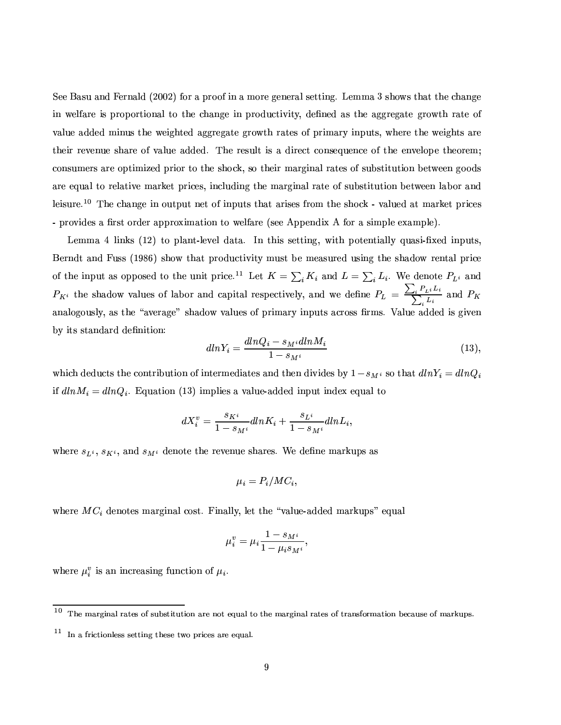$\blacksquare$  and the form and the form and the fact form and the fact form and form and fact form and form and form and form and form and form and form and form and form and form and form and form and form and form and form and ¯1¨(²B¤a¸5¹T´kªG¤=¯1¶©Mªr«F©#«Fªr®G¯5«3¨M´F¸®x«p®G³4¤W³M´F¨4±F¤¯1¨ ©{ªG«¥{¬MQ®G¯5°~¯5®:F¿¥4¤w§{¨4¤a¥·´F¶ ®G³4¤=´k±F±FªG¤w±3´k®x¤-±FªG«² ®G³ªr´k®x¤W«F¹ °k`F≈m¥a°k±F±F±F±F=Fam¥a°ka°ka°a°ka°ana a∞ana a∞ana a∞ana a∞ana a∞ana a∞ana a∞ana a∞ana a∞ana a∞ana a∞ana a∞ana a∞ana a∞ana a∞ana a∞ana a∞ana a∞ana a∞ana a∞ana a∞ana a∞ana a∞ana a∞ana a∞ana a∞ana a∞ana a∞ana a∞ana a∞ana a ®G³4¤a¯5ª8ªG¤w°F¤a¨¬4¤=¶r³M´kªG¤Æ«F¹°k´F¸1¬4¤=´F¥M¥4¤a¥"¼ B³4¤ªG¤a¶r¬M¸5®8¯I¶ ´Î¥{¯5ªG¤aQ®8Q«3¨{¶x¤]¬M¤a¨MQ¤W«F¹®G³M¤W¤a¨]°F¤a¸5«F©.¤Æ®G³4¤w«Fªr¤aº Q«3¨M¶G¬{ºÁ¤wªr¶ ´kªG¤ «F©M®G¯1º¯-w¤a¥©{ªr¯5«Fª®x«®G³4¤8¶G³4«~GÂ#¿{¶x«®G³4¤a¯1ªoº´kªG±3¯1¨{´F¸.ªr´k®x¤a¶ «F¹¶G¬49l¶x®G¯5®G¬4®G¯5«3¨=9.¤w®²6¤w¤a¨¦±F««~¥M¶ are equal to relative market prices, including the marginal rate of substitution between labor and  $\frac{1}{40}$ r $\frac{1}{40}$ - provides a first order approximation to welfare (see Appendix A for a simple example).

+¤aºº´Ü(¸I¯1¨4Â~¶ÀCYÕ=3:EÁ®x« ©{¸1´F¨]®Y¾¸5¤w°F¤a¸ ¥{´k®G´~¼ ZY¨ß®G³M¯1¶Á¶x¤w®x®G¯I¨4±4¿B²Å¯5®G³à©.«F®x¤a¨b®G¯1´F¸I¸5: ¬M´F¶G¯5¾§4Ò¤a¥ß¯I¨4©{¬4®G¶w¿ Berndt and Fuss (1986) show that productivity must be measured using the shadow rental price of the input as opposed to the unit price.<sup>11</sup> Let  $K = \sum K_i$  and  $L = \sum L_i$ . We denote  $P_{Li}$  and  $P_{K^i}$  the shadow values of labor and capital respectively, and we define  $P_L = \frac{\sum_i P_{L^i} L_i}{\sum_i L_i}$  and  $P_K$ ´F¨M´F¸5«F±F«3¬{¶G¸5:F¿.´F¶Å®G³M¤ÞÏx´a°F¤wª´k±F¤aЦ¶G³M´F¥4«² °d´F¸1¬M¤a¶ «F¹À©Mª¯1º´kªG:¯1¨4©{¬M®G¶o´FQªG«3¶G¶§Mªº¶w¼.-À´F¸1¬4¤t´F¥M¥4¤a¥Þ¯1¶Å±3¯5°F¤a¨ by its standard definition:

$$
dlnY_i = \frac{dlnQ_i - s_M i dlnM_i}{1 - s_M i} \tag{13},
$$

which deducts the contribution of intermediates and then divides by  $1-s_{M^i}$  so that  $dlnY_i=dlnQ_i$ ¯5¹ ¥F\$G R ¥F\$G Kx¼ ]¬{´k®G¯5«3¨SCYÕ <sup>Ó</sup> E¯IºÁ©{¸1¯5¤a¶´t°k´F¸1¬4¤Q¾´F¥M¥M¤a¥¦¯1¨4©{¬M®6¯1¨{¥4¤QÒW¤¬M´F¸"®x«

$$
dX_i^v = \frac{s_{K^i}}{1 - s_{M^i}} dlnK_i + \frac{s_{L^i}}{1 - s_{M^i}} dlnL_i,
$$

where  $s_{L^i},\,s_{K^i},$  and  $s_{M^i}$  denote the revenue shares. We define markups as

$$
\mu_i = P_i/MC_i,
$$

° a≠wa sama ang manang manang manang manang manang manang manang manang manang manang manang manang manang mana

$$
\mu_i^v = \mu_i \frac{1 - s_{M^i}}{1 - \mu_i s_{M^i}},
$$

 $\mathbf{a}$  and  $\mathbf{a}$  is the  $\mathbf{a}$  substitution of  $\mathbf{a}$ 

<sup>@</sup> $\overline{0}$   $\overline{0}$  and  $\overline{1}$  and  $\overline{2}$  rnpofinational representation function  $\overline{2}$ 

 $\Box$  and ruafh $\Box$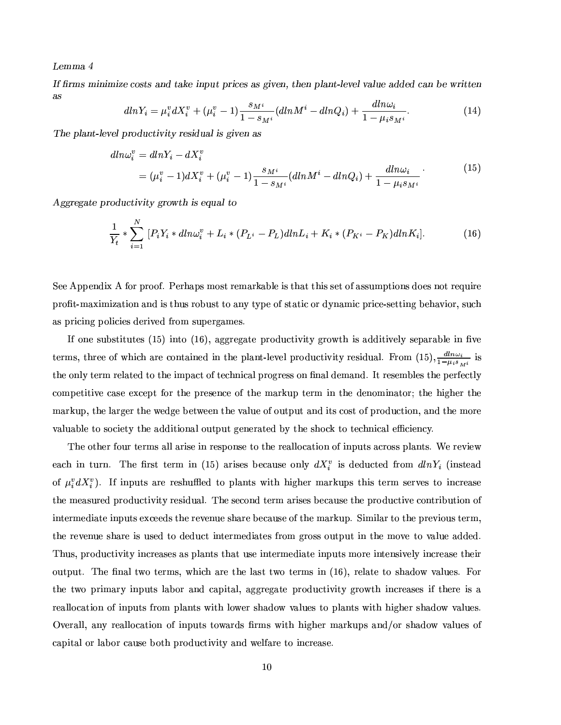Lemma 4

If firms minimize costs and take input prices as given, then plant-level value added can be written  $as$ 

$$
dlnY_i = \mu_i^v dX_i^v + (\mu_i^v - 1) \frac{s_{M^i}}{1 - s_{M^i}} (dlnM^i - dlnQ_i) + \frac{dln\omega_i}{1 - \mu_i s_{M^i}}.
$$
 (14)

The plant-level productivity residual is given as

$$
dln\omega_i^v = dlnY_i - dX_i^v
$$
  
=  $(\mu_i^v - 1)dX_i^v + (\mu_i^v - 1)\frac{s_{M^i}}{1 - s_{M^i}}(dlnM^i - dlnQ_i) + \frac{dln\omega_i}{1 - \mu_i s_{M^i}}$  (15)

Aggregate productivity growth is equal to

$$
\frac{1}{Y_t} * \sum_{i=1}^N [P_i Y_i * dln\omega_i^v + L_i * (P_{L^i} - P_L) dlnL_i + K_i * (P_{K^i} - P_K) dlnK_i].
$$
\n(16)

See Appendix A for proof. Perhaps most remarkable is that this set of assumptions does not require profit-maximization and is thus robust to any type of static or dynamic price-setting behavior, such as pricing policies derived from supergames.

If one substitutes (15) into (16), aggregate productivity growth is additively separable in five terms, three of which are contained in the plant-level productivity residual. From (15),  $\frac{d\ln\omega_i}{1-\mu_i s_{M}i}$  is the only term related to the impact of technical progress on final demand. It resembles the perfectly competitive case except for the presence of the markup term in the denominator; the higher the markup, the larger the wedge between the value of output and its cost of production, and the more valuable to society the additional output generated by the shock to technical efficiency.

The other four terms all arise in response to the reallocation of inputs across plants. We review each in turn. The first term in (15) arises because only  $dX_i^v$  is deducted from  $dlnY_i$  (instead of  $\mu_i^v dX_i^v$ ). If inputs are reshuffled to plants with higher markups this term serves to increase the measured productivity residual. The second term arises because the productive contribution of intermediate inputs exceeds the revenue share because of the markup. Similar to the previous term. the revenue share is used to deduct intermediates from gross output in the move to value added. Thus, productivity increases as plants that use intermediate inputs more intensively increase their output. The final two terms, which are the last two terms in (16), relate to shadow values. For the two primary inputs labor and capital, aggregate productivity growth increases if there is a reallocation of inputs from plants with lower shadow values to plants with higher shadow values. Overall, any reallocation of inputs towards firms with higher markups and/or shadow values of capital or labor cause both productivity and welfare to increase.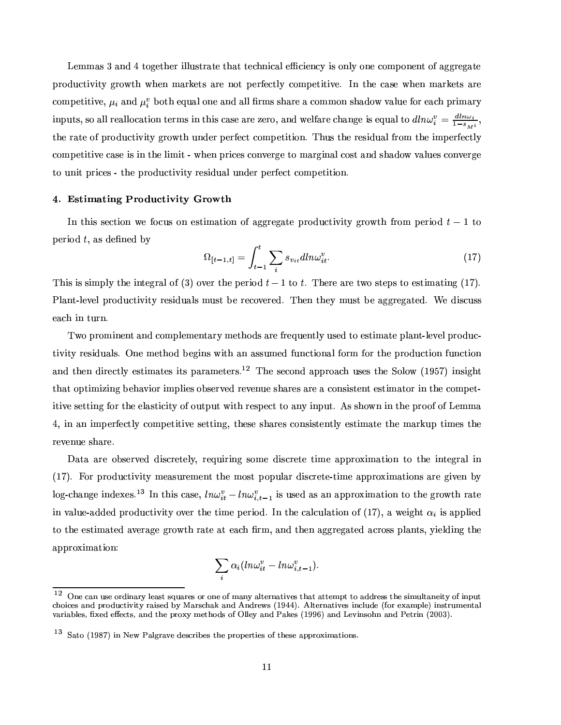$\bullet$  as the original of the state of the state of the state of the state of the state of the state of the state of the state of the state of the state of the state of the state of the state of the state of the state of th ©MªG«~¥M¬MQ®G¯1°¯5®:±FªG«² ®G³²o³M¤a¨(º´kªGÂF¤w®G¶Á´kªr¤=¨4«F®Ã©.¤wªG¹¤aQ®G¸5: Q«3ºÁ©.¤w®G¯5®G¯5°F¤F¼Z¨·®G³4¤w´F¶x¤W²Å³4¤a¨·ºÆ´kªGÂF¤w®G¶Á´kªG¤ Q«3ºÁ©.¤w®G¯5®G¯5°F¤F¿ ´F¨M¥ 9.«F®G³Á¤]¬{´F¸4«3¨4¤ ´F¨M¥´F¸I¸~§Mªrº¶¶G³{´kªG¤o´fQ«3ººÁ«3¨W¶G³M´F¥4«²µ°k´F¸1¬4¤¹«FªÀ¤a´Fr³W©Mªr¯1ºÆ´kªG: inputs, so all reallocation terms in this case are zero, and welfare change is equal to  $dln \omega_i^v = \frac{dln \omega_i}{1 - \epsilon}$ ,  $\blacksquare$  a contract  $\blacksquare$  and the set of the set of the set of the set of the set of the set of the set of the set of the set of the set of the set of the set of the set of the set of the set of the set of the set of the s competitive case is in the limit - when prices converge to marginal cost and shadow values converge ®x«Æ¬M¨{¯5®©Mªr¯1Q¤a¶6¾Ë®G³M¤©MªG«~¥M¬MQ®G¯5°~¯5®:ªG¤a¶G¯1¥{¬M´F¸.¬M¨M¥4¤wª©.¤wªG¹¤aQ® Q«3ºÁ©.¤w®G¯5®G¯5«3¨"¼

#### ¡-w(M F@=

ZY¨ ®G³M¯I¶¶x¤aQ®G¯5«3¨·²B¤W¹@«~w¬M¶ «3¨ ¤a¶x®G¯1ºÆ´k®G¯5«3¨ «F¹ ´k±F±FªG¤w±3´k®x¤-©{ªG«¥{¬MQ®G¯5°~¯5®:Þ±FªG«² ®G³·¹ªG«3º,©.¤wªr¯5«~¥64IUÌÕÆ®x« period  $t$ , as defined by

$$
\Omega_{[t-1,t]} = \int_{t-1}^{t} \sum_{i} s_{v_{it}} dln \omega_{it}^{v}.
$$
\n(17)

<sup>B</sup>³M¯I¶Ë¯1¶¶G¯1º©{¸5:îG³4¤f¯1¨b®x¤w±Fª´F¸l«F¹'C <sup>Ó</sup> EÀ«°F¤wª ®G³4¤©.¤wªr¯5«~¥94U Õ®x«Q4¼ B³M¤wªG¤Å´kªG¤®²B«Á¶x®x¤w©{¶6®x«t¤a¶x®G¯1ºÆ´k®G¯1¨4±yCYÕÙ7E¼ )˸I´F¨b®Y¾¸5¤w°F¤a¸©Mªr«¥M¬{Q®G¯5°¯1®:-ªG¤a¶G¯I¥M¬M´F¸1¶Åº8¬M¶G®Å9.¤ÃªG¤aQ«°F¤wªG¤a¥¼ B³4¤a¨Þ®G³4¤w:޺ìM¶x®9.¤Ã´k±F±Fªr¤w±3´k®x¤a¥"¼ ¢¤¥M¯I¶Gw¬M¶G¶ each in turn.

Two prominent and complementary methods are frequently used to estimate plant-level productivity residuals. One method begins with an assumed functional form for the production function and then directly estimates its parameters.<sup>12</sup> The second approach uses the Solow (1957) insight that optimizing behavior implies observed revenue shares are a consistent estimator in the compet-¯5®G¯5°F¤Å¶x¤w®x®G¯1¨4±8¹@«FªB®G³4¤ ¤a¸1´F¶x®G¯Iw¯5®:Á«F¹.«3¬4®x©{¬M®À²o¯5®G³Áªr¤a¶x©.¤aQ®Ë®x«8´F¨]:Á¯1¨4©{¬M®w¼ (¶Ë¶G³M«²o¨W¯1¨Á®G³4¤Å©MªG««F¹l«F¹0+¤aºº´  $\ddot{4}$ , in an imperfectly competitive setting, these shares consistently estimate the markup times the revenue share.

1´k®G´ß´kªG¤p«F9{¶x¤wªG°F¤a¥É¥M¯1¶rQªG¤w®x¤a¸5:F¿ ªG¤¬M¯5ª¯1¨4± ¶x«3ºÁ¤¥M¯1¶rQªG¤w®x¤Î®G¯1º¤Þ´k©M©Mªr«aÒ4¯1º´k®G¯5«3¨ ®x«·®G³M¤p¯1¨]®x¤w±Fªr´F¸¯1¨ (17). For productivity measurement the most popular discrete-time approximations are given by log-change indexes.<sup>13</sup> In this case,  $ln \omega_{i}^{v} - ln \omega_{i}^{v}$ , is used as an approximation to the growth rate  $\blacksquare$  . The state of the state of the state of the state of the state of the state of the state of the state of the state of the state of the state of the state of the state of the state of the state of the state of the ®x«Á®G³4¤f¤a¶x®G¯Iº´k®x¤a¥¦´a°F¤wª´k±F¤8±FªG«² ®G³-ªr´k®x¤´k®o¤a´Fr³-§Mªº-¿4´F¨M¥®G³4¤a¨¦´k±F±FªG¤w±3´k®x¤a¥p´FQªG«3¶G¶ ©{¸1´F¨]®G¶w¿4:¯1¤a¸1¥M¯1¨4±8®G³4¤ approximation:

$$
\sum_i \alpha_i (ln\omega_{it}^v - ln\omega_{i,t-1}^v).
$$

<sup>@</sup> $2\,\infty$  and reformed anglogeneouptdirfondgaphypunadje. choices and productivity raised by Marschak and Andrews (1944). Alternatives include (for example) instrumental variables, fixed effects, and the proxy methods of Olley and Pakes (1996) and Levinsohn and Petrin (2003).

 $^{13}$  different in the softman profile began profile began profile began profile began profile began profile began profile began profile began profile began profile began profile began profile began profile began profile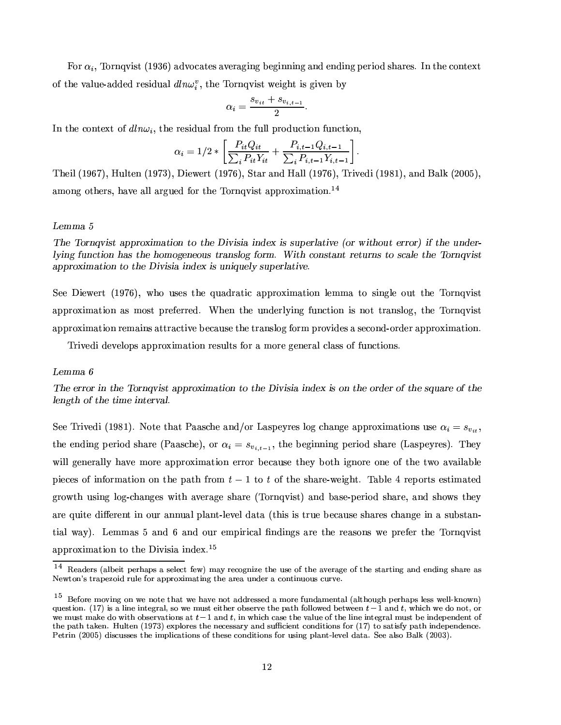For  $\alpha_i$ , Tornqvist (1936) advocates averaging beginning and ending period shares. In the context of the value-added residual  $dln\omega_i^v$ , the Tornqvist weight is given by

$$
\alpha_i = \frac{s_{v_{it}} + s_{v_{i,t-1}}}{2}.
$$

In the context of  $dln\omega_i$ , the residual from the full production function,

$$
\alpha_i = 1/2 * \left[ \frac{P_{it} Q_{it}}{\sum_i P_{it} Y_{it}} + \frac{P_{i,t-1} Q_{i,t-1}}{\sum_i P_{i,t-1} Y_{i,t-1}} \right].
$$

Theil (1967), Hulten (1973), Diewert (1976), Star and Hall (1976), Trivedi (1981), and Balk (2005), among others, have all argued for the Tornqvist approximation.<sup>14</sup>

### Lemma 5

The Torngvist approximation to the Divisia index is superlative (or without error) if the underlying function has the homogeneous translog form. With constant returns to scale the Tornqvist approximation to the Divisia index is uniquely superlative.

See Diewert (1976), who uses the quadratic approximation lemma to single out the Tornqvist approximation as most preferred. When the underlying function is not translog, the Tornqvist approximation remains attractive because the translog form provides a second-order approximation.

Trived develops approximation results for a more general class of functions.

#### Lemma 6

The error in the Tornqvist approximation to the Divisia index is on the order of the square of the length of the time interval.

See Trivedi (1981). Note that Paasche and/or Laspeyres log change approximations use  $\alpha_i = s_{v_{it}}$ , the ending period share (Paasche), or  $\alpha_i = s_{v_{i,t-1}}$ , the beginning period share (Laspeyres). They will generally have more approximation error because they both ignore one of the two available pieces of information on the path from  $t-1$  to t of the share-weight. Table 4 reports estimated growth using log-changes with average share (Tornqvist) and base-period share, and shows they are quite different in our annual plant-level data (this is true because shares change in a substantial way). Lemmas 5 and 6 and our empirical findings are the reasons we prefer the Tornqvist approximation to the Divisia index.<sup>15</sup>

<sup>14</sup> Readers (albeit perhaps a select few) may recognize the use of the average of the starting and ending share as Newton's trapezoid rule for approximating the area under a continuous curve.

<sup>&</sup>lt;sup>15</sup> Before moving on we note that we have not addressed a more fundamental (although perhaps less well-known) question. (17) is a line integral, so we must either observe the path followed between  $t-1$  and t, which we do not, or we must make do with observations at  $t-1$  and  $t$ , in which case the value of the line integral must be independent of the path taken. Hulten  $(1973)$  explores the necessary and sufficient conditions for  $(17)$  to satisfy path independence. Petrin (2005) discusses the implications of these conditions for using plant-level data. See also Balk (2003).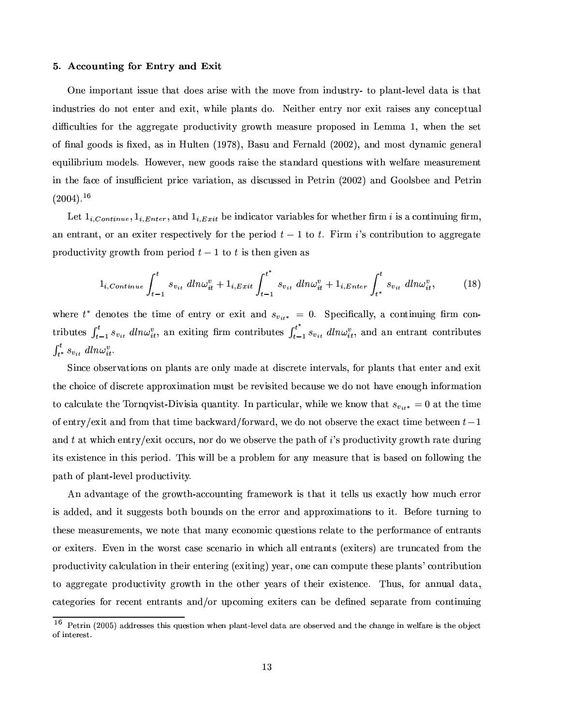#### ¡= 3 :?># {-º#µ -@

One important issue that does arise with the move from industry- to plant-level data is that industries do not enter and exit, while plants do. Neither entry nor exit raises any conceptual ¥M¯Ww¬M¸5®G¯5¤a¶Á¹«FªÆ®G³M¤p´k±F±FªG¤w±3´k®x¤©{ªG«¥{¬MQ®G¯5°~¯5®:±FªG«²o®G³ ºÁ¤a´F¶r¬4ªG¤p©MªG«F©.«3¶x¤a¥µ¯1¨+¤aººÆ´ Õk¿ ²o³M¤a¨µ®G³4¤p¶x¤w® of final goods is fixed, as in Hulten (1978), Basu and Fernald (2002), and most dynamic general equilibrium models. However, new goods raise the standard questions with welfare measurement ¯1¨(®G³4¤Æ¹T´FQ¤W«F¹ ¯I¨M¶G¬Æw¯1¤a¨b®f©Mª¯1Q¤°k´kªr¯1´k®G¯5«3¨"¿´F¶Ã¥M¯1¶Gw¬M¶r¶x¤a¥ ¯1¨»)\¤w®xª¯1¨Ck36575:3:E8´F¨M¥ ««3¸1¶x9.¤w¤Æ´F¨M¥ )¤w®xªr¯1¨  $(2004).^{16}$ 

Let  $1, \alpha, \ldots, 1, \pi, \ldots$  and  $1, \pi, \ldots$  be indicator variables for whether firm s is a continuing firm an entrant, or an exiter respectively for the period  $t-1$  to  $t$ . Firm  $i$ 's contribution to aggregate ©MªG«~¥M¬MQ®G¯1°¯5®:±FªG«² ®G³¦¹ªG«3º©.¤wªr¯5«~¥ 4>U Õf®x«94¯1¶®G³4¤a¨-±3¯1°F¤a¨¦´F¶

$$
1_{i,Continue} \int_{t-1}^{t} s_{v_{it}} \, d\mathit{ln}\omega_{it}^{v} + 1_{i, Ext} \int_{t-1}^{t^{*}} s_{v_{it}} \, d\mathit{ln}\omega_{it}^{v} + 1_{i, Enter} \int_{t^{*}}^{t} s_{v_{it}} \, d\mathit{ln}\omega_{it}^{v}, \tag{18}
$$

where  $t^*$  denotes the time of entry or exit and  $s_{\cdots} = 0$ . Specifically a continuing firm contributes  $\int_{t-1}^t s_{v_{it}} dm \omega_{it}^v$ , an exiting firm contributes  $\int_{t-1}^{t^*} s_{v_{it}} dm \omega_{it}^v$ , and an entrant contributes  $\int_{-\infty}^{\infty} s_n d\ln(\omega^n)$ 

2~¯I¨MQ¤«F9{¶x¤wªr°d´k®G¯5«3¨{¶ «3¨Þ©{¸1´F¨]®G¶o´kªG¤8«3¨M¸5:º´F¥4¤8´k®¥M¯1¶rQªG¤w®x¤ ¯1¨]®x¤wªG°k´F¸1¶w¿M¹«Fªo©{¸I´F¨b®G¶o®G³M´k®Å¤a¨]®x¤wª´F¨M¥¦¤QÒ4¯5® the choice of discrete approximation must be revisited because we do not have enough information to calculate the Tornovist-Divisia quantity. In particular, while we know that  $s_{\cdots} = 0$  at the time «F¹#¤a¨b®xªG:MȤQÒ4¯5®Ë´F¨M¥t¹ªG«3º ®G³M´k®®G¯IºÁ¤9{´FG²´kªr¥lȹ«FªG²6´kª¥"¿3²6¤o¥4«¨4«F®«F9{¶G¤wªG°F¤®G³4¤ ¤QÒ4´FQ®À®G¯1ºÁ¤9.¤w®²B¤w¤a¨84U-Õ ´F¨M¥ 4À´k®Ë²o³M¯Ir³Á¤a¨]®xªG:MȤQÒ~¯5®6«~ww¬4ªr¶w¿¨4«FªB¥4«8²B¤Å«F9{¶x¤wªG°F¤®G³4¤ ©l´k®G³Æ«F¹ ѶB©MªG«~¥M¬MQ®G¯1°¯5®:8±Fªr«² ®G³Wªr´k®x¤Å¥{¬4ªr¯1¨4± ¯5®G¶¤QÒ4¯1¶x®x¤a¨{Q¤8¯1¨®G³M¯I¶©.¤wªr¯5«~¥"¼ B³M¯1¶²Å¯1¸1¸#9.¤´Á©MªG«F9{¸1¤aº ¹@«Fª´F¨b:-ºÁ¤a´F¶G¬MªG¤®G³M´k®o¯I¶9{´F¶x¤a¥Î«3¨-¹@«3¸I¸5«²o¯I¨4±Á®G³4¤ path of plant-level productivity.

 $\blacksquare$  and the contraction of the contraction of the contraction of the contraction of the contraction of the contraction of the contraction of the contraction of the contraction of the contraction of the contraction of t is added, and it suggests both bounds on the error and approximations to it. Before turning to ®G³4¤a¶x¤ÃºÁ¤a´F¶G¬4ªr¤aºÁ¤a¨b®G¶a¿{²6¤ ¨4«F®x¤ ®G³{´k®Åº´F¨]:-¤aQ«3¨4«3º¯1]¬4¤a¶G®G¯5«3¨M¶ ªr¤a¸1´k®x¤ ®x«W®G³4¤©.¤wªG¹«Fªrº´F¨MQ¤«F¹¤a¨]®xªr´F¨]®G¶ or exiters. Even in the worst case scenario in which all entrants (exiters) are truncated from the ©MªG«~¥M¬MQ®G¯1°¯5®: w´F¸1w¬M¸I´k®G¯5«3¨Á¯1¨Ã®G³4¤a¯5ª¤a¨]®x¤wªr¯1¨4±·C¤QÒ4¯5®G¯1¨4±JE\:F¤a´kª¿b«3¨4¤ w´F¨Q«3º©{¬4®x¤®G³4¤a¶x¤©l¸1´F¨b®G¶ kQ«3¨]®xªr¯59l¬4®G¯5«3¨ ®x«·´k±F±Fªr¤w±3´k®x¤©MªG«~¥M¬MQ®G¯5°~¯5®:±FªG«² ®G³ ¯I¨µ®G³4¤Þ«F®G³4¤wªÆ:F¤a´kªr¶=«F¹f®G³4¤a¯1ªÆ¤QÒ4¯1¶x®x¤a¨MQ¤F¼ B³¬M¶w¿¹«FªW´F¨M¨¬M´F¸Å¥M´k®G´~¿ categories for recent entrants and/or upcoming exiters can be defined separate from continuing

 $^{16}$  fm  $^{16}$   $^{16}$   $^{16}$   $^{16}$   $^{16}$   $^{16}$ of interest.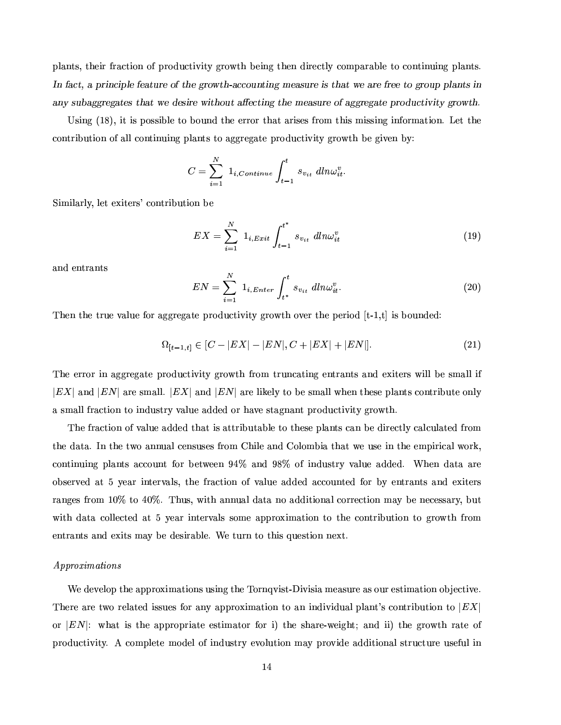©{¸1´F¨]®G¶w¿#®G³4¤a¯5ª¹@ª´FQ®G¯5«3¨p«F¹À©MªG«~¥M¬MQ®G¯5°~¯5®:=±Fªr«² ®G³p9.¤a¯1¨4±W®G³4¤a¨Þ¥{¯5ªG¤aQ®G¸5:¦Q«3ºÁ©l´kªr´k9{¸5¤Ã®x«=Q«3¨]®G¯1¨¬M¯1¨4±W©{¸1´F¨]®G¶w¼ -b!!. 4\* ! \*-G!- E,W-4"! #- <J]#&!!2, M-W),J- 1# G]- "-%!Z-- <T2,@\*b\*% %,'F<- - # ]-# - 1-#] #/2, "P-! #-4-W),W-R"! <- - \*T2, !  <TJ]# <sup>6</sup>

½¶G¯1¨4±ÁCYÕaØ:E¿#¯5®Å¯1¶©.«3¶G¶G¯59l¸5¤®x«Æ9.«3¬M¨M¥®G³4¤8¤wªGªG«FªÅ®G³M´k®o´kªr¯1¶G¤a¶ ¹ªG«3º ®G³M¯I¶ º¯1¶G¶r¯1¨4±Á¯1¨4¹«Fªrº´k®G¯5«3¨¼I+¤w®Å®G³4¤ Q«3¨]®xªr¯59{¬4®G¯1«3¨«F¹´F¸1¸Q«3¨b®G¯1¨¬M¯1¨M±Ã©l¸1´F¨b®G¶ ®x«Æ´k±F±FªG¤w±3´k®x¤Ã©MªG«~¥M¬MQ®G¯5°~¯5®:W±FªG«²o®G³¦9.¤±3¯5°F¤a¨¦9:?/

$$
C = \sum_{i=1}^{N} 1_{i,Continue} \int_{t-1}^{t} s_{v_{it}} dm \omega_{it}^{v}.
$$

2~¯1ºÆ¯1¸1´kªr¸5:F¿¸5¤w® ¤QÒ4¯5®x¤wªr¶1 MQ«3¨]®xªr¯59l¬4®G¯5«3¨9.¤

$$
EX = \sum_{i=1}^{N} 1_{i,Exit} \int_{t-1}^{t^*} s_{v_{it}} \, dln\omega_{it}^v \tag{19}
$$

and entrants

$$
EN = \sum_{i=1}^{N} 1_{i,Enter} \int_{t^*}^{t} s_{v_{it}} \, dln\omega_{it}^v.
$$
 (20)

B³4¤a¨®G³M¤®xªr¬4¤f°k´F¸1¬4¤f¹«Fªo´k±F±FªG¤w±3´k®x¤Ã©MªG«~¥M¬MQ®G¯5°~¯5®:ƱFªG«² ®G³¦«°F¤wªo®G³4¤©.¤wªr¯1«¥ ®Y¾rÕk¿ ® ¯1¶9.«3¬M¨M¥4¤a¥/

$$
\Omega_{[t-1,t]} \in [C - |EX| - |EN|, C + |EX| + |EN|]. \tag{21}
$$

The error in aggregate productivity growth from truncating entrants and exiters will be small if . P`F¨M¥ - b`k°¤¤° - b`k°r¤° - b`k°r¤° - b`k°ran boshqaraq qoʻrgʻamaman boshqaraq qoʻrgʻamaman boshqaraq qoʻr ´¶GºÆ´F¸1¸.¹@ª´FQ®G¯5«3¨-®x«Æ¯1¨{¥M¬M¶x®xªG:ưd´F¸1¬M¤´F¥M¥4¤a¥«FªÅ³{´a°F¤ ¶x®G´k±3¨{´F¨b®Å©MªG«~¥M¬MQ®G¯5°~¯5®:ƱFªG«² ®G³¼

The fraction of value added that is attributable to these plants can be directly calculated from the data. In the two annual censuses from Chile and Colombia that we use in the empirical work. continuing plants account for between 94% and 98% of industry value added. When data are observed at 5 year intervals, the fraction of value added accounted for by entrants and exiters  $\blacksquare$  a  $\blacksquare$  and  $\blacksquare$  and  $\blacksquare$  and  $\blacksquare$  . Then  $\blacksquare$ with data collected at 5 year intervals some approximation to the contribution to growth from  $\bullet$  and a state of the state of the state of the state of the state of the state of the state of the state of the state of the state of the state of the state of the state of the state of the state of the state of the st

#### $A$ *pproximations*

¢¤¥4¤w°F¤a¸5«F©t®G³4¤6´k©M©MªG«Ò~¯Iº´k®G¯5«3¨M¶¬M¶G¯1¨M± ®G³4¤ B«Fªr¨b°~¯1¶x®Y¾t1¯5°~¯1¶G¯1´º¤a´F¶G¬4ªG¤´F¶«3¬Mª¤a¶G®G¯1º´k®G¯5«3¨8«F9
x¤aQ®G¯5°F¤F¼ There are two related issues for any approximation to an individual plant's contribution to  $|EX|$ «Fª - /²o³{´k®Æ¯1¶®G³M¤Î´k©M©MªG«F©{ªr¯1´k®x¤¦¤a¶x®G¯Iº´k®x«FªW¹«FªW¯\$EîG³4¤Î¶G³{´kªG¤Q¾²B¤a¯1±3³b® ´F¨M¥ ¯I¯WE8®G³4¤Î±Fªr«² ®G³ ªr´k®x¤Î«F¹ productivity. A complete model of industry evolution may provide additional structure useful in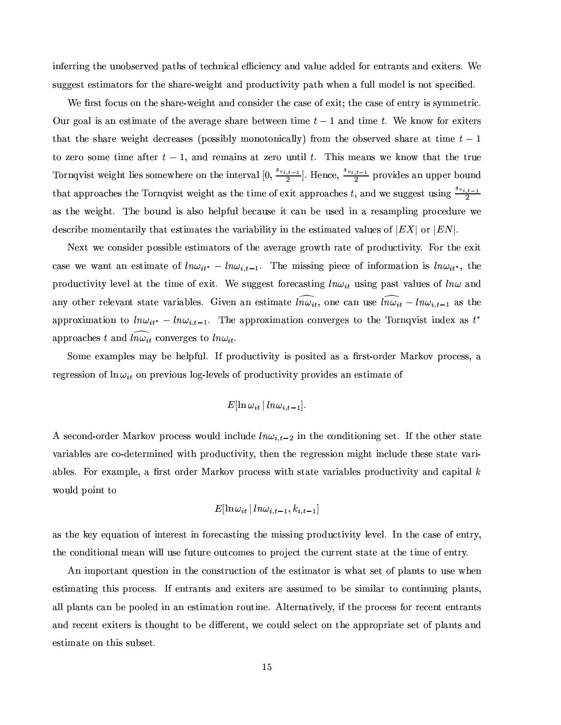inferring the unobserved paths of technical efficiency and value added for entrants and exiters. We ¶G¬4±F±F¤a¶G® ¤a¶x®G¯1º´k®x«Fª¶ ¹«Fª ®G³4¤ ¶G³{´kªG¤Q¾²B¤a¯1±3³b®o´F¨{¥©MªG«~¥M¬MQ®G¯5°~¯5®:W©{´k®G³-²o³M¤a¨-´Á¹¬{¸1¸.ºÁ«¥M¤a¸"¯1¶ ¨4«F® ¶x©.¤aw¯5§{¤a¥"¼

¢¤f§Mª¶x®B¹«~w¬M¶6«3¨®G³4¤¶r³M´kªG¤Q¾²6¤a¯5±3³b® ´F¨{¥=Q«3¨{¶G¯1¥4¤wª6®G³4¤fw´F¶x¤f«F¹¤QÒ4¯5® 4®G³4¤w´F¶x¤f«F¹¤a¨]®xªG:=¯1¶B¶G:ºº¤w®xªr¯1k¼ Our goal is an estimate of the average share between time  $t-1$  and time t. We know for exiters that the share weight decreases (possibly monotonically) from the observed share at time  $t-1$ ®x« w¤wªG«(¶G«3ºÁ¤®G¯1ºÁ¤¦´k¹®x¤wª94.U Õk¿B´F¨{¥àªG¤aº´F¯1¨M¶t´k® w¤wªr« ¬M¨b®G¯I¸ 4v¼ B³M¯1¶ÃºÁ¤a´F¨M¶Á²6¤-Â~¨4«²®G³M´k®Á®G³M¤-®xªr¬4¤  $\mathcal{S}_{\mathcal{B}}$  $\frac{t-1}{2}$ . H . Hence,  $\frac{s_v}{s_v}$  $\frac{i,i-1}{2}$  provides an upper bound that approaches the Tornqvist weight as the time of exit approaches t, and we suggest using  $\frac{v_{i,t-1}}{2}$  $\frac{S_{23}}{2}$ ´F¶Á®G³4¤²6¤a¯5±3³]®w¼ B³4¤9#«3¬{¨M¥à¯1¶t´F¸1¶x« ³4¤a¸5©{¹¬M¸Ë9.¤aw´F¬M¶x¤¦¯5®Áw´F¨ß9.¤-¬M¶x¤a¥à¯1¨ß´ªG¤a¶r´FºÁ©{¸1¯1¨M±Î©MªG«~Q¤a¥M¬4ªr¤W²6¤ ¥4¤a¶GQª¯59.¤º«3ºÁ¤a¨b®G´kª¯1¸5:Æ®G³{´k® ¤a¶x®G¯1º´k®x¤a¶o®G³4¤°k´kªr¯1´k9{¯I¸1¯5®:W¯1¨®G³4¤¤a¶x®G¯Iº´k®x¤a¥-°k´F¸1¬4¤a¶«F¹ P~«Fª - <sup>¼</sup>

®tandarda angaraha ang tanggalang mengangkan kalamat satu tanggot na masa satu tanggot na masa satu tanggalang menga case we want an estimate of  $ln_{\theta}u_{\theta\theta\theta} = ln_{\theta}u_{\theta\theta\theta}$ , The missing piece of information is  $ln_{\theta}u_{\theta\theta\theta}$  the productivity level at the time of exit. We suggest forecasting  $ln\omega_{it}$  using past values of  $ln\omega$  and any other relevant state variables. Given an estimate  $\widehat{m_{\theta}}$  one can use  $\widehat{m_{\theta}}$   $\widehat{m_{\theta}}$  =  $\widehat{m_{\theta}}$  + as the approximation to  $\ln u_{k,k} = \ln u_{k,k-1}$ . The approximation converges to the Tornovist index as  $t^*$ approaches t and  $\widehat{Inv}_{it}$  converges to  $Inv_{it}$ .

2«3º¤W¤QÒ4´FºÁ©{¸5¤a¶tº´: 9.¤W³4¤a¸1©M¹¬{¸j¼{Z¹©MªG«~¥M¬MQ®G¯5°~¯5®:¯1¶8©.«3¶G¯5®x¤a¥´F¶t´Î§Mª¶x®Y¾ «Fªr¥4¤wª )´kªrÂF«°©MªG«~Q¤a¶G¶w¿À´  $\blacksquare$  and the set of the set of the set of the set of the set of the set of the set of the set of the set of the set of the set of the set of the set of the set of the set of the set of the set of the set of the set of t

$$
E[\ln\omega_{it}\,|\, ln\omega_{i,t-1}].
$$

A second-order Markov process would include  $ln\omega_{i,t-2}$  in the conditioning set. If the other state variables are co-determined with productivity, then the regression might include these state vari-´k9{¸5¤a¶a¼Wá4«FªÃ¤QÒ~´Fº©{¸5¤F¿\´¦§Mªr¶x®«Fª¥4¤wª )´kªGÂF«° ©{ªG«Q¤a¶r¶f²o¯5®G³ ¶G®G´k®x¤Æ°k´kªr¯1´k9{¸5¤a¶©MªG«~¥M¬MQ®G¯5°~¯5®:p´F¨M¥ w´k©{¯1®G´F¸ would point to

$$
E[\ln\omega_{i\,t}\,|\,l n\omega_{i,t-1},k_{i,t-1}]
$$

as the key equation of interest in forecasting the missing productivity level. In the case of entry, ® active and a construction of the second service and a construction of the service and a construction of the service and a construction of the service and a construction of the service and a construction of the service a

An important question in the construction of the estimator is what set of plants to use when estimating this process. If entrants and exiters are assumed to be similar to continuing plants. all plants can be pooled in an estimation routine. Alternatively, if the process for recent entrants and recent exiters is thought to be different, we could select on the appropriate set of plants and estimate on this subset.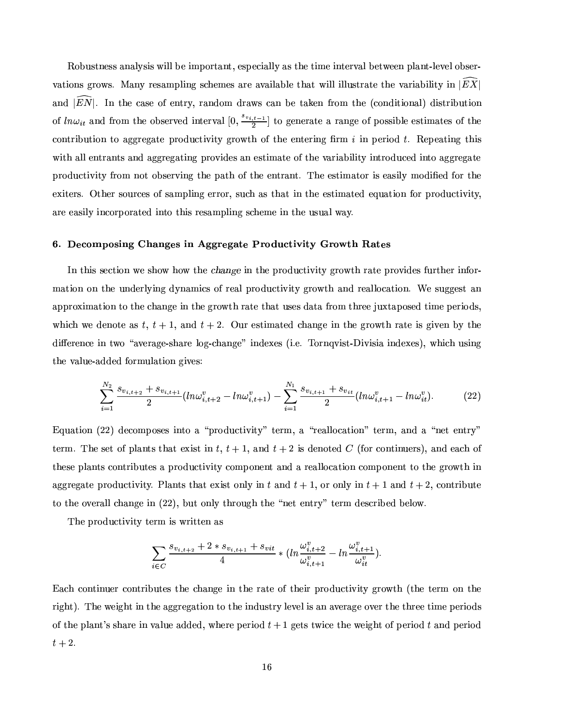os es a antista de la provincia de la construcción de la construcción de la construcción de la construcción de °k´k®G¯5«3¨M¶±FªG«²o¶w¼ )´F¨]:ÞªG¤a¶r´FºÁ©{¸1¯1¨M±W¶G³4¤aºÁ¤a¶´kªG¤´°d´F¯I¸1´k9{¸5¤Ã®G³M´k®f²o¯1¸I¸¯1¸1¸I¬M¶x®xªr´k®x¤Ã®G³4¤t°d´kª¯1´k9{¯1¸1¯1®:¦¯1¨ P  $\widehat{X}^{\bullet}$  ,  $\widehat{X}^{\bullet}$  ,  $\widehat{X}^{\bullet}$  ,  $\widehat{X}^{\bullet}$  ,  $\widehat{X}^{\bullet}$  ,  $\widehat{X}^{\bullet}$  ,  $\widehat{X}^{\bullet}$  ,  $\widehat{X}^{\bullet}$  ,  $\widehat{X}^{\bullet}$  ,  $\widehat{X}^{\bullet}$  ,  $\widehat{X}^{\bullet}$  ,  $\widehat{X}^{\bullet}$  ,  $\widehat{X}^{\bullet}$  ,  $\widehat{X}^{\bullet}$  ,  $\widehat{X}^{\bullet}$  $\frac{1}{2}$   $\frac{1}{2}$   $\frac{1}{2}$  $\frac{a,t-1}{2}$  to generate a range of possible estimates of the  $\blacksquare$ ²o¯5®G³´F¸1¸#¤a¨]®xªr´F¨]®G¶ ´F¨M¥-´k±F±FªG¤w±3´k®G¯1¨M±©MªG«°¯1¥M¤a¶6´F¨¤a¶G®G¯1º´k®x¤f«F¹®G³4¤°d´kªr¯I´k9{¯1¸1¯5®:¯1¨]®xªG«¥{¬MQ¤a¥¯1¨b®x«Á´k±F±FªG¤w±3´k®x¤ ©MªG«~¥M¬MQ®G¯1°¯5®:¹@ªG«3ºÛ¨4«F®«F9{¶x¤wªr°¯1¨M±®G³4¤Ã©{´k®G³p«F¹À®G³4¤Ã¤a¨b®xªr´F¨]®w¼ B³4¤8¤a¶x®G¯1º´k®x«Fªf¯1¶Å¤a´F¶G¯1¸1:¦ºÁ«¥{¯5§M¤a¥¦¹«Fª®G³4¤ exiters. Other sources of sampling error, such as that in the estimated equation for productivity. are easily incorporated into this resampling scheme in the usual way.

#### ¡ &y ¥2{ £\ Å ? { l4 Á \ FW@e-=4

ZY¨-®G³M¯1¶o¶x¤aQ®G¯5«3¨¦²6¤8¶r³4«² ³M«² ®G³M¤ !\$#%&-f¯1¨-®G³M¤©MªG«~¥M¬MQ®G¯5°~¯5®:ƱFªG«² ®G³¦ªr´k®x¤8©MªG«°¯1¥M¤a¶¹¬MªG®G³4¤wª ¯1¨4¹«Fªx¾ mation on the underlying dynamics of real productivity growth and reallocation. We suggest an ´k©M©Mªr«aÒ4¯1º´k®G¯5«3¨Á®x«Ã®G³4¤o³M´F¨4±F¤¯1¨Á®G³4¤Å±FªG«²o®G³Æªr´k®x¤Å®G³M´k®B¬{¶x¤a¶Ë¥M´k®G´ ¹@ªr«3º£®G³4ªG¤w¤ x¬4Ò®G´k©.«3¶x¤a¥Æ®G¯1ºÁ¤ ©.¤wªr¯5«~¥M¶w¿ which we denote as t,  $t + 1$ , and  $t + 2$ . Our estimated change in the growth rate is given by the ¥M¯%Ç.¤wªG¤a¨MQ¤t¯1¨Î®²6«µÏx´a°F¤wªr´k±F¤Q¾¶G³{´kªG¤Æ¸5«F±k¾³M´F¨4±F¤aÐ-¯1¨M¥M¤QÒ¤a¶CT¯j¼ ¤F¼ B«Fª¨Kb°~¯1¶x®Y¾t1¯5°~¯1¶G¯I´¯1¨M¥4¤QÒ~¤a¶eE¿.²o³M¯Ir³Î¬{¶G¯1¨4± the value-added formulation gives:

$$
\sum_{i=1}^{N_2} \frac{s_{v_{i,t+2}} + s_{v_{i,t+1}}}{2} (ln\omega_{i,t+2}^v - ln\omega_{i,t+1}^v) - \sum_{i=1}^{N_1} \frac{s_{v_{i,t+1}} + s_{v_{it}}}{2} (ln\omega_{i,t+1}^v - ln\omega_{it}^v).
$$
 (22)

Equation  $(22)$  decomposes into a "productivity" term, a "reallocation" term, and a "net entry" term. The set of plants that exist in t,  $t + 1$ , and  $t + 2$  is denoted C (for continuers), and each of ®anamagana na samagana na samagana na samagana na samagana na samagana na samagana na samagana na samagana na s aggregate productivity. Plants that exist only in t and  $t+1$  or only in  $t+1$  and  $t+2$  contribute to the overall change in (22), but only through the "net entry" term described below.

B³M¤f©MªG«~¥M¬MQ®G¯5°~¯5®:W®x¤wªrº ¯1¶ ² ªr¯5®x®x¤a¨-´F¶

$$
\sum_{i \in C} \frac{s_{v_{i,t+2}}+2*s_{v_{i,t+1}}+s_{vit}}{4}*(ln\frac{\omega_{i,t+2}^v}{\omega_{i,t+1}^v}-ln\frac{\omega_{i,t+1}^v}{\omega_{it}^v}).
$$

Each continuer contributes the change in the rate of their productivity growth (the term on the ªr¯5±3³]®eE¼ B³4¤²6¤a¯5±3³]®Ë¯1¨Á®G³4¤ ´k±F±Fªr¤w±3´k®G¯5«3¨=®x«®G³4¤o¯1¨{¥M¬M¶x®xªG:8¸5¤w°F¤a¸M¯1¶À´F¨Æ´a°F¤wªr´k±F¤«°F¤wªB®G³4¤ ®G³4ªr¤w¤ ®G¯1ºÁ¤©.¤wªr¯5«~¥M¶ of the plant's share in value added, where period  $t+1$  gets twice the weight of period  $t$  and period  $t+2$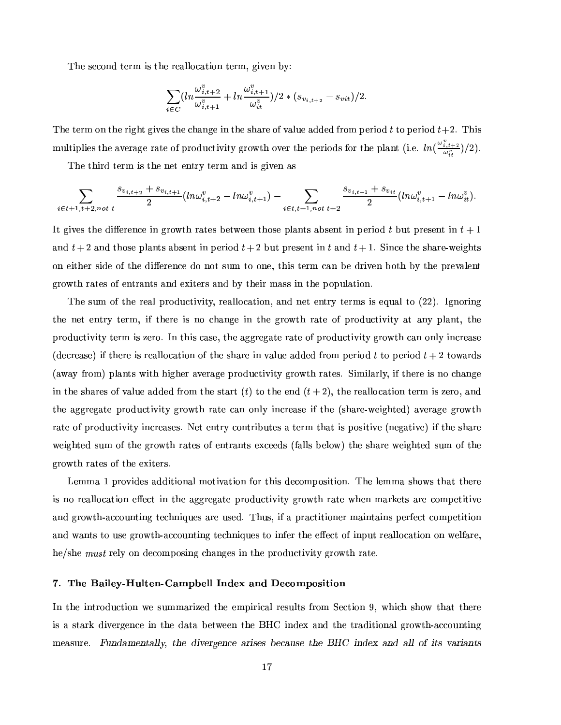The second term is the reallocation term, given by:

$$
\sum_{i \in C} \left( \ln \frac{\omega_{i,t+2}^v}{\omega_{i,t+1}^v} + \ln \frac{\omega_{i,t+1}^v}{\omega_{it}^v} \right) / 2 * (s_{v_{i,t+2}} - s_{vit}) / 2.
$$

The term on the right gives the change in the share of value added from period t to period  $t+2$ . This multiplies the average rate of productivity growth over the periods for the plant (i.e.  $ln(\frac{\omega_{i,t+2}^v}{\omega_i^v})/2)$ .

The third term is the net entry term and is given as

$$
\sum_{i \in t+1, t+2, not \ t} \frac{s_{v_{i,t+2}}+s_{v_{i,t+1}}}{2} (ln \omega_{i,t+2}^v - ln \omega_{i,t+1}^v) - \sum_{i \in t, t+1, not \ t+2} \frac{s_{v_{i,t+1}}+s_{v_{it}}}{2} (ln \omega_{i,t+1}^v - ln \omega_{it}^v).
$$

It gives the difference in growth rates between those plants absent in period t but present in  $t+1$ <u>Participation in the contract of the contract of the contract of the contract of the contract of the contract of the contract of the contract of the contract of the contract of the contract of the contract of the contract</u> and  $t+2$  and those plants absent in period  $t+2$  but present in t and  $t+1$ . Since the share-weights on either side of the difference do not sum to one, this term can be driven both by the prevalent ±FªG«² ®G³¦ªr´k®x¤a¶o«F¹\¤a¨]®xªr´F¨]®G¶Å´F¨{¥¤QÒ~¯5®x¤wª¶o´F¨M¥9:®G³4¤a¯5ª º´F¶G¶o¯1¨®G³4¤©.«F©{¬M¸I´k®G¯5«3¨"¼

The sum of the real productivity, reallocation, and net entry terms is equal to  $(22)$ . Ignoring ®G³4¤¨4¤w®Æ¤a¨]®xªG:µ®x¤wªº-¿o¯5¹®G³4¤wªG¤¯1¶W¨4«³M´F¨4±F¤¯1¨ ®G³4¤Î±FªG«² ®G³Éªr´k®x¤p«F¹©MªG«~¥M¬MQ®G¯5°~¯5®:´k®-´F¨]:µ©{¸1´F¨]®w¿®G³4¤ ©MªG«~¥M¬MQ®G¯1°¯5®:t®x¤wªrº¯1¶ w¤wªG«4¼2ZY¨W®G³{¯1¶Bw´F¶G¤F¿4®G³4¤f´k±F±FªG¤w±3´k®x¤ªr´k®x¤«F¹©{ªG«¥{¬MQ®G¯5°~¯5®:t±FªG«² ®G³-w´F¨«3¨M¸5:¯1¨{QªG¤a´F¶x¤ (decrease) if there is reallocation of the share in value added from period t to period  $t+2$  towards CT´a²´a:ι@ªG«3ºE6©{¸1´F¨]®G¶ ²o¯1®G³¦³M¯5±3³4¤wªÅ´a°F¤wªr´k±F¤Ã©MªG«~¥M¬MQ®G¯5°~¯5®:W±FªG«² ®G³¦ª´k®x¤a¶w¼2~¯1º¯1¸I´kªr¸5:F¿~¯5¹\®G³M¤wªG¤8¯1¶o¨4«Ær³{´F¨4±F¤ in the shares of value added from the start  $(t)$  to the end  $(t+2)$ , the reallocation term is zero, and  $\blacksquare$  as a constant of the constant  $\blacksquare$  and the constant  $\blacksquare$ ªr´k®x¤«F¹©MªG«~¥M¬MQ®G¯1°¯5®:Ư1¨MQªr¤a´F¶x¤a¶w¼28Ťw® ¤a¨b®xªr:=Q«3¨]®xªr¯59{¬M®x¤a¶ ´t®x¤wªrº®G³M´k® ¯I¶©#«3¶r¯5®G¯5°F¤·CT¨4¤w±3´k®G¯5°F¤E ¯5¹®G³4¤¶r³M´kªG¤ ²6¤a¯5±3³b®x¤a¥¶G¬{ºÝ«F¹B®G³4¤8±Fªr«² ®G³pªr´k®x¤a¶«F¹À¤a¨]®xªr´F¨]®G¶¤QÒ~Q¤w¤a¥{¶·C¹´F¸1¸I¶o9.¤a¸5«²±E®G³4¤t¶G³M´kªr¤8²6¤a¯5±3³]®x¤a¥¶G¬MºÖ«F¹À®G³4¤ ±FªG«² ®G³¦ªr´k®x¤a¶o«F¹\®G³M¤¤QÒ~¯1®x¤wªr¶w¼

+¤aºº´pÕ©MªG«°¯I¥4¤a¶Å´F¥{¥M¯5®G¯5«3¨M´F¸ºÁ«F®G¯5°k´k®G¯5«3¨Î¹«Fª®G³M¯1¶o¥M¤aQ«3ºÁ©.«3¶G¯5®G¯5«3¨"¼ B³4¤8¸5¤aºÆº´Æ¶G³M«²o¶Å®G³M´k®®G³4¤wªG¤  $\blacksquare$  and and and accomption of the construction of the construction of the construction of the construction of the construction of the construction of the construction of the construction of the construction of the cons ´F¨M¥Î±FªG«² ®G³4¾´FwQ«3¬M¨b®G¯I¨4±W®x¤a³M¨M¯=¬4¤a¶´kªG¤8¬{¶x¤a¥"¼ B³¬M¶w¿{¯5¹´Æ©Mªr´FQ®G¯5®G¯5«3¨M¤wªÅº´F¯1¨]®G´F¯1¨M¶ ©#¤wªr¹@¤aQ®Q«3ºÁ©.¤w®G¯5®G¯5«3¨ ´F¨M¥-²´F¨]®G¶ ®x«W¬{¶x¤f±FªG«²o®G³~¾´FwQ«3¬M¨]®G¯1¨4±Æ®x¤a³M¨M¯=¬4¤a¶®x«=¯1¨4¹¤wª®G³4¤¤QÇ.¤aQ®o«F¹¯1¨4©l¬4®Bªr¤a´F¸1¸5«~w´k®G¯5«3¨-«3¨¦²6¤a¸5¹T´kªG¤F¿ ³4¤Èd¶G³M¤ sÃnRQS ªG¤a¸5:=«3¨¦¥4¤aQ«3ºÁ©.«3¶G¯I¨4±Ár³M´F¨4±F¤a¶¯1¨®G³4¤f©{ªG«¥{¬MQ®G¯5°~¯5®:W±FªG«² ®G³Îªr´k®x¤F¼

#### ¡-Y \$" 0" 8\ <= µ &y :¹{@\$?

waakudoo aastaa ka baadaa aastaa aastaa aastaa aastaa aastaa aastaa aastaa aastaa aastaa aastaa aastaa aastaa a ¯1¶8´Î¶x®G´kªGÂ ¥{¯5°F¤wªG±F¤a¨MQ¤=¯1¨ ®G³4¤=¥M´k®G´Þ9#¤w®²B¤w¤a¨·®G³4¤ %0#fÔį1¨M¥4¤QÒ ´F¨M¥(®G³4¤Æ®xªr´F¥{¯5®G¯5«3¨M´F¸±Fªr«² ®G³~¾´FwQ«3¬{¨b®G¯1¨M± where the contract of the contract of the contract of the contract of the contract of the contract of the contract of the contract of the contract of the contract of the contract of the contract of the contract of the cont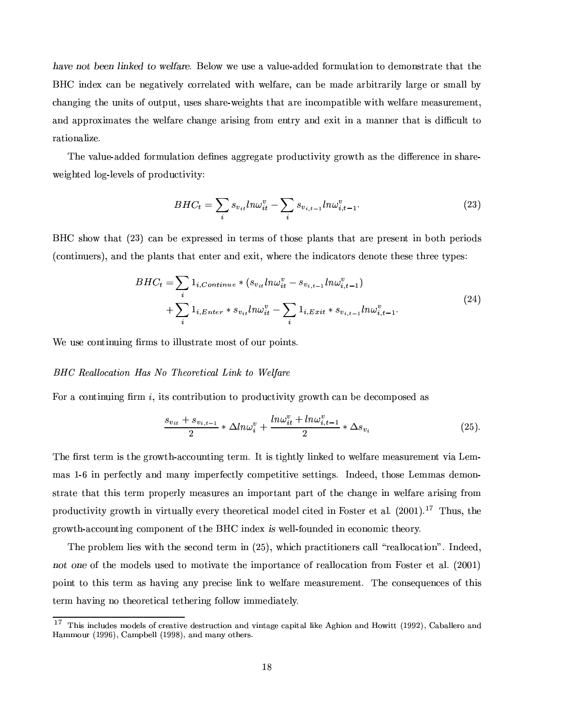#-/& F-- (-) b]-1!"-"6 %6¤a¸5«² ²6¤ ¬M¶G¤´°k´F¸1¬4¤Q¾´F¥M¥4¤a¥¦¹@«FªrºÃ¬M¸1´k®G¯1«3¨®x«W¥4¤aºÁ«3¨{¶x®xªr´k®x¤®G³M´k®Å®G³4¤ BHC index can be negatively correlated with welfare, can be made arbitrarily large or small by r³{´F¨4±3¯1¨4±Á®G³4¤8¬M¨M¯5®G¶«F¹«3¬4®x©{¬4®w¿M¬{¶x¤a¶ ¶G³M´kªr¤Q¾²B¤a¯5±3³]®G¶ ®G³{´k®o´kªG¤ ¯1¨{Q«3ºÁ©{´k®G¯59{¸1¤Å²o¯1®G³²B¤a¸5¹T´kªG¤ºÁ¤a´F¶r¬4ªG¤aºÁ¤a¨]®w¿ and approximates the welfare change arising from entry and exit in a manner that is difficult to ªr´k®G¯5«3¨{´F¸1¯-w¤F¼

B³M¤8°k´F¸1¬4¤Q¾´F¥M¥M¤a¥Î¹«FªrºÃ¬M¸1´k®G¯5«3¨p¥4¤w§{¨4¤a¶´k±F±FªG¤w±3´k®x¤Æ©MªG«~¥M¬MQ®G¯5°~¯5®:±FªG«² ®G³´F¶®G³4¤t¥M¯%Ç.¤wªG¤a¨MQ¤t¯1¨Þ¶r³M´kªG¤Q¾ ²6¤a¯5±3³b®x¤a¥Þ¸5«F±k¾¸5¤w°F¤a¸1¶ «F¹©{ªG«¥{¬MQ®G¯5°~¯5®:4/

$$
BHC_t = \sum_{i} s_{v_{it}} ln\omega_{it}^v - \sum_{i} s_{v_{i,t-1}} ln\omega_{i,t-1}^v.
$$
 (23)

%#ÔĶG³4«²-®G³{´k®ÀCk3 <sup>Ó</sup> E w´F¨9#¤Æ¤QÒ©Mªr¤a¶G¶x¤a¥(¯I¨ ®x¤wªrº¶8«F¹®G³4«3¶x¤=©{¸1´F¨]®G¶®G³{´k®Ã´kªG¤W©MªG¤a¶x¤a¨]®8¯I¨ 9.«F®G³ ©.¤wªr¯5«~¥M¶  $\blacksquare$ 

$$
BHC_t = \sum_{i} 1_{i,Continue} * (s_{v_{it}} ln\omega_{it}^v - s_{v_{i,t-1}} ln\omega_{i,t-1}^v)
$$
  
+ 
$$
\sum_{i} 1_{i,Enter} * s_{v_{it}} ln\omega_{it}^v - \sum_{i} 1_{i,Exit} * s_{v_{i,t-1}} ln\omega_{i,t-1}^v.
$$
 (24)

¢¤8¬{¶x¤Q«3¨b®G¯I¨]¬M¯I¨4±t§Mªrº¶®x«Æ¯I¸1¸1¬M¶x®xª´k®x¤º«3¶x® «F¹«3¬4ª ©.«3¯1¨]®G¶w¼

#### the oral of the compact of the compact of the compact of the compact of the compact of the compact of the compa

á4«Fª´Q«3¨b®G¯I¨]¬M¯I¨4±t§Mªrº G¿M¯1®G¶ Q«3¨b®xª¯59{¬4®G¯5«3¨®x«Æ©MªG«~¥M¬MQ®G¯5°~¯5®:W±FªG«²o®G³¦w´F¨¦9.¤¥4¤aQ«3ºÁ©.«3¶x¤a¥Î´F¶

$$
\frac{s_{v_{it}} + s_{v_{i,t-1}}}{2} * \Delta ln\omega_i^v + \frac{ln\omega_{it}^v + ln\omega_{i,t-1}^v}{2} * \Delta s_{v_i}
$$
 (25).

The first term is the growth-accounting term. It is tightly linked to welfare measurement via Lemmas 1-6 in perfectly and many imperfectly competitive settings. Indeed, those Lemmas demonstrate that this term properly measures an important part of the change in welfare arising from ©MªG«~¥M¬MQ®G¯1°¯5®:W±Fªr«² ®G³p¯1¨¦°~¯5ªG®G¬{´F¸1¸5:=¤w°F¤wªG:-®G³4¤w«FªG¤w®G¯1w´F¸ºÁ«~¥4¤a¸\w¯5®x¤a¥Þ¯I¨¦á4«3¶x®x¤wªf¤w®´F¸j¼>Ck365754ÕE¼ @ - B³¬M¶w¿l®G³4¤ ±FªG«² ®G³~¾´FwQ«3¬M¨]®G¯1¨4±=Q«3ºÁ©.«3¨4¤a¨b®o«F¹\®G³4¤%0#fÔʯ1¨{¥4¤QÒ 1 ²B¤a¸1¸5¾ ¹@«3¬M¨{¥4¤a¥¯1¨¤aQ«3¨4«3º¯1®G³4¤w«FªG:F¼

marformations in the second of the second of the second of the second of the second of the second of the second of the second of the second of the second of the second of the second of the second of the second of the seco «Assamagaan» in termine and termine and termine and termine and termine and termine and termine and termine and ©.«3¯1¨]®®x«Î®G³M¯I¶®x¤wªrº ´F¶8³M´°¯I¨4±Þ´F¨]:©MªG¤aw¯1¶G¤Æ¸1¯1¨4ÂÞ®x«Þ²6¤a¸5¹T´kªG¤Wº¤a´F¶G¬4ªG¤aºÁ¤a¨]®w¼ B³4¤WQ«3¨M¶x¤¬4¤a¨MQ¤a¶8«F¹®G³M¯1¶ term having no theoretical tethering follow immediately.

<sup>@</sup>niqha i ika ajfuata ing pagalangan ng pagalangan ng mga pagalangan ng pagalangang ng pagalangang ng pagalangan Hammour (1996), Campbell (1998), and many others.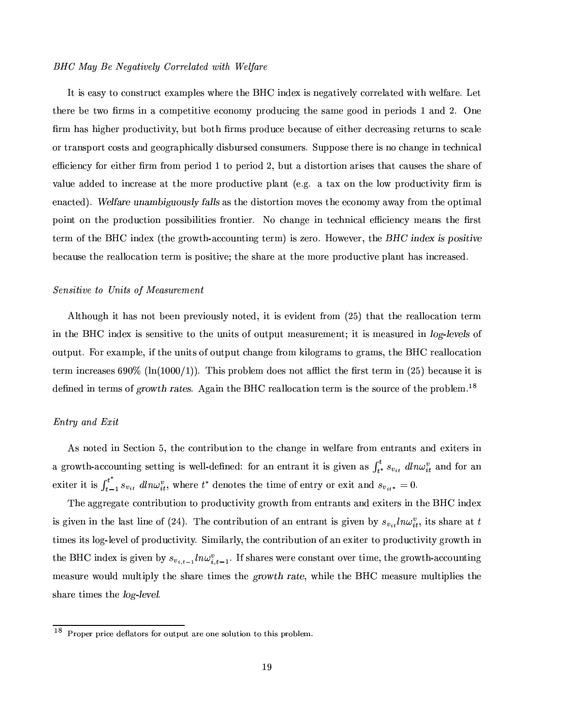#### BHC May Be Negatively Correlated with Welfare

Z ®B¯1¶Ë¤a´F¶x:Á®x«tQ«3¨M¶x®xªr¬MQ®B¤QÒ~´Fº©{¸5¤a¶À²Å³4¤wªG¤ ®G³4¤ %#Ô ¯1¨M¥4¤QÒÁ¯1¶À¨M¤w±3´k®G¯5°F¤a¸5:ÆQ«FªGªr¤a¸1´k®x¤a¥Æ²Å¯5®G³Á²6¤a¸5¹´kªr¤F¼+¤w® there be two firms in a competitive economy producing the same good in periods 1 and 2. One §MªrºÖ³M´F¶³M¯5±3³4¤wª ©{ªG«¥{¬MQ®G¯5°~¯5®:F¿M9l¬4®o9.«F®G³¦§{ªrº¶ ©{ªG«¥{¬MQ¤9.¤aw´F¬M¶x¤8«F¹¤a¯5®G³4¤wªÅ¥M¤aQªG¤a´F¶G¯1¨4±WªG¤w®G¬4ªr¨{¶ ®x«¶Gw´F¸5¤ or transport costs and geographically disbursed consumers. Suppose there is no change in technical ¤Æw¯5¤a¨{Q:W¹«Fªo¤a¯5®G³M¤wª §Mªrº ¹ªG«3º©.¤wªr¯5«~¥Õf®x«©.¤wªr¯5«~¥y3¿M9{¬4® ´Á¥{¯1¶x®x«FªG®G¯5«3¨-´kª¯1¶x¤a¶®G³M´k®Åw´F¬M¶x¤a¶ ®G³M¤ ¶G³M´kªG¤f«F¹ value added to increase at the more productive plant (e.g. a tax on the low productivity firm is ¤a¨M´FQ®x¤a¥?E¼ -1!"-H,WDF /,+2,J`!%1Ë´F¶B®G³4¤¥M¯1¶x®x«Fªr®G¯5«3¨ÆºÁ«°F¤a¶6®G³4¤Å¤aQ«3¨M«3º :Æ´²6´:W¹ªG«3ºÄ®G³4¤Å«F©{®G¯1º´F¸ ©.«3¯1¨]®Á«3¨ß®G³4¤¦©Mªr«¥M¬{Q®G¯5«3¨à©.«3¶G¶G¯59{¯I¸1¯5®G¯5¤a¶ ¹@ªG«3¨]®G¯5¤wªa¼8o«(³M´F¨4±F¤p¯1¨à®x¤ar³M¨{¯1w´F¸ ¤Æw¯1¤a¨MQ:º¤a´F¨M¶®G³4¤Î§Mªr¶x® ®x¤wªrºÝ«F¹\®G³4¤%0#fÔ̯I¨M¥4¤QÒQC®G³M¤±FªG«²o®G³~¾´FwQ«3¬M¨]®G¯1¨4±Æ®x¤wªºE¯1¶ w¤wªr«4¼ #Å«²6¤w°F¤wªa¿l®G³M¤  -<sup>a</sup> Z-\*3" aw`Formation and a construction and a construction and a construction and a construction and a construction and a construction and a construction and a construction of the construction and a construction of the constructi

#### Sensitive to Units of Measurement

Although it has not been previously noted, it is evident from  $(25)$  that the reallocation term t a meneration and a second and a second and a second and a second and a second and a second and a second a second and a second a second and a second a second a second and a second a second and a second a second and a sec output. For example, if the units of output change from kilograms to grams, the BHC reallocation ®x¤wªrº¯1¨{QªG¤a´F¶x¤a¶ÚF×65 CT¸1¨CYÕ#57575bÈÕEE¼ B³M¯I¶Ë©Mªr«F9{¸5¤aº ¥4«]¤a¶¨M«F®´%W¯1Q®®G³4¤§Mªr¶x®6®x¤wªrº¯1¨QCk379:E69.¤aw´F¬M¶x¤f¯5®¯1¶ ¥4¤w§{¨M¤a¥Æ¯1¨Á®x¤wªº¶Ë«F¹<TJ]#D -w¼ (±3´F¯1¨W®G³4¤ %#fÔߪr¤a´F¸1¸5«~w´k®G¯5«3¨®x¤wªrº ¯1¶Ë®G³4¤¶G«3¬4ªrQ¤o«F¹"®G³M¤o©MªG«F9l¸5¤aº-¼ @

#### Entry and Exit

As noted in Section 5, the contribution to the change in welfare from entrants and exiters in a growth-accounting setting is well-defined: for an entrant it is given as  $\int^{\nu} s_{\nu} = dl n \omega^v$  and for an exiter it is  $\int_{t=1}^{t^{*}} s_{n,i} \, dm \omega_{it}^{v}$ , where  $t^{*}$  denotes the time of entry or exit and  $s_{n,i} = 0$ .

B³M¤´k±F±FªG¤w±3´k®x¤8Q«3¨b®xªr¯19{¬4®G¯5«3¨Æ®x«Ã©{ªG«¥{¬MQ®G¯5°~¯5®:t±FªG«² ®G³¹@ªr«3ºÄ¤a¨]®xªr´F¨]®G¶´F¨M¥=¤QÒ~¯5®x¤wª¶B¯1¨W®G³4¤ %#Ô ¯1¨M¥M¤QÒ is given in the last line of (24) The contribution of an entrant is given by s.  $ln\omega^v$  its share at t  $\blacksquare$  . The state of the state of the state of the state of the state of the state of the state of the state of the state of the state of the state of the state of the state of the state of the state of the state of the the BHC index is given by  $s_{\cdots}$  ,  $ln\omega_{\cdots}^v$ , If shares were constant over time, the growth-accounting  $\blacksquare$  атало в стать стать стать на том в стать на том в стать на том в стать на том в стать на том в стать на  $\blacksquare$  in the case of the case of the case of the case of the case of the case of the case of the case of the case of the case of the case of the case of the case of the case of the case of the case of the case of the cas

<sup>@</sup>?gknjb7fmgbgw\_ahf¹}f-6depwnjgk`0qnjgn#o=pwb6o=pdgkfcn#rfc`knjuo=pt\_an#r,pwnpt^\_a`0bgkn¯6uaf±¤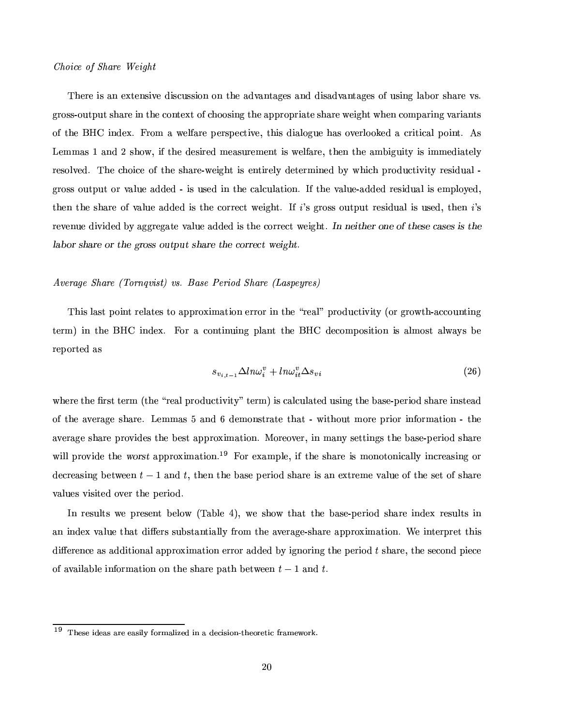#### $Choice of Share Weight$

There is an extensive discussion on the advantages and disadvantages of using labor share vs. gross-output share in the context of choosing the appropriate share weight when comparing variants of the BHC index. From a welfare perspective, this dialogue has overlooked a critical point. As Lemmas 1 and 2 show, if the desired measurement is welfare, then the ambiguity is immediately ªG¤a¶x«3¸1°F¤a¥"¼ B³4¤Wr³4«3¯1Q¤=«F¹ ®G³4¤=¶G³M´kªG¤Q¾²6¤a¯5±3³]®Ã¯I¶¤a¨]®G¯5ªG¤a¸5:¥4¤w®x¤wªrºÆ¯1¨4¤a¥ 9:²o³M¯Ir³ ©{ªG«¥{¬MQ®G¯5°~¯5®:pªG¤a¶G¯1¥{¬M´F¸¾ ±FªG«3¶G¶«3¬M®x©{¬4®«Fªf°d´F¸I¬4¤Ã´F¥{¥4¤a¥p¾ ¯1¶¬M¶x¤a¥¯1¨p®G³4¤Áw´F¸1w¬M¸1´k®G¯1«3¨"¼Z¹À®G³4¤Á°k´F¸1¬4¤Q¾´F¥M¥4¤a¥pªG¤a¶r¯1¥M¬M´F¸\¯1¶¤aºÁ©{¸5«:F¤a¥"¿ ®G³4¤a¨(®G³4¤Æ¶G³M´kªr¤«F¹°d´F¸1¬M¤´F¥M¥4¤a¥(¯I¶f®G³4¤ÆQ«FªGªr¤aQ® ²6¤a¯5±3³b®w¼Z¹0 Ѷ±FªG«3¶G¶ «3¬4®x©{¬4® ªG¤a¶G¯1¥M¬{´F¸¯1¶¬M¶x¤a¥¿®G³4¤a¨ Ѷ ªG¤w°F¤a¨¬4¤f¥M¯5°~¯1¥4¤a¥Á9:Æ´k±F±FªG¤w±3´k®x¤8°d´F¸I¬4¤Å´F¥M¥M¤a¥=¯I¶Ë®G³4¤Q«FªGªG¤aQ®²6¤a¯5±3³]®w¼ - - #-(G-L"! #--!W- <sup>1</sup> #-BFB #"-R #- <"%2, 1\*=,3#"- #- !-! ]- # <sup>6</sup>

#### $\alpha$  and  $\alpha$  and  $\alpha$  and  $\alpha$

B³{¯1¶¸1´F¶x®©.«3¯1¨b®6ªG¤a¸1´k®x¤a¶ ®x«´k©M©MªG«Ò~¯1ºÆ´k®G¯5«3¨=¤wªGªG«Fª ¯1¨=®G³4¤¦ÏYªG¤a´F¸IÐ8©{ªG«¥{¬MQ®G¯5°~¯5®:C«Fª±Fªr«² ®G³~¾´FwQ«3¬{¨b®G¯1¨M± term) in the BHC index. For a continuing plant the BHC decomposition is almost always be reported as

$$
s_{v_{i,t-1}} \Delta ln \omega_i^v + ln \omega_{it}^v \Delta s_{vi} \tag{26}
$$

²o³4¤wªr¤6®G³M¤§Mªr¶x®®x¤wªrº C®G³M¤ÏYªG¤a´F¸4©MªG«~¥M¬MQ®G¯1°¯5®:ÐÅ®x¤wªrºE¯I¶w´F¸1w¬M¸1´k®x¤a¥Á¬M¶r¯1¨4±®G³4¤9{´F¶x¤Q¾©.¤wªr¯5«~¥t¶G³M´kªG¤ ¯I¨M¶x®x¤a´F¥ of the average share. Lemmas 5 and 6 demonstrate that - without more prior information - the  $\blacksquare$  and the community of  $\blacksquare$  ) and the community of  $\blacksquare$  and the community of  $\blacksquare$ will provide the worst approximation.<sup>19</sup> For example, if the share is monotonically increasing or decreasing between  $t-1$  and t, then the base period share is an extreme value of the set of share values visited over the period.

In results we present below (Table 4), we show that the base-period share index results in  $\blacksquare$  to the state of the state of the state of the state of the state of the state of the state of the state of the state of the state of the state of the state of the state of the state of the state of the state of the difference as additional approximation error added by ignoring the period t share, the second piece of available information on the share path between  $t-1$  and  $t$ .

 $19\,$ ]0^fh`kf¹\_s}fde`>dgkf>fd`w\_suºqnjgw.du\_aÆhfh}º\_srºd.}fhh\_s`w\_an#r=¡Opt^fhnjgkfpt\_s¹qgwdjflnjgwv6¤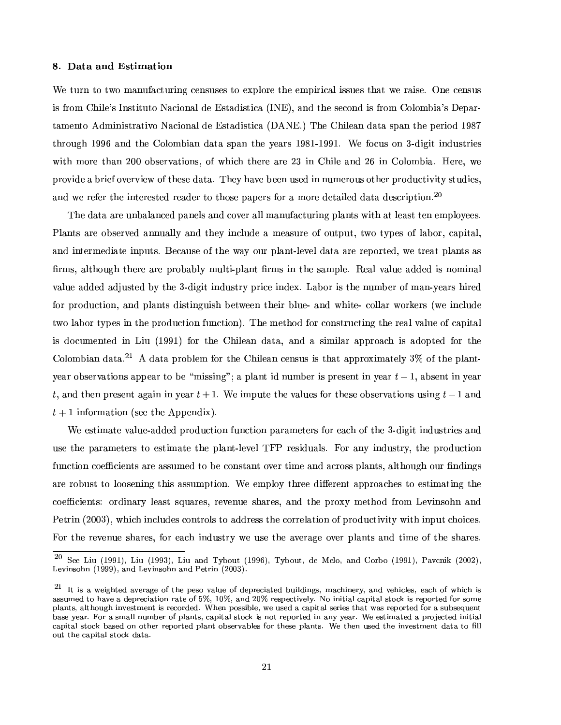#### ¡ &4 a(4W4

We turn to two manufacturing censuses to explore the empirical issues that we raise. One census is from Chile's Instituto Nacional de Estadistica (INE), and the second is from Colombia's Depar-®G´FºÁ¤a¨]®x« (¥Mº¯1¨{¯1¶x®xªr´k®G¯5°F«8´Fw¯5«3¨M´F¸¥4¤ B¶x®G´F¥M¯1¶G®G¯1w´{C1(8o¼ <sup>E</sup> B³4¤8Ô³M¯1¸5¤a´F¨¥M´k®G´¶G©{´F¨®G³4¤f©.¤wªr¯5«~¥Õa×FØ3Ù ®G³4ªG«3¬M±3³ Õa×F×FÚÞ´F¨M¥ ®G³4¤Ô6«3¸5«3º89{¯1´F¨ ¥M´k®G´Þ¶x©{´F¨(®G³4¤Æ:F¤a´kªr¶=Õa×FØ~Õv¾rÕa×F×~Õk¼Î¢¤=¹«w¬M¶ «3¨ Ó¾¥M¯1±3¯5® ¯1¨M¥{¬M¶x®xªr¯5¤a¶ ²o¯5®G³·ºÁ«FªG¤=®G³M´F¨¬36575Þ«F9l¶x¤wªG°k´k®G¯5«3¨M¶w¿«F¹ ²o³{¯1r³(®G³4¤wªG¤´kªG¤À3 <sup>Ó</sup> ¯1¨ßÔ³M¯1¸1¤´F¨M¥ 3FÚp¯1¨àÔ6«3¸5«3º89{¯1´~¼#ŤwªG¤F¿²6¤ ©MªG«°¯I¥4¤B´9Mªr¯1¤w¹«°F¤wªG°~¯5¤w²ß«F¹M®G³4¤a¶x¤¥M´k®G´~¼ B³M¤w:³M´a°F¤9.¤w¤a¨Ã¬M¶x¤a¥t¯1¨ ¨¬MºÁ¤wªr«3¬M¶«F®G³M¤wª©MªG«~¥M¬MQ®G¯5°~¯5®:f¶x®G¬{¥M¯5¤a¶w¿ ond we perfect the interested peodex to these persons for a more detailed data description  $20$ 

The data are unbalanced panels and cover all manufacturing plants with at least ten employees.  $\blacksquare$ and intermediate inputs. Because of the way our plant-level data are reported, we treat plants as firms, although there are probably multi-plant firms in the sample. Real value added is nominal °k´F¸1¬4¤´F¥M¥4¤a¥Þ´F¥
G¬M¶x®x¤a¥-9:®G³4¤ Ó¾¥M¯5±3¯1® ¯1¨M¥M¬M¶G®xªG:©Mªr¯IQ¤¯1¨M¥4¤QÒ.¼¹+´k9.«Fªo¯I¶®G³4¤ ¨¬Mº89#¤wªo«F¹ºÆ´F¨~¾ :F¤a´kªr¶³M¯5ªG¤a¥ for production, and plants distinguish between their blue- and white-collar workers (we include ®²6«Æ¸1´k9.«Fª®:©.¤a¶¯1¨=®G³4¤©MªG«~¥M¬MQ®G¯5«3¨W¹T¬M¨MQ®G¯5«3¨?E¼ B³4¤º¤w®G³4«¥¹«Fª Q«3¨M¶x®xª¬MQ®G¯1¨4±t®G³4¤ªG¤a´F¸.°k´F¸1¬4¤«F¹\w´k©l¯5®G´F¸ is documented in Liu (1991) for the Chilean data, and a similar approach is adopted for the Colombian data.<sup>21</sup> A data problem for the Chilean census is that approximately 3\% of the plantyear observations appear to be "missing"; a plant id number is present in year  $t-1$ , absent in year t, and then present again in year  $t+1$ . We impute the values for these observations using  $t-1$  and  $t+1$  information (see the Appendix).

¢¤8¤a¶x®G¯1º´k®x¤°k´F¸1¬4¤Q¾´F¥{¥4¤a¥©MªG«~¥M¬MQ®G¯5«3¨=¹T¬M¨MQ®G¯5«3¨©l´kªr´FºÁ¤w®x¤wªr¶o¹@«Fª ¤a´F³¦«F¹®G³4¤ Ó¾¥M¯1±3¯5®¯1¨M¥M¬M¶G®xªr¯5¤a¶´F¨M¥  $\blacksquare$ function coefficients are assumed to be constant over time and across plants, although our findings are robust to loosening this assumption. We employ three different approaches to estimating the ome and the fact of the fact of the fact of the fact of the fact of the fact of the fact of the fact of the fact of the fact of the fact of the fact of the fact of the fact of the fact of the fact of the fact of the fact )¤w®xªr¯1¨¦Ck36575 <sup>Ó</sup> E¿4²Å³M¯1r³Á¯I¨Mw¸1¬M¥4¤a¶Q«3¨]®xªG«3¸1¶Ë®x«8´F¥M¥MªG¤a¶G¶®G³4¤ÅQ«FªGªG¤a¸1´k®G¯5«3¨«F¹#©{ªG«¥{¬MQ®G¯5°~¯5®:8²o¯5®G³¯1¨M©{¬4®r³4«3¯IQ¤a¶w¼ For the revenue shares, for each industry we use the average over plants and time of the shares.

 $^{20}$  G I; (1001) I; (1009) I;  $^{1}$  HT  $^{1}$  (1006) T  $^{1}$   $^{1}$  M  $^{1}$   $^{1}$  G  $^{1}$  (1001) D  $^{1}$  (9000) Levinsohn  $(1999)$ , and Levinsohn and Petrin  $(2003)$ .

 $21$ <sub>Ti</sub>chtai cusofunga $f$ hed $f$ hedpwf} $f$ hadp $f$ hedpwf} $f$ hadp $f$ hadp $f$ hadp $f$ h $\tilde{f}$ horauafh $\tilde{f}$  $\blacksquare$ plants, although investment is recorded. When possible, we used a capital series that was reported for a subsequent base year. For a small number of plants, capital stock is not reported in any year. We estimated a projected initial puntati njrneptaja ptojektaja je kafmara francusko poznaje po koje koje po koje po koje po koje po koje po koj out the capital stock data.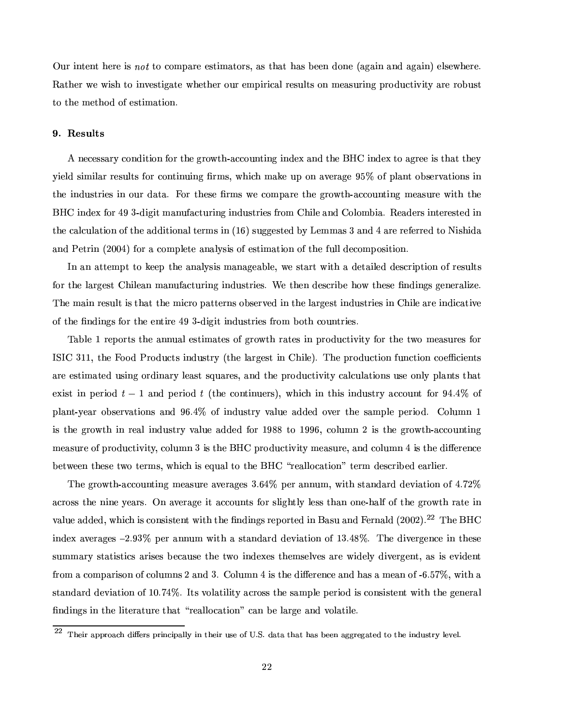Our intent here is not to compare estimators, as that has been done (again and again) elsewhere. Rather we wish to investigate whether our empirical results on measuring productivity are robust to the method of estimation.

#### 9. Results

A necessary condition for the growth-accounting index and the BHC index to agree is that they yield similar results for continuing firms, which make up on average 95% of plant observations in the industries in our data. For these firms we compare the growth-accounting measure with the BHC index for 49 3-digit manufacturing industries from Chile and Colombia. Readers interested in the calculation of the additional terms in (16) suggested by Lemmas 3 and 4 are referred to Nishida and Petrin (2004) for a complete analysis of estimation of the full decomposition.

In an attempt to keep the analysis manageable, we start with a detailed description of results for the largest Chilean manufacturing industries. We then describe how these findings generalize. The main result is that the micro patterns observed in the largest industries in Chile are indicative of the findings for the entire 49 3-digit industries from both countries.

Table 1 reports the annual estimates of growth rates in productivity for the two measures for ISIC 311, the Food Products industry (the largest in Chile). The production function coefficients are estimated using ordinary least squares, and the productivity calculations use only plants that exist in period  $t-1$  and period t (the continuers), which in this industry account for 94.4% of plant-year observations and 96.4% of industry value added over the sample period. Column 1 is the growth in real industry value added for 1988 to 1996, column 2 is the growth-accounting measure of productivity, column 3 is the BHC productivity measure, and column 4 is the difference between these two terms, which is equal to the BHC "reallocation" term described earlier.

The growth-accounting measure averages 3.64% per annum, with standard deviation of 4.72% across the nine vears. On average it accounts for slightly less than one-half of the growth rate in value added, which is consistent with the findings reported in Basu and Fernald (2002).<sup>22</sup> The BHC index averages  $-2.93\%$  per annum with a standard deviation of 13.48%. The divergence in these summary statistics arises because the two indexes themselves are widely divergent, as is evident from a comparison of columns 2 and 3. Column 4 is the difference and has a mean of -6.57%, with a standard deviation of 10.74%. Its volatility across the sample period is consistent with the general findings in the literature that "reallocation" can be large and volatile.

Their approach differs principally in their use of U.S. data that has been aggregated to the industry level.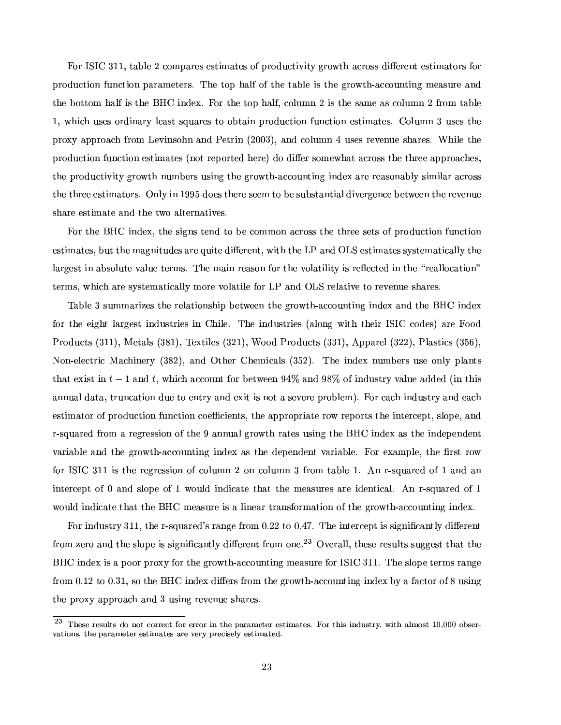á4«Fª§ZN2ZGÔ <sup>Ó</sup> ÕFÕk¿M®G´k9{¸1¤L3tQ«3º©{´kªG¤a¶¤a¶x®G¯1ºÆ´k®x¤a¶«F¹\©{ªG«¥{¬MQ®G¯5°~¯5®:Á±FªG«² ®G³¦´FQªG«3¶r¶ ¥M¯%Ç.¤wªG¤a¨]®6¤a¶G®G¯1º´k®x«Fªr¶¹«Fª ©MªG«~¥M¬MQ®G¯1«3¨Î¹T¬M¨MQ®G¯5«3¨Þ©{´kªr´Fº¤w®x¤wªr¶w¼ B³M¤8®x«F© ³M´F¸1¹«F¹Ë®G³4¤t®G´k9{¸5¤t¯1¶®G³4¤t±FªG«² ®G³~¾´FwQ«3¬M¨]®G¯1¨4±¦ºÁ¤a´F¶r¬4ªG¤Á´F¨M¥ the bottom half is the BHC index. For the top half, column 2 is the same as column 2 from table  $\blacksquare$   $\blacksquare$  and  $\blacksquare$  and  $\blacksquare$  and  $\blacksquare$  and  $\blacksquare$  or  $\blacksquare$  or  $\blacksquare$  or  $\blacksquare$  $\alpha$  is a component of the set of the set of the set of the set of the set of the set of the set of the set of the set of the set of the set of the set of the set of the set of the set of the set of the set of the set of production function estimates (not reported here) do differ somewhat across the three approaches, ®G³4¤©{ªG«¥{¬MQ®G¯5°~¯5®:W±FªG«² ®G³Þ¨]¬{º 9.¤wªr¶ ¬{¶G¯1¨4±t®G³4¤±Fªr«² ®G³~¾´FwQ«3¬{¨b®G¯1¨M±=¯1¨{¥4¤QÒ=´kªG¤8ªG¤a´F¶x«3¨M´k9l¸5:=¶r¯1º¯1¸1´kª´FQªG«3¶r¶ the three estimators. Only in 1995 does there seem to be substantial divergence between the revenue share estimate and the two alternatives.

á4«Fª®G³4¤Q%#Ô ¯1¨{¥4¤QÒ#¿{®G³4¤Ã¶r¯5±3¨M¶ ®x¤a¨{¥Î®x«=9.¤8Q«3ººÁ«3¨´FQªG«3¶r¶o®G³4¤Ã®G³4ªG¤w¤t¶x¤w®G¶Å«F¹À©MªG«~¥M¬MQ®G¯1«3¨-¹¬{¨MQ®G¯5«3¨ estimates, but the magnitudes are quite different, with the LP and OLS estimates systematically the ¸1´kªG±F¤a¶G®¯I¨Æ´k9{¶x«3¸I¬4®x¤Å°k´F¸1¬4¤®x¤wªrº¶a¼ B³4¤º´F¯1¨WªG¤a´F¶x«3¨=¹@«Fª®G³4¤°F«3¸1´k®G¯I¸1¯5®:¯I¶Bªr¤M¤aQ®x¤a¥¯1¨Æ®G³M¤ÏYªr¤a´F¸1¸5«~w´k®G¯5«3¨MÐ ®x¤wªrº¶a¿M²o³M¯1³-´kªG¤¶x:~¶x®x¤aº´k®G¯1w´F¸I¸5:=º«FªG¤°F«3¸1´k®G¯1¸1¤f¹@«Fª§+ ) ´F¨M¥ +2WªG¤a¸I´k®G¯5°F¤®x«ªG¤w°F¤a¨¬4¤ ¶r³M´kªG¤a¶w¼

waanda waa dadka baadaa baadaa baadaa baadaa baadaa baadaa baadaa baadaa baadaa baadaa baadaa baadaa baadaa baa ¹«FªÁ®G³4¤¤a¯5±3³b®Á¸1´kªr±F¤a¶x®Á¯1¨M¥M¬M¶G®xªr¯5¤a¶ ¯I¨àÔ³{¯1¸5¤F¼ B³4¤¯1¨M¥{¬M¶x®xªr¯5¤a¶CT´F¸5«3¨4±²o¯5®G³®G³4¤a¯1ª£Z <sup>2</sup>ZGÔ£Q«~¥4¤a¶eEôkªr¤áM«]«~¥ → (arabo-ogo de desento de la desento de la desento de la desento de la desento de la desento de la desento de 8Å«3¨~¾ ¤a¸5¤aQ®xªr¯1 )´F³M¯1¨4¤wªG:C <sup>Ó</sup> Ø73:E¿´F¨M¥ ®G³M¤wª=Ô³4¤aº¯Iw´F¸1¶yC <sup>Ó</sup> 973:E¼ <sup>B</sup>³4¤¦¯I¨M¥4¤QÒ¨¬Mº89.¤wªr¶t¬M¶x¤-«3¨M¸5:©{¸1´F¨]®G¶ ®G³M´k®¤QÒ4¯1¶x® ¯1¨ 4>UÕf´F¨{¥ 4¿4²o³{¯1r³´FwQ«3¬M¨]® ¹«Fª 9.¤w®²6¤w¤a¨Î×dÜ ´F¨M¥¦×FØ «F¹¯1¨M¥{¬M¶x®xªG:Á°k´F¸1¬4¤f´F¥M¥4¤a¥DCT¯I¨®G³M¯1¶ ´F¨M¨¬M´F¸{¥{´k®G´~¿®xª¬M¨Mw´k®G¯5«3¨=¥M¬4¤ ®x«Ã¤a¨]®xªG:´F¨M¥W¤QÒ~¯5®6¯1¶Ë¨M«F®6´8¶x¤w°F¤wªG¤©MªG«F9{¸1¤aºE¼áM«Fª6¤a´F³¯1¨M¥M¬M¶G®xªG:ôF¨{¥Æ¤a´F³  $\bullet$  and an and an and an and an and an and an analysis of the set of the set of the set of the set of the set of the set of the set of the set of the set of the set of the set of the set of the set of the set of the set  $\blacksquare$  . The state of the state of the state of the state of the state of the state of the state of the state of the state of the state of the state of the state of the state of the state of the state of the state of the variable and the growth-accounting index as the dependent variable. For example, the first row o versanta de la construcción de la construcción de la construcción de la construcción de la construcción de la construcción de la construcción de la construcción de la construcción de la construcción de la construcción d  $\blacksquare$  , the source of the source of the source of the source of the source of the source of the source of the source of the source of the source of the source of the source of the source of the source of the source of th ®Gaaxaa waxaa ah dhaqaa ah dhaqaa ah dhaqaa ah dhaqaa ah dhaqaa ah dhaqaa ah dhaqaa ah dhaqaa ah dhaqaa ah dha

á4«Fª¯1¨M¥{¬M¶x®xªG: <sup>Ó</sup> ÕFÕk¿®G³4¤ ªG¾¶ ]¬{´kªG¤a¥ Ѷªr´F¨M±F¤o¹ªG«3º 5~¼373f®x«£5~¼ Ü]Ù]¼ B³4¤o¯I¨b®x¤wªrQ¤w©{®Ë¯1¶¶G¯5±3¨{¯5§{w´F¨]®G¸5:8¥M¯5Ç#¤wªG¤a¨]® from zero and the slope is significantly different from one.<sup>23</sup> Overall, these results suggest that the %#Ôµ¯1¨M¥4¤QÒÁ¯1¶B´f©.«]«FªB©MªG«aÒ~:t¹@«FªB®G³4¤ ±FªG«² ®G³~¾´FwQ«3¬M¨]®G¯1¨4±tºÁ¤a´F¶G¬MªG¤o¹«Fª¹Z 2ZGÔ <sup>Ó</sup> ÕFÕk¼ <sup>B</sup>³4¤o¶r¸5«F©.¤®x¤wªrº¶Bªr´F¨4±F¤ ¹ªG«3º 5~¼1Õ=3®x«Y5~¼ <sup>Ó</sup> Õk¿4¶x«®G³4¤ %0#fÔ ¯1¨M¥4¤QÒt¥M¯%Ç.¤wªr¶¹ªG«3º£®G³4¤o±FªG«² ®G³4¾´FwQ«3¬M¨b®G¯I¨4±Ã¯I¨M¥4¤QÒ89:Á´¹T´FQ®x«FªB«F¹Øf¬{¶G¯1¨4± ®G³4¤©{ªG«aÒ~:=´k©{©MªG«3´Fr³Þ´F¨M¥ <sup>Ó</sup> ¬M¶r¯1¨4±tªG¤w°F¤a¨¬4¤ ¶G³M´kªr¤a¶w¼

 $^{23}$ rnepschipt $^{1}$ vations, the parameter estimates are very precisely estimated.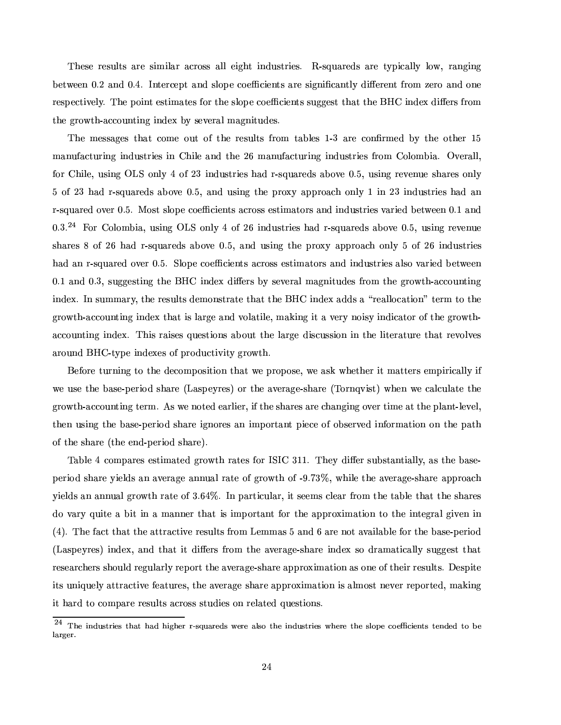—aramo amanya dan sama dan sama dan sama dan sama dan sama dan sama dan sama dan sama dan sama dan sama dan sa between 0.2 and 0.4. Intercept and slope coefficients are significantly different from zero and one ªG¤a¶x©.¤aQ®G¯5°F¤a¸1:F¼ B³4¤o©.«3¯1¨]®À¤a¶x®G¯Iº´k®x¤a¶¹@«Fª6®G³4¤¶G¸5«F©.¤ÅQ«¤Æw¯5¤a¨]®G¶¶G¬4±F±F¤a¶x®®G³M´k®6®G³4¤ %#Ô ¯1¨M¥M¤QÒÁ¥{¯%Ç#¤wª¶À¹ªG«3º ®G³4¤±Fªr«² ®G³~¾´FwQ«3¬{¨b®G¯1¨M±Æ¯1¨M¥4¤QÒ=9]:-¶x¤w°F¤wª´F¸º´k±3¨M¯5®G¬{¥4¤a¶w¼

The messages that come out of the results from tables 1-3 are confirmed by the other 15 manufacturing industries in Chile and the 26 manufacturing industries from Colombia. Overall. ¹«FªÃÔ³M¯1¸1¤F¿¬M¶G¯1¨4± + 2p«3¨M¸5:Þܦ«F¹3 <sup>Ó</sup> ¯1¨M¥M¬M¶G®xªr¯5¤a¶³M´F¥ªx¾¶ ¬M´kªG¤a¥{¶f´k9#«°F¤ 5~¼9¿¬M¶G¯1¨4±ªG¤w°F¤a¨¬4¤Æ¶r³M´kªG¤a¶f«3¨M¸1: ovata este en entre en la construcción de la construcción de la construcción de la construcción de la construcción ªx¾¶ ¬M´kªG¤a¥=«°F¤wª,5~¼9¼ )«3¶x® ¶G¸5«F©.¤Q«]¤Ww¯5¤a¨b®G¶o´FQªG«3¶G¶¤a¶x®G¯Iº´k®x«Fªr¶´F¨M¥¯1¨M¥{¬M¶x®xªr¯5¤a¶Ë°d´kª¯5¤a¥9.¤w®²6¤w¤a¨y5~¼1Õ´F¨M¥  $6.9<sup>24</sup>$  For Colombia, using OLC only 4 of 96 industries had resurreds above 0.5 using payame  $\blacksquare$  and an aos of the set of the set of the set of the set of the set of the set of the set of the set of the set of the set of the set of the set of the set of the set of the set of the set of the set of the set of th ³M´F¥p´F¨pªx¾¶ ¬M´kªG¤a¥Þ«°F¤wª5~¼9¼2~¸5«F©.¤ Q«¤Æw¯5¤a¨]®G¶f´FQªG«3¶G¶¤a¶x®G¯Iº´k®x«Fªr¶´F¨M¥¯1¨M¥M¬{¶x®xªr¯5¤a¶´F¸1¶G«W°k´kªr¯5¤a¥Þ9.¤w®²6¤w¤a¨ 5~¼1ÕÁ´F¨M¥V5~¼ <sup>Ó</sup> ¿¶r¬4±F±F¤a¶x®G¯1¨4±®G³4¤8%#fÔ ¯1¨M¥4¤QÒÎ¥{¯%Ç#¤wª¶Å9:Þ¶G¤w°F¤wªr´F¸º´k±3¨M¯5®G¬{¥4¤a¶¹@ªr«3ºÖ®G³M¤Ã±Fªr«² ®G³~¾´FwQ«3¬{¨b®G¯1¨M± index. In summary, the results demonstrate that the BHC index adds a "reallocation" term to the ±FªG«² ®G³~¾´FwQ«3¬M¨]®G¯1¨4±Æ¯I¨M¥4¤QÒÆ®G³M´k® ¯I¶¸1´kªG±F¤´F¨M¥°F«3¸1´k®G¯I¸5¤F¿Mº´kÂ~¯1¨4±Á¯5®´t°F¤wªG:¨4«3¯1¶x:ƯI¨M¥M¯1w´k®x«Fª«F¹\®G³4¤f±FªG«²o®G³~¾  $\blacksquare$ ´kªG«3¬M¨{¥%0#fÔB¾ ®:]©.¤ ¯1¨{¥4¤QÒ¤a¶ «F¹\©Mªr«¥M¬{Q®G¯5°¯1®:ƱFªr«² ®G³"¼

%6¤w¹«FªG¤ ®G¬4ª¨M¯1¨4±t®x«Æ®G³M¤ ¥4¤aQ«3ºÁ©.«3¶G¯5®G¯1«3¨-®G³M´k®o²6¤©Mªr«F©#«3¶G¤F¿M²B¤8´F¶x²o³4¤w®G³4¤wª¯5® º´k®x®x¤wªr¶Å¤aºÁ©{¯5ª¯1w´F¸1¸5:Ư1¹ ²6¤t¬{¶x¤t®G³4¤t9{´F¶x¤Q¾©.¤wªr¯5«~¥Þ¶r³M´kªG¤yC+´F¶x©.¤w:ªG¤a¶eEo«Fªf®G³4¤Á´a°F¤wªr´k±F¤Q¾¶r³M´kªG¤ÁCB«Fªr¨K]°~¯1¶x®eE ²o³4¤a¨p²B¤Áw´F¸1w¬{¸1´k®x¤Á®G³4¤ ±FªG«² ®G³~¾´FwQ«3¬M¨]®G¯1¨4±f®x¤wªrº¦¼ (¶²6¤¨M«F®x¤a¥t¤a´kªr¸1¯5¤wªa¿F¯5¹{®G³4¤¶G³M´kªG¤a¶´kªG¤r³{´F¨4±3¯1¨4±«°F¤wªË®G¯1ºÁ¤´k®®G³4¤©{¸1´F¨]®Y¾¸5¤w°F¤a¸j¿ then using the base-period share ignores an important piece of observed information on the path of the share (the end-period share).

 $\blacksquare$  . The second of the second of the second of the second of the second of the second of the second of the second of the second of the second of the second of the second of the second of the second of the second of th period share yields an average annual rate of growth of -9.73%, while the average-share approach  $\blacksquare$ do vary quite a bit in a manner that is important for the approximation to the integral given in  $\blacksquare$ (Laspeyres) index, and that it differs from the average-share index so dramatically suggest that researchers should regularly report the average-share approximation as one of their results. Despite  $\blacksquare$ ¯5® ³M´kª¥®x«ÆQ«3ºÁ©{´kªG¤ ªG¤a¶G¬M¸5®G¶´FQªr«3¶G¶o¶x®G¬{¥M¯5¤a¶«3¨¦ªr¤a¸1´k®x¤a¥\$¬4¤a¶x®G¯5«3¨M¶a¼

 $24$  music introduced for the pure following format  $r=1$  and  $r=1$  for  $r=1$  for  $r=1$ larger.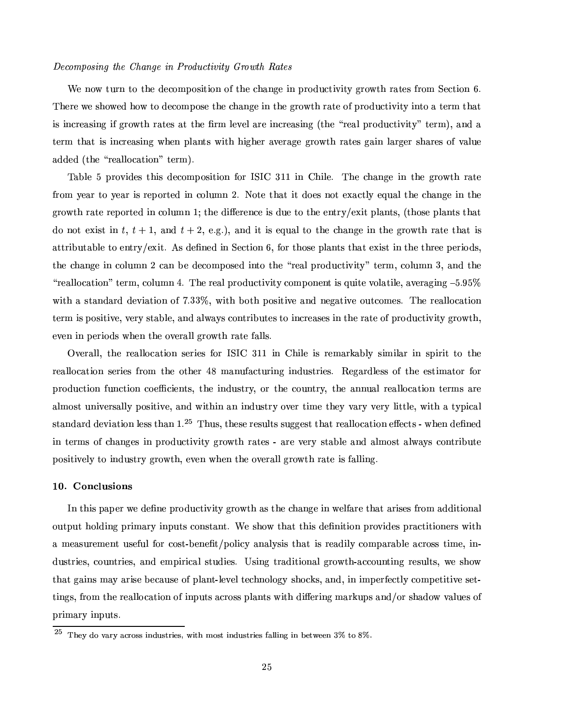#### Decomposing the Change in Productivity Growth Rates

¢¤Á¨4«² ®G¬4ª¨¦®x«=®G³4¤Ã¥M¤aQ«3ºÁ©.«3¶G¯5®G¯5«3¨Î«F¹®G³4¤Ã³M´F¨4±F¤t¯1¨¦©{ªG«¥{¬MQ®G¯5°~¯5®:±FªG«² ®G³Îª´k®x¤a¶Å¹ªG«3º 2¤aQ®G¯5«3¨Ú¼ B³4¤wªr¤o²6¤¶G³M«²6¤a¥=³M«²É®x«Ã¥4¤aQ«3º©#«3¶G¤Å®G³4¤r³{´F¨4±F¤¯I¨®G³4¤±FªG«²o®G³Wª´k®x¤Å«F¹©{ªG«¥{¬MQ®G¯5°~¯5®:t¯1¨]®x«Ã´8®x¤wªrº-®G³M´k® ¯1¶¯1¨MQªG¤a´F¶r¯1¨4±W¯1¹±FªG«² ®G³ª´k®x¤a¶f´k®®G³M¤Ã§{ªrºÖ¸1¤w°F¤a¸´kªr¤Ã¯1¨{QªG¤a´F¶G¯1¨4±QC®G³4¤ÏYªG¤a´F¸©MªG«~¥M¬MQ®G¯5°~¯5®:ÐÆ®x¤wªrºE¿´F¨M¥´ ®aca"esta de la caïefa esta de la caïefa esta de la caïefa esta de la caïefa esta de la caïefa esta de la caïef added (the "reallocation" term).

B´k9{¸5¤Q9©MªG«°¯I¥4¤a¶®G³M¯I¶¥4¤aQ«3ºÁ©.«3¶G¯5®G¯1«3¨ß¹@«FªZ <sup>2</sup>ZxÔ <sup>Ó</sup> ÕFÕÞ¯1¨ÊÔ³M¯1¸1¤F¼ <sup>B</sup>³M¤Îr³M´F¨M±F¤p¯1¨µ®G³4¤Î±FªG«² ®G³ ªr´k®x¤ from year to year is reported in column 2. Note that it does not exactly equal the change in the ±FªG«² ®G³-ªr´k®x¤fªG¤w©.«FªG®x¤a¥¯1¨Q«3¸1¬{º¨Õ%4®G³4¤¥M¯%Ç.¤wªG¤a¨MQ¤¯1¶¥M¬4¤®x«Á®G³4¤f¤a¨]®xªG:MȤQÒ~¯5®©l¸1´F¨b®G¶a¿C®G³M«3¶x¤f©{¸1´F¨]®G¶6®G³M´k® do not exist in t,  $t+1$ , and  $t+2$ , e.g.), and it is equal to the change in the growth rate that is attributable to entry/exit. As defined in Section 6, for those plants that exist in the three periods. ®G³4¤Ár³{´F¨4±F¤Á¯1¨ÞQ«3¸I¬Mº¨Q3Ww´F¨9.¤t¥4¤aQ«3ºÁ©.«3¶x¤a¥¯1¨]®x«W®G³M¤ÏYªr¤a´F¸\©{ªG«¥{¬MQ®G¯5°~¯5®:~Юx¤wªrº¦¿Q«3¸1¬Mº¨ <sup>Ó</sup> ¿´F¨M¥p®G³4¤ ÏYªG¤a´F¸1¸1«w´k®G¯5«3¨{Юx¤wªrº-¿]Q«3¸I¬Mº¨ÃÜ4¼ B³4¤ªG¤a´F¸4©{ªG«¥{¬MQ®G¯5°~¯5®: Q«3º©#«3¨M¤a¨b®À¯1¶¬M¯5®x¤°F«3¸I´k®G¯1¸5¤F¿b´°F¤wªr´k±3¯1¨4± 9¼×79 ²o¯5®G³´¦¶G®G´F¨M¥M´kªr¥¥4¤w°~¯1´k®G¯5«3¨p«F¹ Ù]¼ ÓFÓ=¿²o¯5®G³p9.«F®G³©#«3¶r¯5®G¯5°F¤Á´F¨M¥¨4¤w±3´k®G¯5°F¤Æ«3¬4®GQ«3ºÁ¤a¶w¼ <sup>B</sup>³M¤ÁªG¤a´F¸1¸5«~w´k®G¯5«3¨ ®x¤wªrº-¯1¶©.«3¶G¯5®G¯5°F¤F¿b°F¤wªG:Á¶x®G´k9{¸5¤F¿´F¨M¥´F¸5²´a:~¶BQ«3¨]®xªr¯59l¬4®x¤a¶®x«8¯I¨MQªG¤a´F¶x¤a¶B¯1¨t®G³4¤ ªr´k®x¤Å«F¹.©MªG«~¥M¬MQ®G¯5°~¯5®:8±FªG«²o®G³"¿ ¤w°F¤a¨Î¯I¨©#¤wª¯5«¥{¶B²Å³4¤a¨®G³4¤«°F¤wªr´F¸1¸±Fªr«² ®G³-ª´k®x¤ ¹T´F¸1¸1¶w¼

o de la construit de la forma de la construit de la construit de la construit de la construit de la construit d reallocation series from the other 48 manufacturing industries. Regardless of the estimator for production function coefficients, the industry, or the country, the annual reallocation terms are almost universally positive, and within an industry over time they vary very little, with a typical standard deviation less than  $1.^{25}$  Thus, these results suggest that reallocation effects - when defined  $\bullet$  and a radial parameter  $\bullet$  and a radial parameter  $\bullet$  . The set of tasks  $\bullet$  tasks  $\bullet$  tasks  $\bullet$  tasks  $\bullet$ ©.«3¶G¯5®G¯5°F¤a¸1:Æ®x«Æ¯1¨{¥M¬M¶x®xªG:ƱFªG«² ®G³¿M¤w°F¤a¨¦²o³M¤a¨®G³4¤«°F¤wª´F¸1¸"±FªG«² ®G³¦ªr´k®x¤8¯1¶¹T´F¸1¸1¯1¨4±4¼

#### ;- ¡ Y4 \\$?\

ZY¨Æ®G³{¯1¶À©{´k©.¤wªB²B¤¥4¤w§{¨4¤o©MªG«~¥M¬MQ®G¯5°~¯5®:ñFªG«² ®G³´F¶Ë®G³4¤r³{´F¨4±F¤¯I¨²6¤a¸5¹´kªr¤o®G³M´k®´kªr¯1¶x¤a¶Ë¹@ªr«3º-´F¥M¥{¯5®G¯5«3¨M´F¸ «3¬4®x©{¬M®Å³4«3¸1¥{¯1¨4±Á©Mªr¯Iº´kªG:¯1¨4©{¬4®G¶oQ«3¨M¶x®G´F¨]®w¼o¢¤Á¶G³4«² ®G³M´k®Å®G³M¯1¶Å¥4¤w§{¨M¯5®G¯1«3¨-©MªG«°¯1¥M¤a¶ ©Mªr´FQ®G¯1®G¯5«3¨4¤wªr¶o²o¯5®G³ a measurement useful for cost-benefit/policy analysis that is readily comparable across time, in-¥M¬M¶G®xªr¯5¤a¶w¿Q«3¬M¨]®xªr¯5¤a¶w¿À´F¨{¥·¤aº©{¯5ªr¯1w´F¸B¶x®G¬M¥M¯1¤a¶w¼p½¶G¯1¨M±Þ®xªr´F¥{¯5®G¯5«3¨M´F¸Ë±FªG«² ®G³4¾´FwQ«3¬M¨b®G¯I¨4±ªG¤a¶G¬M¸1®G¶w¿²B¤-¶G³4«² ®G³M´k®±3´F¯1¨{¶ º´a:´kªr¯1¶G¤9.¤aw´F¬M¶G¤f«F¹\©{¸I´F¨b®Y¾¸5¤w°F¤a¸.®x¤a³M¨4«3¸5«F±F:-¶G³M«r¶w¿M´F¨{¥"¿M¯1¨¯1ºÁ©.¤wªG¹¤aQ®G¸5:ÆQ«3ºÁ©.¤w®G¯5®G¯1°F¤¶x¤w®Y¾ ®G¯1¨4±3¶a¿]¹ªG«3º-®G³4¤Åªr¤a´F¸1¸5«~w´k®G¯5«3¨Æ«F¹\¯1¨4©{¬4®G¶Ë´FQªG«3¶G¶6©{¸1´F¨]®G¶Ë²Å¯5®G³W¥{¯%Ç#¤wª¯1¨4±º´kªGÂ~¬4©{¶6´F¨M¥lÈ«Fª¶G³M´F¥M«²Ê°d´F¸I¬4¤a¶Ë«F¹ primary inputs.

 $25$  and  $\frac{1}{2}$  redges  $\frac{1}{2}$  and  $\frac{1}{2}$   $\frac{1}{2}$  and  $\frac{1}{2}$   $\frac{1}{2}$   $\frac{1}{2}$   $\frac{1}{2}$   $\frac{1}{2}$   $\frac{1}{2}$   $\frac{1}{2}$   $\frac{1}{2}$   $\frac{1}{2}$   $\frac{1}{2}$   $\frac{1}{2}$   $\frac{1}{2}$   $\frac{1}{2}$   $\frac{1}{2}$   $\frac{1}{2}$   $\frac{1}{2$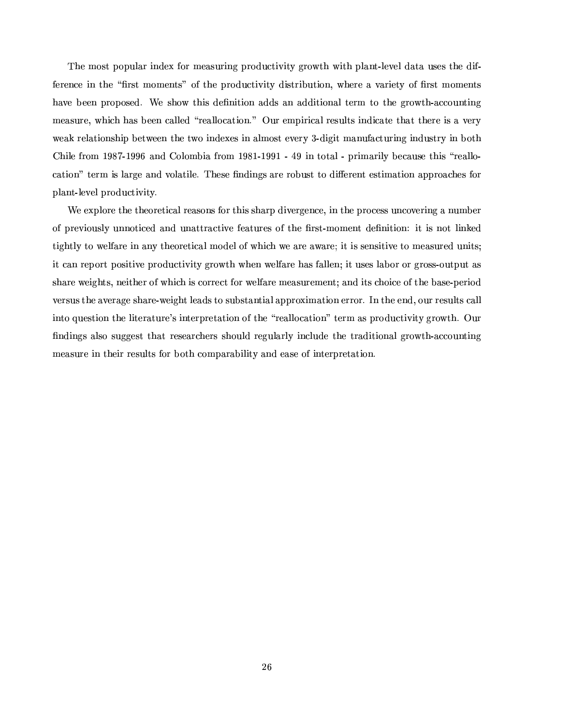B³M¤ÃºÁ«3¶G®Å©.«F©{¬M¸I´kªÅ¯1¨M¥M¤QÒ¹«FªfºÁ¤a´F¶G¬4ª¯1¨4±Æ©{ªG«¥{¬MQ®G¯5°~¯5®:±FªG«² ®G³p²o¯5®G³¦©l¸1´F¨b®Y¾¸1¤w°F¤a¸¥{´k®G´=¬{¶x¤a¶o®G³M¤Ã¥M¯1¹I¾ ference in the "first moments" of the productivity distribution, where a variety of first moments ³M´°F¤=9.¤w¤a¨(©MªG«F©.«3¶x¤a¥"¼-¢¤-¶G³4«²-®G³{¯1¶ ¥4¤w§l¨M¯5®G¯5«3¨ ´F¥{¥M¶8´F¨´F¥M¥M¯1®G¯5«3¨M´F¸®x¤wªrº ®x«p®G³4¤Æ±Fªr«² ®G³~¾´FwQ«3¬{¨b®G¯1¨M± °A`F™ Tangarang ang ang ataun na may ang ang ataun na may ang ataun na may ang ataun na may ang ataun na may a °6¤a`kâ=ªr¤a°aïmaï-®Goqotaqöra ïFoqotaqöradi. Ö Chile from 1987-1996 and Colombia from 1981-1991 - 49 in total - primarily because this "reallow´k®G¯5«3¨MЮx¤wªrº¯1¶¸1´kªG±F¤´F¨{¥°F«3¸1´k®G¯1¸5¤F¼ B³M¤a¶x¤f§{¨M¥M¯I¨4±3¶B´kªr¤fªG«F9{¬M¶x®®x«¥M¯5Ç#¤wªG¤a¨]®¤a¶x®G¯1ºÆ´k®G¯5«3¨-´k©M©MªG«3´F³4¤a¶¹«Fª plant-level productivity.

 $\bullet$  and a straight and a straight and a straight and a straight and a straight and of the straight and of the straight and of the straight and of the straight and of the straight and of the straight and of the straight a of previously unnoticed and unattractive features of the first-moment definition: it is not linked tightly to welfare in any theoretical model of which we are aware; it is sensitive to measured units;  $\blacksquare$ ¶G³M´kªr¤²B¤a¯5±3³]®G¶w¿¨4¤a¯5®G³4¤wªÀ«F¹.²o³{¯1r³Á¯1¶ËQ«FªGªG¤aQ®À¹«FªË²6¤a¸5¹T´kªG¤ ºÁ¤a´F¶G¬4ªr¤aºÁ¤a¨b® ~´F¨M¥¯1®G¶Àr³4«3¯IQ¤ «F¹.®G³4¤ 9{´F¶x¤Q¾©.¤wªr¯1«¥ a°F¤waaraan ah daan ah daan ah daan ah daan ah daan ah daan ah daan ah daan ah daan ah daan ah daan ah daan ah ¯1¨]®x«¬4¤a¶x®G¯5«3¨W®G³4¤¸1¯5®x¤wªr´k®G¬MªG¤ Ѷ˯1¨]®x¤wªG©Mªr¤w®G´k®G¯5«3¨Æ«F¹®G³4¤=ÏYªr¤a´F¸1¸5«~w´k®G¯5«3¨MЮx¤wªº ´F¶B©MªG«~¥M¬MQ®G¯1°¯5®:t±FªG«² ®G³¼ ¬4ª §{¨M¥{¯1¨4±3¶ ´F¸I¶x«p¶r¬4±F±F¤a¶x®Ã®G³M´k®tªG¤a¶x¤a´kªr³4¤wªr¶Á¶G³4«3¬{¸1¥ ªG¤w±3¬{¸1´kªr¸5:¯1¨Mw¸I¬M¥4¤®G³4¤=®xªr´F¥M¯1®G¯5«3¨M´F¸À±Fªr«² ®G³~¾´FwQ«3¬{¨b®G¯1¨M± ºÁ¤a´F¶G¬MªG¤¯1¨®G³4¤a¯5ªoªG¤a¶G¬M¸5®G¶¹«Fª 9.«F®G³¦Q«3ºÁ©l´kªr´k9{¯1¸1¯1®:W´F¨{¥¤a´F¶x¤ «F¹¯1¨]®x¤wªG©MªG¤w®G´k®G¯5«3¨¼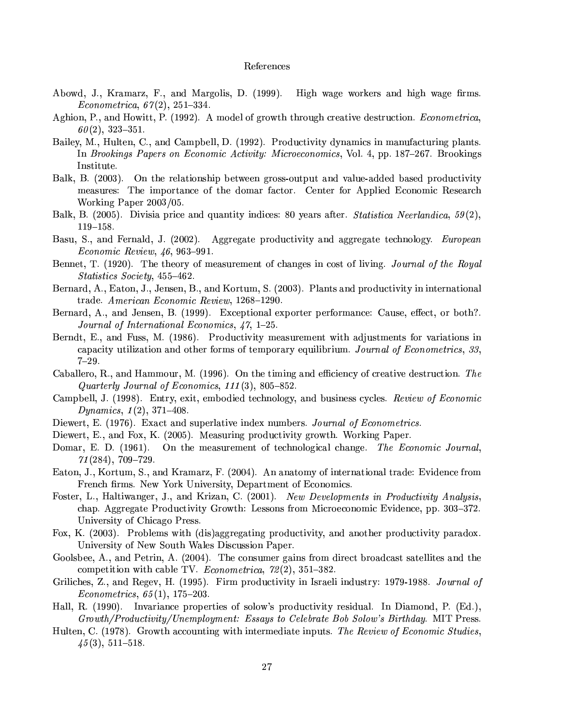#### References

- Abowd, J., Kramarz, F., and Margolis, D. (1999). High wage workers and high wage firms. *Econometrica*,  $67(2)$ ,  $251-334$ .
- Aghion, P., and Howitt, P. (1992). A model of growth through creative destruction. *Econometrica*,  $60(2), 323-351.$
- Bailey, M., Hulten, C., and Campbell, D. (1992). Productivity dynamics in manufacturing plants. In Brookings Papers on Economic Activity: Microeconomics, Vol. 4, pp. 187–267. Brookings Institute.
- Balk, B. (2003). On the relationship between gross-output and value-added based productivity measures: The importance of the domar factor. Center for Applied Economic Research Working Paper 2003/05.
- Balk, B. (2005). Divisia price and quantity indices: 80 years after. *Statistica Neerlandica*,  $59(2)$ ,  $119 - 158.$
- Basu, S., and Fernald, J. (2002). Aggregate productivity and aggregate technology. *European* Economic Review, 46, 963-991.
- Bennet, T. (1920). The theory of measurement of changes in cost of living. Journal of the Royal Statistics Society, 455-462.
- Bernard, A., Eaton, J., Jensen, B., and Kortum, S. (2003). Plants and productivity in international trade. American Economic Review, 1268-1290.
- Bernard, A., and Jensen, B. (1999). Exceptional exporter performance: Cause, effect, or both?. Journal of International Economics, 47, 1-25.
- Berndt, E., and Fuss, M. (1986). Productivity measurement with adjustments for variations in capacity utilization and other forms of temporary equilibrium. Journal of Econometrics, 33,  $7 - 29$ .
- Caballero, R., and Hammour, M. (1996). On the timing and efficiency of creative destruction. The Quarterly Journal of Economics,  $111(3)$ , 805-852.
- Campbell, J. (1998). Entry, exit, embodied technology, and business cycles. Review of Economic Dynamics,  $1(2)$ ,  $371-408$ .
- Diewert, E. (1976). Exact and superlative index numbers. Journal of Econometrics.
- Diewert, E., and Fox, K. (2005). Measuring productivity growth. Working Paper.
- Domar, E. D. (1961). On the measurement of technological change. The Economic Journal,  $71(284)$ ,  $709-729$ .
- Eaton, J., Kortum, S., and Kramarz, F. (2004). An anatomy of international trade: Evidence from French firms. New York University, Department of Economics.
- Foster, L., Haltiwanger, J., and Krizan, C. (2001). New Developments in Productivity Analysis, chap. Aggregate Productivity Growth: Lessons from Microeconomic Evidence, pp. 303–372. University of Chicago Press.
- Fox, K. (2003). Problems with (dis)aggregating productivity, and another productivity paradox. University of New South Wales Discussion Paper.
- Goolsbee, A., and Petrin, A. (2004). The consumer gains from direct broadcast satellites and the competition with cable TV. Econometrica,  $72(2)$ , 351-382.
- Griliches, Z., and Regev, H. (1995). Firm productivity in Israeli industry: 1979-1988. Journal of  $Econometrics, 65(1), 175-203.$
- Hall, R. (1990). Invariance properties of solow's productivity residual. In Diamond, P. (Ed.), Growth/Productivity/Unemployment: Essays to Celebrate Bob Solow's Birthday. MIT Press.
- Hulten, C. (1978). Growth accounting with intermediate inputs. The Review of Economic Studies,  $45(3), 511-518.$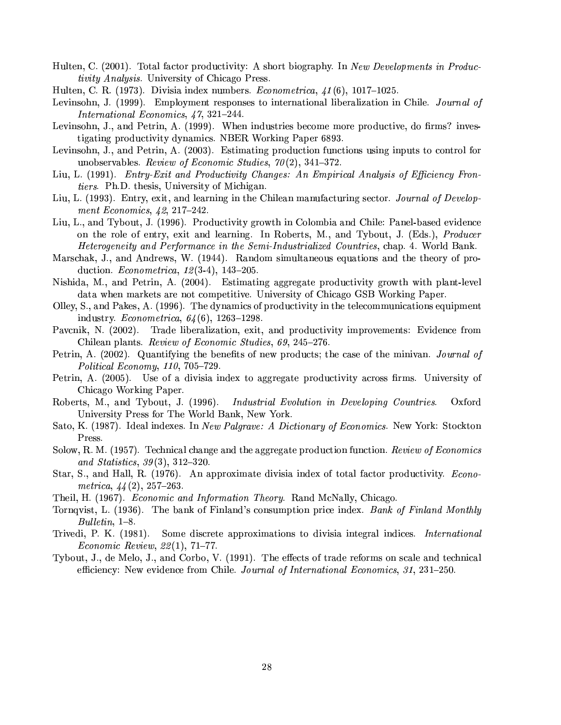- Hulten, C. (2001). Total factor productivity: A short biography. In New Developments in Produc*tivity Analysis.* University of Chicago Press.
- Hulten, C. R. (1973). Divisia index numbers. *Econometrica*,  $41(6)$ , 1017-1025.
- Levinsohn, J. (1999). Employment responses to international liberalization in Chile. Journal of International Economics, 47, 321-244.
- Levinsohn, J., and Petrin, A. (1999). When industries become more productive, do firms? investigating productivity dynamics. NBER Working Paper 6893.
- Levinsohn, J., and Petrin, A. (2003). Estimating production functions using inputs to control for unobservables. Review of Economic Studies,  $70(2)$ , 341-372.
- Liu, L. (1991). Entry-Exit and Productivity Changes: An Empirical Analysis of Efficiency Fron*tiers.* Ph.D. thesis, University of Michigan.
- Liu, L. (1993). Entry, exit, and learning in the Chilean manufacturing sector. Journal of Development Economics,  $42.217 - 242$ .
- Liu, L., and Tybout, J. (1996). Productivity growth in Colombia and Chile: Panel-based evidence on the role of entry, exit and learning. In Roberts, M., and Tybout, J. (Eds.), *Producer Heterogeneity and Performance in the Semi-Industrialized Countries, chap. 4. World Bank.*
- Marschak, J., and Andrews, W. (1944). Random simultaneous equations and the theory of production. *Econometrica*,  $12(3-4)$ ,  $143-205$ .
- Nishida, M., and Petrin, A. (2004). Estimating aggregate productivity growth with plant-level data when markets are not competitive. University of Chicago GSB Working Paper.
- Olley, S., and Pakes, A. (1996). The dynamics of productivity in the telecommunications equipment industry. *Econometrica*,  $64(6)$ , 1263-1298.
- Pavcnik, N. (2002). Trade liberalization, exit, and productivity improvements: Evidence from Chilean plants. Review of Economic Studies, 69, 245-276.
- Petrin, A. (2002). Quantifying the benefits of new products; the case of the minivan. Journal of Political Economy,  $110$ ,  $705-729$ .
- Petrin, A. (2005). Use of a divisia index to aggregate productivity across firms. University of Chicago Working Paper.
- Roberts, M., and Tybout, J. (1996). Industrial Evolution in Developing Countries. Oxford University Press for The World Bank, New York.
- Sato, K. (1987). Ideal indexes. In New Palgrave: A Dictionary of Economics. New York: Stockton Press.
- Solow, R. M. (1957). Technical change and the aggregate production function. Review of Economics and Statistics,  $39(3)$ ,  $312-320$ .
- Star, S., and Hall, R. (1976). An approximate divisia index of total factor productivity. *Econo*metrica,  $44(2)$ , 257-263.
- Theil, H. (1967). *Economic and Information Theory*. Rand McNally, Chicago.
- Tornqvist, L. (1936). The bank of Finland's consumption price index. Bank of Finland Monthly  $Bulletin, 1–8.$
- Trivedi, P. K. (1981). Some discrete approximations to divisia integral indices. *International Economic Review, 22(1), 71-77.*
- Tybout, J., de Melo, J., and Corbo, V. (1991). The effects of trade reforms on scale and technical efficiency: New evidence from Chile. Journal of International Economics, 31, 231-250.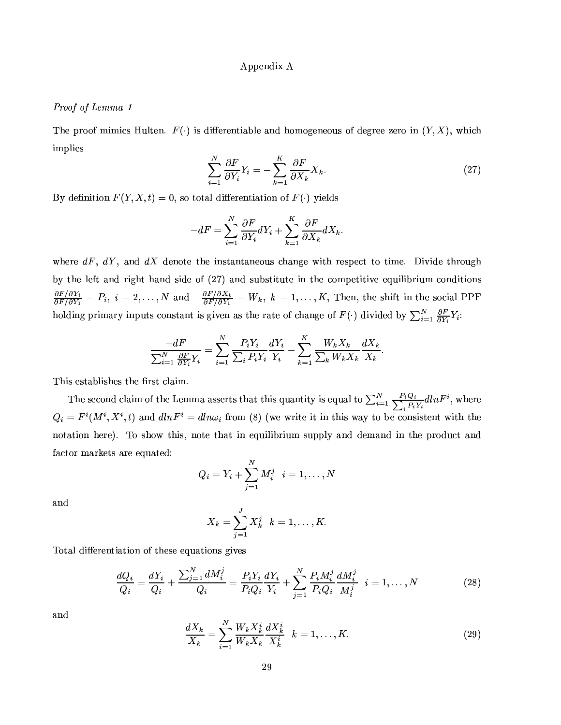### Appendix A

### Proof of Lemma 1

The proof mimics Hulten.  $F(\cdot)$  is differentiable and homogeneous of degree zero in  $(Y, X)$ , which implies

$$
\sum_{i=1}^{N} \frac{\partial F}{\partial Y_i} Y_i = -\sum_{k=1}^{K} \frac{\partial F}{\partial X_k} X_k.
$$
\n(27)

By definition  $F(Y, X, t) = 0$ , so total differentiation of  $F(\cdot)$  yields

$$
-dF = \sum_{i=1}^{N} \frac{\partial F}{\partial Y_i} dY_i + \sum_{k=1}^{K} \frac{\partial F}{\partial X_k} dX_k.
$$

where  $dF$ ,  $dY$ , and  $dX$  denote the instantaneous change with respect to time. Divide through by the left and right hand side of (27) and substitute in the competitive equilibrium conditions  $\frac{\partial F/\partial Y_i}{\partial F/\partial Y_1} = P_i$ ,  $i = 2, ..., N$  and  $-\frac{\partial F/\partial X_k}{\partial F/\partial Y_1} = W_k$ ,  $k = 1, ..., K$ , Then, the shift in the social PPF holding primary inputs constant is given as the rate of change of  $F(\cdot)$  divided by  $\sum_{i=1}^{N} \frac{\partial F}{\partial Y_i} Y_i$ :

$$
\frac{-dF}{\sum_{i=1}^N \frac{\partial F}{\partial Y_i} Y_i} = \sum_{i=1}^N \frac{P_i Y_i}{\sum_i P_i Y_i} \frac{dY_i}{Y_i} - \sum_{k=1}^K \frac{W_k X_k}{\sum_k W_k X_k} \frac{dX_k}{X_k}
$$

This establishes the first claim.

The second claim of the Lemma asserts that this quantity is equal to  $\sum_{i=1}^{N} \sum_{i}^{P_i Q_i} dlnF^i$ , where  $Q_i = F^i(M^i, X^i, t)$  and  $dlnF^i = dln\omega_i$  from (8) (we write it in this way to be consistent with the notation here). To show this, note that in equilibrium supply and demand in the product and factor markets are equated:

$$
Q_i = Y_i + \sum_{j=1}^N M_i^j \quad i=1,\ldots,N
$$

and

$$
X_k = \sum_{j=1}^J X_k^j \quad k = 1, \dots, K.
$$

Total differentiation of these equations gives

$$
\frac{dQ_i}{Q_i} = \frac{dY_i}{Q_i} + \frac{\sum_{j=1}^N dM_i^j}{Q_i} = \frac{P_i Y_i}{P_i Q_i} \frac{dY_i}{Y_i} + \sum_{j=1}^N \frac{P_i M_i^j}{P_i Q_i} \frac{dM_i^j}{M_i^j} \quad i = 1, ..., N
$$
\n(28)

and

$$
\frac{dX_k}{X_k} = \sum_{i=1}^{N} \frac{W_k X_k^i}{W_k X_k} \frac{dX_k^i}{X_k^i} \quad k = 1, \dots, K. \tag{29}
$$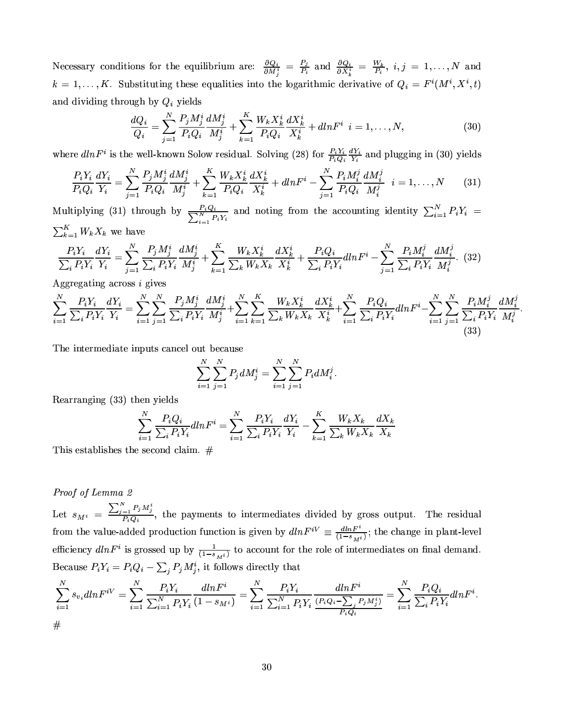Necessary conditions for the equilibrium are:  $\frac{\partial Q_i}{\partial M_j^i} = \frac{P_j}{P_i}$  and  $\frac{\partial Q_i}{\partial X_k^i} = \frac{W_k}{P_i}$ ,  $i, j = 1, ..., N$  and  $k = 1, ..., K$ . Substituting these equalities into the logarithmic derivative of  $Q_i = F^i(M^i, X^i, t)$ and dividing through by  $Q_i$  yields

$$
\frac{dQ_i}{Q_i} = \sum_{j=1}^{N} \frac{P_j M_j^i}{P_i Q_i} \frac{dM_j^i}{M_j^i} + \sum_{k=1}^{K} \frac{W_k X_k^i}{P_i Q_i} \frac{dX_k^i}{X_k^i} + dlnF^i \ \ i = 1, \dots, N,
$$
\n(30)

where  $dlnF^i$  is the well-known Solow residual. Solving (28) for  $\frac{P_iY_i}{P_iQ_i}\frac{dY_i}{Y_i}$  and plugging in (30) yields

$$
\frac{P_i Y_i}{P_i Q_i} \frac{dY_i}{Y_i} = \sum_{j=1}^{N} \frac{P_j M_j^i}{P_i Q_i} \frac{dM_j^i}{M_j^i} + \sum_{k=1}^{K} \frac{W_k X_k^i}{P_i Q_i} \frac{dX_k^i}{X_k^i} + dlnF^i - \sum_{j=1}^{N} \frac{P_i M_i^j}{P_i Q_i} \frac{dM_i^j}{M_i^j} \quad i = 1, ..., N \tag{31}
$$

Multiplying (31) through by  $\frac{P_i Q_i}{\sum_{i=1}^N P_i Y_i}$  and noting from the accounting identity  $\sum_{i=1}^N P_i Y_i = \sum_{k=1}^K W_k X_k$  we have

$$
\frac{P_i Y_i}{\sum_i P_i Y_i} \frac{dY_i}{Y_i} = \sum_{j=1}^N \frac{P_j M_j^i}{\sum_i P_i Y_i} \frac{dM_j^i}{M_j^i} + \sum_{k=1}^K \frac{W_k X_k^i}{\sum_k W_k X_k} \frac{dX_k^i}{X_k^i} + \frac{P_i Q_i}{\sum_i P_i Y_i} dln F^i - \sum_{j=1}^N \frac{P_i M_i^j}{\sum_i P_i Y_i} \frac{dM_i^j}{M_i^j}.
$$
 (32)

Aggregating across *i* gives

$$
\sum_{i=1}^{N} \frac{P_i Y_i}{\sum_i P_i Y_i} \frac{dY_i}{Y_i} = \sum_{i=1}^{N} \sum_{j=1}^{N} \frac{P_j M_j^i}{\sum_i P_i Y_i} \frac{dM_j^i}{M_j^i} + \sum_{i=1}^{N} \sum_{k=1}^{K} \frac{W_k X_k^i}{\sum_k W_k X_k} \frac{dX_k^i}{X_k^i} + \sum_{i=1}^{N} \sum_{j=1}^{P_i Q_i} \frac{P_i Q_i}{\sum_i P_i Y_i} dN F^i - \sum_{i=1}^{N} \sum_{j=1}^{N} \frac{P_i M_i^j}{\sum_i P_i Y_i} \frac{dM_i^j}{M_i^j}
$$
(33)

The intermediate inputs cancel out because

$$
\sum_{i=1}^{N} \sum_{j=1}^{N} P_j dM_j^i = \sum_{i=1}^{N} \sum_{j=1}^{N} P_i dM_i^j
$$

Rearranging (33) then yields

$$
\sum_{i=1}^{N} \frac{P_i Q_i}{\sum_i P_i Y_i} dl n F^i = \sum_{i=1}^{N} \frac{P_i Y_i}{\sum_i P_i Y_i} \frac{dY_i}{Y_i} - \sum_{k=1}^{K} \frac{W_k X_k}{\sum_k W_k X_k} \frac{dX_k}{X_k}
$$

This establishes the second claim.  $#$ 

### Proof of Lemma 2

Let  $s_{M^i} = \frac{\sum_{j=1}^{N} P_j M_j^i}{P_i Q_i}$ , the payments to intermediates divided by gross output. The residual from the value-added production function is given by  $dlnF^{iV} \equiv \frac{dlnF^i}{(1-s_{M}i)}$ ; the change in plant-level efficiency  $dlnF^i$  is grossed up by  $\frac{1}{(1-s_Mi)}$  to account for the role of intermediates on final demand. Because  $P_i Y_i = P_i Q_i - \sum_j P_j M_j^i$ , it follows directly that

$$
\sum_{i=1}^{N} s_{v_i} dln F^{iV} = \sum_{i=1}^{N} \frac{P_i Y_i}{\sum_{i=1}^{N} P_i Y_i} \frac{dln F^i}{(1 - s_M i)} = \sum_{i=1}^{N} \frac{P_i Y_i}{\sum_{i=1}^{N} P_i Y_i} \frac{dln F^i}{\frac{(P_i Q_i - \sum_j P_j M_j^i)}{P_i Q_i}} = \sum_{i=1}^{N} \frac{P_i Q_i}{\sum_i P_i Y_i} dln F^i.
$$

#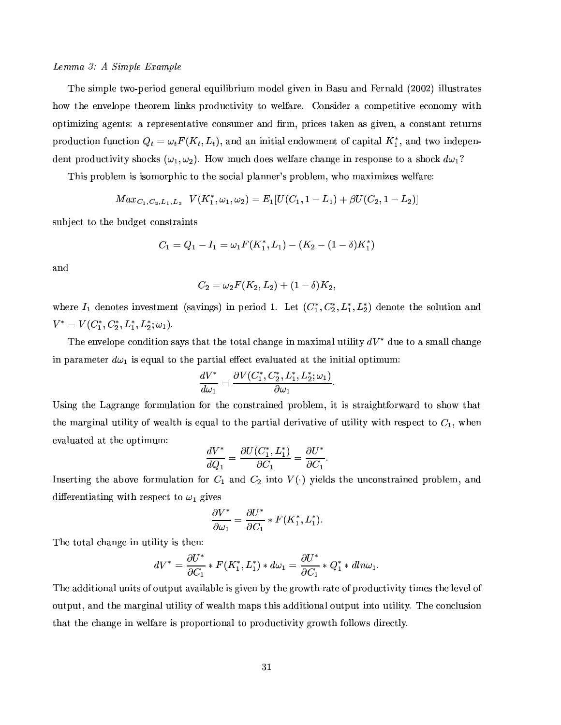### $Lemma 3: A Simple Example$

The simple two-period general equilibrium model given in Basu and Fernald (2002) illustrates how the envelope theorem links productivity to welfare. Consider a competitive economy with «F©M®G¯1ºÆ¯-a¯1¨4±´k±F¤a¨b®G¶=/8´ªG¤w©Mªr¤a¶x¤a¨b®G´k®G¯1°F¤WQ«3¨M¶G¬{ºÁ¤wª´F¨M¥§Mªº-¿"©Mªr¯1Q¤a¶®G´kÂF¤a¨·´F¶±3¯5°F¤a¨¿´¦Q«3¨M¶x®G´F¨]®ªG¤w®G¬Mªr¨M¶ production function  $Q_t = \omega_t F(K_t, L_t)$ , and an initial endowment of capital  $K_t^*$ , and two independent productivity shocks  $(\omega_1, \omega_2)$ . How much does welfare change in response to a shock  $d\omega_1$ ?  $\gamma$  and  $\gamma$ 

mag«far» in the second term in the second of the second of the second of the second of the second of the second of the second of the second of the second of the second of the second of the second of the second of the seco

$$
Max_{C_1,C_2,L_1,L_2} V(K_1^*,\omega_1,\omega_2) = E_1[U(C_1,1-L_1) + \beta U(C_2,1-L_2)]
$$

 $\bullet$  yang and the set of the set of the set of the set of the set of the set of the set of the set of the set of the set of the set of the set of the set of the set of the set of the set of the set of the set of the set o

$$
C_1 = Q_1 - I_1 = \omega_1 F(K_1^*, L_1) - (K_2 - (1 - \delta)K_1^*)
$$

and

$$
C_2 = \omega_2 F(K_2, L_2) + (1 - \delta) K_2,
$$

where  $I_1$  denotes investment (savings) in period 1. Let  $(C_1^*, C_2^*, L_1^*, L_2^*)$  denote the solution and  $V^*=V(C^*_1,C^*_2,L^*_1,L^*_2;\omega_1).$ 

B³M¤ ¤a¨b°F¤a¸1«F©#¤Q«3¨M¥M¯5®G¯1«3¨¶G´a:~¶B®G³M´k®Ë®G³4¤o®x«F®G´F¸l³M´F¨4±F¤¯1¨º´dÒ4¯1º´F¸M¬M®G¯1¸1¯5®:Lo¥M¬4¤ ®x«Ã´ ¶GºÆ´F¸1¸Mr³{´F¨4±F¤ in parameter  $d\omega_1$  is equal to the partial effect evaluated at the initial optimum:

$$
\frac{dV^*}{d\omega_1}=\frac{\partial V(C_1^*,C_2^*,L_1^*,L_2^*;\omega_1)}{\partial \omega_1}.
$$

Using the Lagrange formulation for the constrained problem, it is straightforward to show that the marginal utility of wealth is equal to the partial derivative of utility with respect to  $C_1$  when evaluated at the optimum:

$$
\frac{dV^*}{dQ_1} = \frac{\partial U(C_1^*, L_1^*)}{\partial C_1} = \frac{\partial U^*}{\partial C_1}.
$$

Inserting the above formulation for  $C_1$  and  $C_2$  into  $V(\cdot)$  yields the unconstrained problem, and differentiating with respect to  $\omega_1$  gives

$$
\frac{\partial V^*}{\partial \omega_1} = \frac{\partial U^*}{\partial C_1} * F(K_1^*, L_1^*).
$$

The total change in utility is then:

$$
dV^* = \frac{\partial U^*}{\partial C_1} * F(K_1^*, L_1^*) * d\omega_1 = \frac{\partial U^*}{\partial C_1} * Q_1^* * dln\omega_1.
$$

B³4¤6´F¥M¥M¯5®G¯1«3¨M´F¸b¬M¨{¯5®G¶«F¹M«3¬M®x©{¬4®´a°k´F¯1¸1´k9{¸5¤6¯1¶\±3¯5°F¤a¨Ã9]:®G³M¤B±FªG«² ®G³Ãªr´k®x¤«F¹M©MªG«~¥M¬MQ®G¯1°¯5®:®G¯1ºÁ¤a¶\®G³4¤6¸1¤w°F¤a¸]«F¹  $\blacksquare$  . The source  $\blacksquare$  and the source  $\blacksquare$  and the source  $\blacksquare$  and  $\blacksquare$ ®Ganaon, and a second construction of the second construction of the second construction of the second construction of the second construction of the second construction of the second construction of the second constructi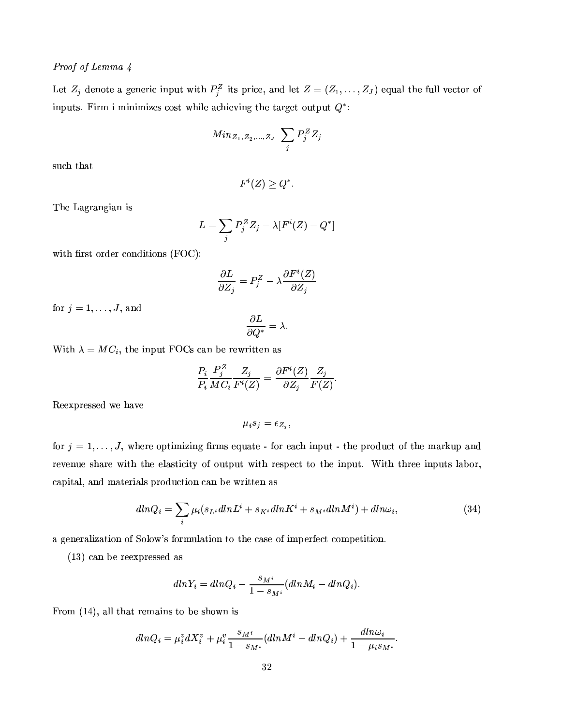## Proof of Lemma 4

Let  $Z_j$  denote a generic input with  $P_j^Z$  its price, and let  $Z = (Z_1, \ldots, Z_J)$  equal the full vector of inputs. Firm i minimizes cost while achieving the target output  $Q^*$ :

$$
Min_{Z_1,Z_2,...,Z_J}\ \sum_j P_j^Z Z_j
$$

such that

$$
F^i(Z) \ge Q^*.
$$

The Lagrangian is

$$
L = \sum_{j} P_j^Z Z_j - \lambda [F^i(Z) - Q^*]
$$

with first order conditions (FOC):

$$
\frac{\partial L}{\partial Z_j} = P_j^Z - \lambda \frac{\partial F^i(Z)}{\partial Z_j}
$$

for  $j = 1, \ldots, J$ , and

$$
\frac{\partial L}{\partial Q^*} = \lambda.
$$

With  $\lambda = MC_i$ , the input FOCs can be rewritten as

$$
\frac{P_i}{P_i}\frac{P_j^Z}{MC_i}\frac{Z_j}{F^i(Z)}=\frac{\partial F^i(Z)}{\partial Z_j}\frac{Z_j}{F(Z)}.
$$

Reexpressed we have

$$
\mu_i s_j = \epsilon_{Z_j},
$$

for  $j = 1, \ldots, J$ , where optimizing firms equate - for each input - the product of the markup and revenue share with the elasticity of output with respect to the input. With three inputs labor, capital, and materials production can be written as

$$
dlnQ_i = \sum_{i} \mu_i (s_{L^i} dlnL^i + s_{K^i} dlnK^i + s_{M^i} dlnM^i) + dln\omega_i, \qquad (34)
$$

a generalization of Solow's formulation to the case of imperfect competition.

 $(13)$  can be reexpressed as

$$
dlnY_i = dlnQ_i - \frac{s_{M^i}}{1 - s_{M^i}}(dlnM_i - dlnQ_i).
$$

From  $(14)$ , all that remains to be shown is

$$
dlnQ_i = \mu_i^v dX_i^v + \mu_i^v \frac{s_{M^i}}{1 - s_{M^i}} (dlnM^i - dlnQ_i) + \frac{dln\omega_i}{1 - \mu_i s_{M^i}}.
$$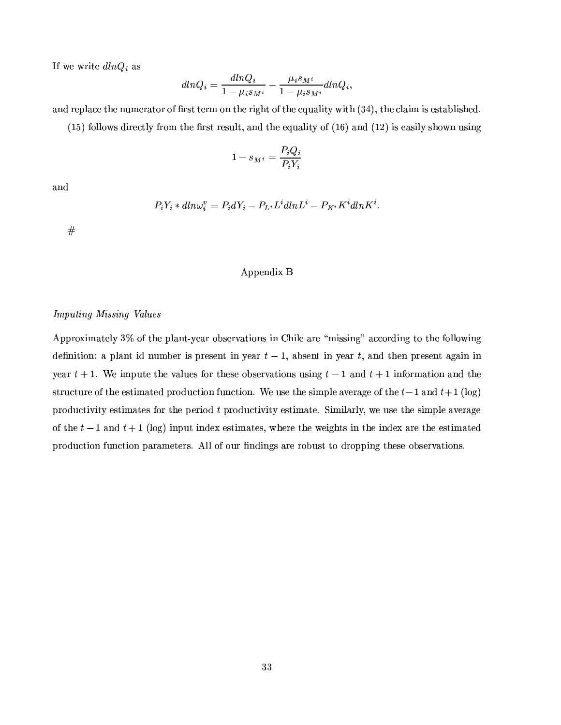If we write  $dlnQ_i$  as

$$
dlnQ_i = \frac{dlnQ_i}{1 - \mu_i s_{M^i}} - \frac{\mu_i s_{M^i}}{1 - \mu_i s_{M^i}} dlnQ_i,
$$

and replace the numerator of first term on the right of the equality with  $(34)$ , the claim is established.

 $(15)$  follows directly from the first result, and the equality of  $(16)$  and  $(12)$  is easily shown using

$$
1 - s_{M^i} = \frac{P_i Q_i}{P_i Y_i}
$$

and

$$
P_i Y_i * dln \omega_i^v = P_i dY_i - P_{L^i} L^i dln L^i - P_{K^i} K^i dln K^i.
$$

 $^{\#}$ 

#### Appendix B

#### **Imputing Missing Values**

Approximately 3% of the plant-year observations in Chile are "missing" according to the following definition: a plant id number is present in year  $t-1$ , absent in year t, and then present again in year  $t + 1$ . We impute the values for these observations using  $t - 1$  and  $t + 1$  information and the structure of the estimated production function. We use the simple average of the  $t-1$  and  $t+1$  (log) productivity estimates for the period  $t$  productivity estimate. Similarly, we use the simple average of the  $t-1$  and  $t+1$  (log) input index estimates, where the weights in the index are the estimated production function parameters. All of our findings are robust to dropping these observations.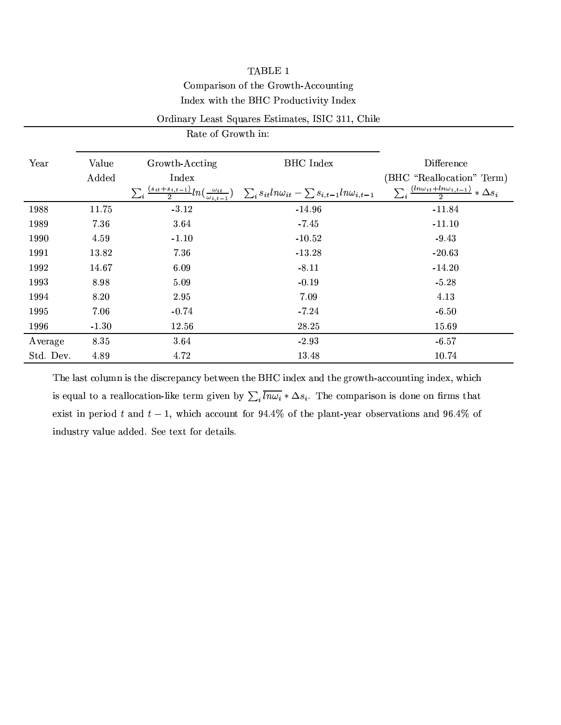# TABLE 1

# Comparison of the Growth-Accounting Index with the BHC Productivity Index

## Ordinary Least Squares Estimates, ISIC 311, Chile

Rate of Growth in:

| Year      | Value   | Growth-Accting                                                                                    | <b>BHC</b> Index                                                | Difference                                                         |
|-----------|---------|---------------------------------------------------------------------------------------------------|-----------------------------------------------------------------|--------------------------------------------------------------------|
|           | Added   | Index                                                                                             |                                                                 | (BHC "Reallocation" Term)                                          |
|           |         | $\sum_{i} \frac{(s_{it} + s_{i,t-1})}{2} ln(\frac{\omega_{it}}{\omega_{i,t-1}})$<br>$\omega_{it}$ | $\sum_i s_{it} ln\omega_{it} - \sum s_{i,t-1} ln\omega_{i,t-1}$ | $\frac{(ln\omega_{it}+ln\omega_{i,t-1})}{\Delta s_i} * \Delta s_i$ |
| 1988      | 11.75   | $-3.12$                                                                                           | $-14.96$                                                        | $-11.84$                                                           |
| 1989      | 7.36    | 3.64                                                                                              | $-7.45$                                                         | $-11.10$                                                           |
| 1990      | 4.59    | $-1.10$                                                                                           | $-10.52$                                                        | $-9.43$                                                            |
| 1991      | 13.82   | 7.36                                                                                              | $-13.28$                                                        | $-20.63$                                                           |
| 1992      | 14.67   | 6.09                                                                                              | $-8.11$                                                         | $-14.20$                                                           |
| 1993      | 8.98    | 5.09                                                                                              | $-0.19$                                                         | $-5.28$                                                            |
| 1994      | 8.20    | 2.95                                                                                              | 7.09                                                            | 4.13                                                               |
| 1995      | 7.06    | $-0.74$                                                                                           | $-7.24$                                                         | $-6.50$                                                            |
| 1996      | $-1.30$ | 12.56                                                                                             | 28.25                                                           | 15.69                                                              |
| Average   | 8.35    | 3.64                                                                                              | $-2.93$                                                         | $-6.57$                                                            |
| Std. Dev. | 4.89    | 4.72                                                                                              | 13.48                                                           | 10.74                                                              |

The last column is the discrepancy between the BHC index and the growth-accounting index, which is equal to a reallocation-like term given by  $\sum_i \overline{ln\omega_i} * \Delta s_i$ . The comparison is done on firms that exist in period t and  $t-1$ , which account for 94.4% of the plant-year observations and 96.4% of industry value added. See text for details.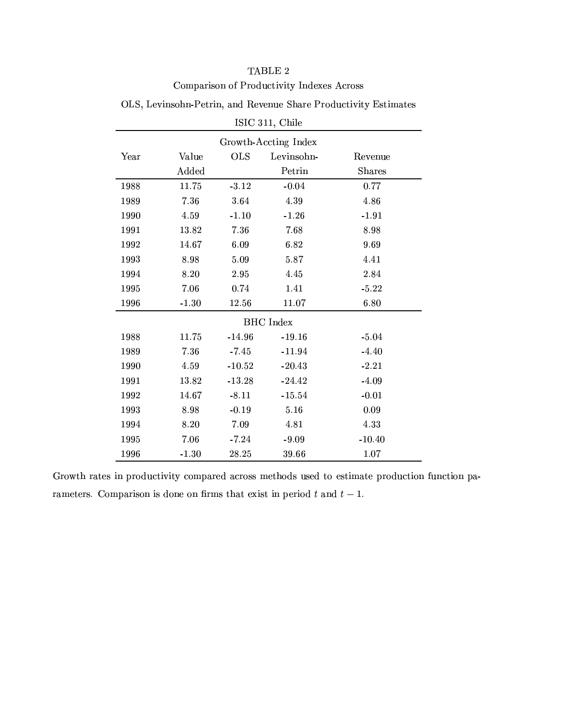# TABLE  $2$ Comparison of Productivity Indexes Across

| $121C$ 911, $C$ une  |         |            |            |               |  |  |
|----------------------|---------|------------|------------|---------------|--|--|
| Growth-Accting Index |         |            |            |               |  |  |
| Year                 | Value   | <b>OLS</b> | Levinsohn- | Revenue       |  |  |
|                      | Added   |            | Petrin     | <b>Shares</b> |  |  |
| 1988                 | 11.75   | $-3.12$    | $-0.04$    | 0.77          |  |  |
| 1989                 | 7.36    | 3.64       | 4.39       | 4.86          |  |  |
| 1990                 | 4.59    | $-1.10$    | $-1.26$    | $-1.91$       |  |  |
| 1991                 | 13.82   | 7.36       | 7.68       | 8.98          |  |  |
| 1992                 | 14.67   | 6.09       | 6.82       | 9.69          |  |  |
| 1993                 | 8.98    | 5.09       | 5.87       | 4.41          |  |  |
| 1994                 | 8.20    | 2.95       | 4.45       | 2.84          |  |  |
| 1995                 | 7.06    | 0.74       | 1.41       | $-5.22$       |  |  |
| 1996                 | $-1.30$ | 12.56      | 11.07      | 6.80          |  |  |
| <b>BHC</b> Index     |         |            |            |               |  |  |
| 1988                 | 11.75   | $-14.96$   | $-19.16$   | $-5.04$       |  |  |
| 1989                 | 7.36    | $-7.45$    | $-11.94$   | $-4.40$       |  |  |
| 1990                 | 4.59    | $-10.52$   | $-20.43$   | $-2.21$       |  |  |
| 1991                 | 13.82   | $-13.28$   | $-24.42$   | $-4.09$       |  |  |
| 1992                 | 14.67   | $-8.11$    | $-15.54$   | $-0.01$       |  |  |
| 1993                 | 8.98    | $-0.19$    | 5.16       | 0.09          |  |  |
| 1994                 | 8.20    | 7.09       | 4.81       | 4.33          |  |  |
| 1995                 | 7.06    | $-7.24$    | $-9.09$    | $-10.40$      |  |  |
| 1996                 | $-1.30$ | 28.25      | 39.66      | 1.07          |  |  |

+ 2#¿+¤w°~¯1¨M¶G«3³M¨~¾t)¤w®xªr¯1¨"¿~´F¨M¥ o¤w°F¤a¨]¬M¤Q2~³M´kªr¤º)˪G«~¥M¬MQ®G¯5°~¯5®: ˶x®G¯Iº´k®x¤a¶

ZN2ZGÔ <sup>Ó</sup> ÕFÕk¿.Ô³M¯1¸5¤

ªG«² ®G³ªr´k®x¤a¶¯I¨Î©Mªr«¥M¬{Q®G¯5°¯1®:¦Q«3ºÁ©{´kªr¤a¥´FQªG«3¶G¶fºÁ¤w®G³4«~¥M¶¬M¶x¤a¥p®x«-¤a¶x®G¯Iº´k®x¤t©MªG«~¥M¬MQ®G¯5«3¨Þ¹¬{¨MQ®G¯5«3¨p©{´d¾  $\blacksquare$  and the set of the set of the set of the set of the set of the set of the set of the set of the set of the set of the set of the set of the set of the set of the set of the set of the set of the set of the set of t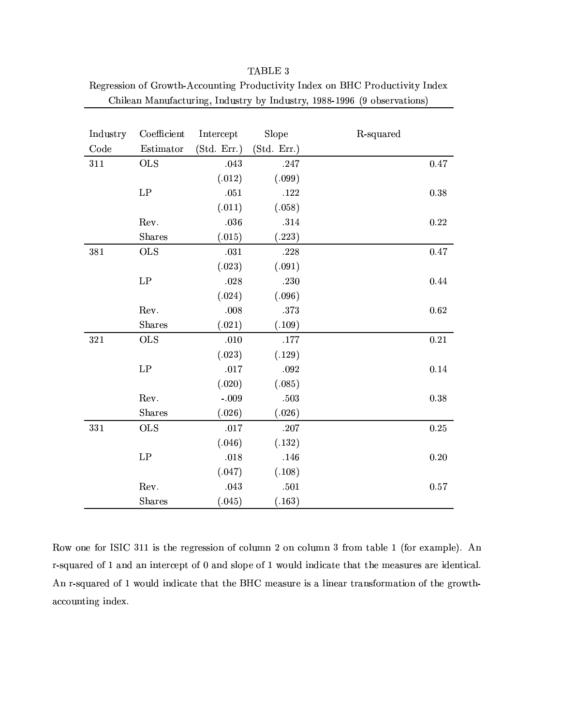| Industry | Coefficient   | Intercept   | Slope       | R-squared |
|----------|---------------|-------------|-------------|-----------|
| Code     | Estimator     | (Std. Err.) | (Std. Err.) |           |
| 311      | $\rm OLS$     | .043        | .247        | 0.47      |
|          |               | (.012)      | (.099)      |           |
|          | LP            | $.051\,$    | .122        | 0.38      |
|          |               | (.011)      | (.058)      |           |
|          | Rev.          | .036        | .314        | 0.22      |
|          | <b>Shares</b> | (.015)      | (.223)      |           |
| 381      | <b>OLS</b>    | $.031\,$    | .228        | $0.47\,$  |
|          |               | (.023)      | (.091)      |           |
|          | LP            | .028        | .230        | 0.44      |
|          |               | (.024)      | (.096)      |           |
|          | Rev.          | .008        | .373        | 0.62      |
|          | Shares        | (.021)      | (.109)      |           |
| 321      | <b>OLS</b>    | .010        | $.177\,$    | 0.21      |
|          |               | (.023)      | (.129)      |           |
|          | LP            | .017        | .092        | 0.14      |
|          |               | (.020)      | (.085)      |           |
|          | Rev.          | $-.009$     | .503        | 0.38      |
|          | <b>Shares</b> | (.026)      | (.026)      |           |
| 331      | <b>OLS</b>    | .017        | .207        | $0.25\,$  |
|          |               | (.046)      | (.132)      |           |
|          | LP            | .018        | .146        | 0.20      |
|          |               | (.047)      | (.108)      |           |
|          | Rev.          | .043        | .501        | 0.57      |
|          | <b>Shares</b> | (.045)      | (.163)      |           |

| TABLE 3                                                                      |
|------------------------------------------------------------------------------|
| Regression of Growth-Accounting Productivity Index on BHC Productivity Index |
| Chilean Manufacturing, Industry by Industry, 1988-1996 (9 observations)      |

Row one for ISIC 311 is the regression of column 2 on column 3 from table 1 (for example). An r-squared of 1 and an intercept of 0 and slope of 1 would indicate that the measures are identical. An r-squared of 1 would indicate that the BHC measure is a linear transformation of the growthaccounting index.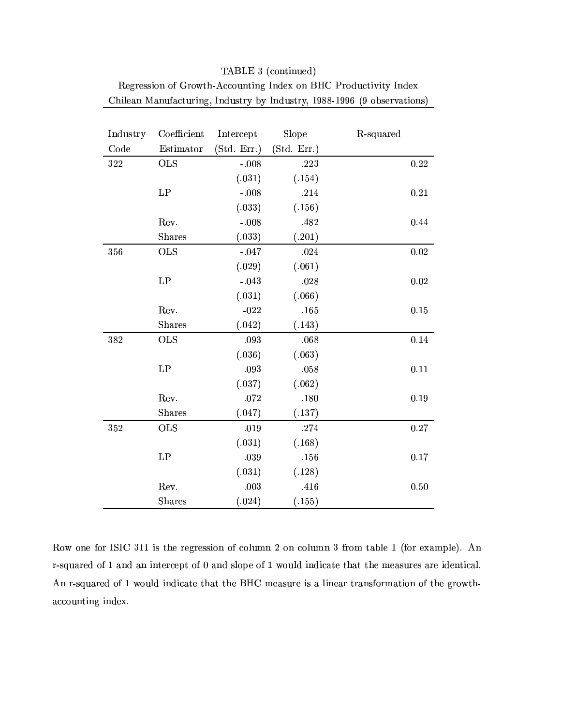| Industry | Coefficient   | Intercept   | Slope       | R-squared |
|----------|---------------|-------------|-------------|-----------|
| Code     | Estimator     | (Std. Err.) | (Std. Err.) |           |
| 322      | <b>OLS</b>    | $-.008$     | .223        | 0.22      |
|          |               | (.031)      | (.154)      |           |
|          | LP            | $-.008$     | .214        | 0.21      |
|          |               | (.033)      | (.156)      |           |
|          | Rev.          | $-.008$     | .482        | 0.44      |
|          | Shares        | (.033)      | (.201)      |           |
| 356      | <b>OLS</b>    | $-.047$     | .024        | 0.02      |
|          |               | (.029)      | (.061)      |           |
|          | LP            | $-.043$     | .028        | 0.02      |
|          |               | (.031)      | (.066)      |           |
|          | Rev.          | $-022$      | .165        | 0.15      |
|          | Shares        | (.042)      | (.143)      |           |
| 382      | <b>OLS</b>    | .093        | .068        | 0.14      |
|          |               | (.036)      | (.063)      |           |
|          | LP            | .093        | .058        | 0.11      |
|          |               | (.037)      | (.062)      |           |
|          | Rev.          | .072        | .180        | 0.19      |
|          | Shares        | (.047)      | (.137)      |           |
| 352      | <b>OLS</b>    | .019        | .274        | 0.27      |
|          |               | (.031)      | (.168)      |           |
|          | LP            | .039        | .156        | 0.17      |
|          |               | (.031)      | (.128)      |           |
|          | Rev.          | .003        | .416        | 0.50      |
|          | <b>Shares</b> | (.024)      | (.155)      |           |

TABLE 3 (continued) Regression of Growth-Accounting Index on BHC Productivity Index Chilean Manufacturing, Industry by Industry, 1988-1996 (9 observations)

Row one for ISIC 311 is the regression of column 2 on column 3 from table 1 (for example). An r-squared of 1 and an intercept of 0 and slope of 1 would indicate that the measures are identical. An r-squared of 1 would indicate that the BHC measure is a linear transformation of the growthaccounting index.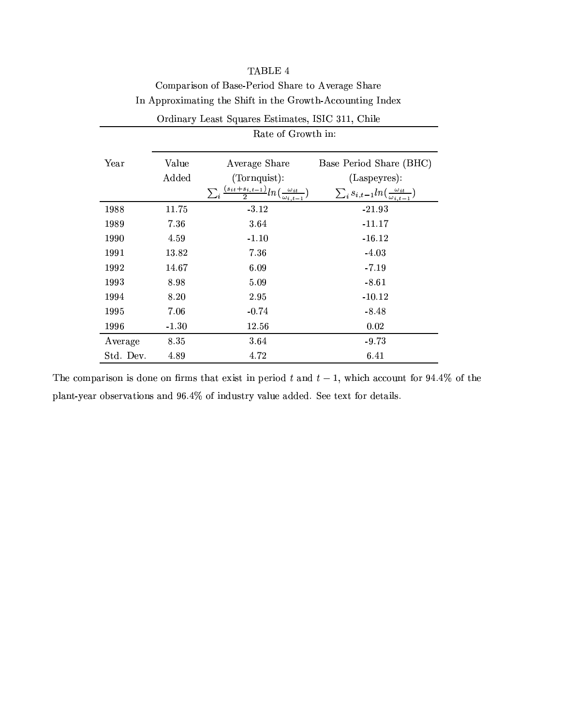|           | Rate of Growth in: |                                                                                |                                                           |  |  |
|-----------|--------------------|--------------------------------------------------------------------------------|-----------------------------------------------------------|--|--|
| Year      | Value              | Average Share                                                                  | Base Period Share (BHC)                                   |  |  |
|           | Added              | (Tornquist):                                                                   | (Laspeyres):                                              |  |  |
|           |                    | $\sum_{i} \frac{(s_{it}+s_{i,t-1})}{2} ln(\frac{\omega_{it}}{\omega_{i,t-1}})$ | $\sum_i s_{i,t-1} ln(\frac{\omega_{it}}{\omega_{i,t-1}})$ |  |  |
| 1988      | 11.75              | $-3.12$                                                                        | $-21.93$                                                  |  |  |
| 1989      | 7.36               | 3.64                                                                           | $-11.17$                                                  |  |  |
| 1990      | 4.59               | $-1.10$                                                                        | $-16.12$                                                  |  |  |
| 1991      | 13.82              | 7.36                                                                           | $-4.03$                                                   |  |  |
| 1992      | 14.67              | 6.09                                                                           | $-7.19$                                                   |  |  |
| 1993      | 8.98               | 5.09                                                                           | $-8.61$                                                   |  |  |
| 1994      | 8.20               | 2.95                                                                           | $-10.12$                                                  |  |  |
| 1995      | 7.06               | $-0.74$                                                                        | $-8.48$                                                   |  |  |
| 1996      | $-1.30$            | 12.56                                                                          | 0.02                                                      |  |  |
| Average   | 8.35               | 3.64                                                                           | $-9.73$                                                   |  |  |
| Std. Dev. | 4.89               | 4.72                                                                           | 6.41                                                      |  |  |

# TABLE 4 Comparison of Base-Period Share to Average Share In Approximating the Shift in the Growth-Accounting Index

Ordinary Least Squares Estimates, ISIC 311, Chile

The comparison is done on firms that exist in period t and  $t-1$ , which account for 94.4% of the plant-year observations and 96.4% of industry value added. See text for details.